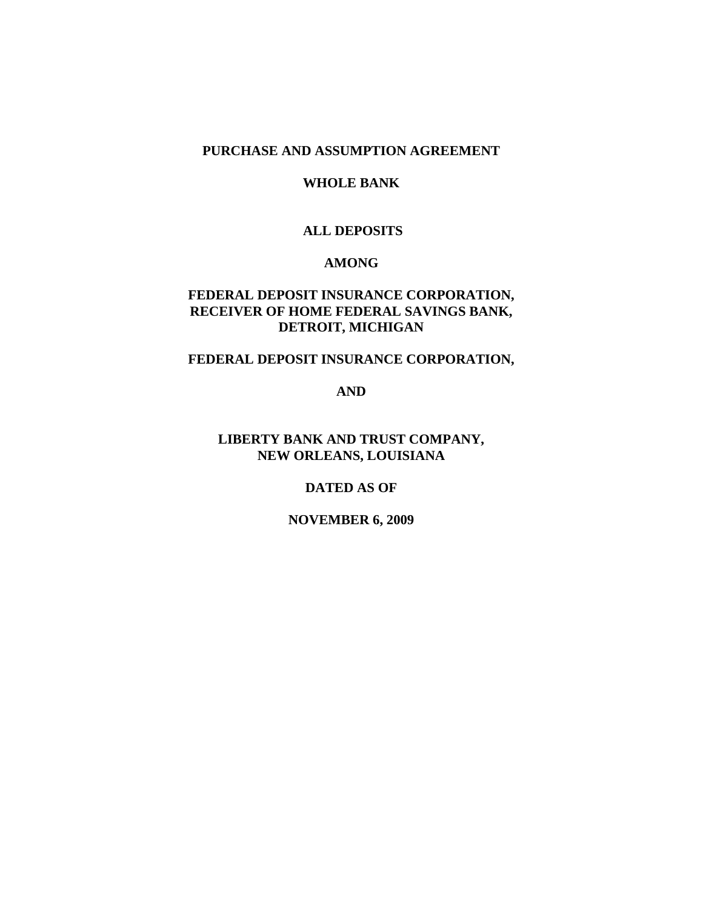#### **PURCHASE AND ASSUMPTION AGREEMENT**

#### **WHOLE BANK**

#### **ALL DEPOSITS**

#### **AMONG**

#### **FEDERAL DEPOSIT INSURANCE CORPORATION, RECEIVER OF HOME FEDERAL SAVINGS BANK, DETROIT, MICHIGAN**

#### **FEDERAL DEPOSIT INSURANCE CORPORATION,**

#### **AND**

### **LIBERTY BANK AND TRUST COMPANY, NEW ORLEANS, LOUISIANA**

### **DATED AS OF**

**NOVEMBER 6, 2009**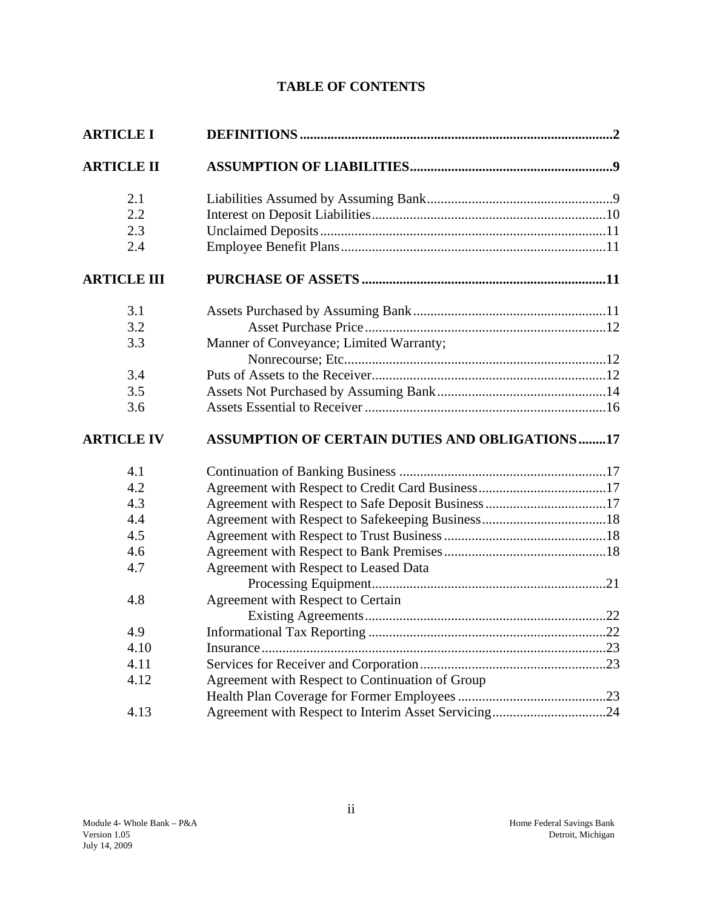### **TABLE OF CONTENTS**

| <b>ARTICLE I</b>   |                                                       |  |
|--------------------|-------------------------------------------------------|--|
| <b>ARTICLE II</b>  |                                                       |  |
| 2.1                |                                                       |  |
| 2.2                |                                                       |  |
| 2.3                |                                                       |  |
| 2.4                |                                                       |  |
| <b>ARTICLE III</b> |                                                       |  |
| 3.1                |                                                       |  |
| 3.2                |                                                       |  |
| 3.3                | Manner of Conveyance; Limited Warranty;               |  |
|                    |                                                       |  |
| 3.4                |                                                       |  |
| 3.5                |                                                       |  |
| 3.6                |                                                       |  |
| <b>ARTICLE IV</b>  | <b>ASSUMPTION OF CERTAIN DUTIES AND OBLIGATIONS17</b> |  |
| 4.1                |                                                       |  |
| 4.2                |                                                       |  |
| 4.3                |                                                       |  |
| 4.4                |                                                       |  |
| 4.5                |                                                       |  |
| 4.6                |                                                       |  |
| 4.7                | Agreement with Respect to Leased Data                 |  |
|                    |                                                       |  |
| 4.8                | Agreement with Respect to Certain                     |  |
|                    |                                                       |  |
| 4.9                |                                                       |  |
| 4.10               |                                                       |  |
| 4.11               |                                                       |  |
| 4.12               | Agreement with Respect to Continuation of Group       |  |
|                    |                                                       |  |
| 4.13               | Agreement with Respect to Interim Asset Servicing24   |  |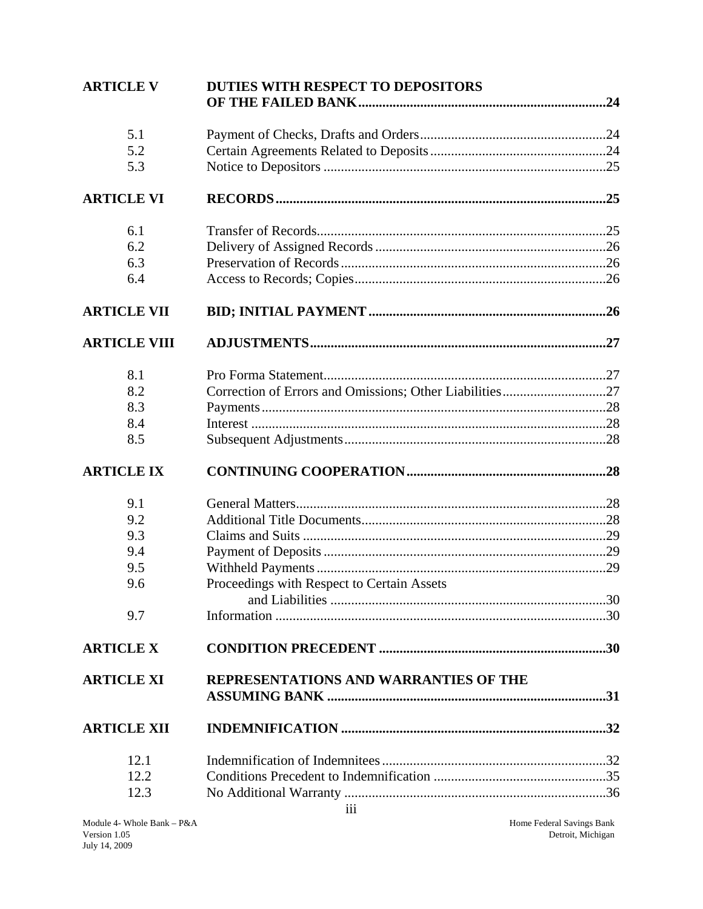| <b>ARTICLE V</b>    | <b>DUTIES WITH RESPECT TO DEPOSITORS</b>   |  |  |
|---------------------|--------------------------------------------|--|--|
| 5.1                 |                                            |  |  |
| 5.2                 |                                            |  |  |
| 5.3                 |                                            |  |  |
| <b>ARTICLE VI</b>   |                                            |  |  |
| 6.1                 |                                            |  |  |
| 6.2                 |                                            |  |  |
| 6.3                 |                                            |  |  |
| 6.4                 |                                            |  |  |
| <b>ARTICLE VII</b>  |                                            |  |  |
| <b>ARTICLE VIII</b> |                                            |  |  |
| 8.1                 |                                            |  |  |
| 8.2                 |                                            |  |  |
| 8.3                 |                                            |  |  |
| 8.4                 |                                            |  |  |
| 8.5                 |                                            |  |  |
| <b>ARTICLE IX</b>   |                                            |  |  |
| 9.1                 |                                            |  |  |
| 9.2                 |                                            |  |  |
| 9.3                 |                                            |  |  |
| 9.4                 |                                            |  |  |
| 9.5                 |                                            |  |  |
| 9.6                 | Proceedings with Respect to Certain Assets |  |  |
|                     |                                            |  |  |
| 9.7                 |                                            |  |  |
| <b>ARTICLE X</b>    |                                            |  |  |
| <b>ARTICLE XI</b>   | REPRESENTATIONS AND WARRANTIES OF THE      |  |  |
| <b>ARTICLE XII</b>  |                                            |  |  |
| 12.1                |                                            |  |  |
| 12.2                |                                            |  |  |
| 12.3                |                                            |  |  |
|                     | 111                                        |  |  |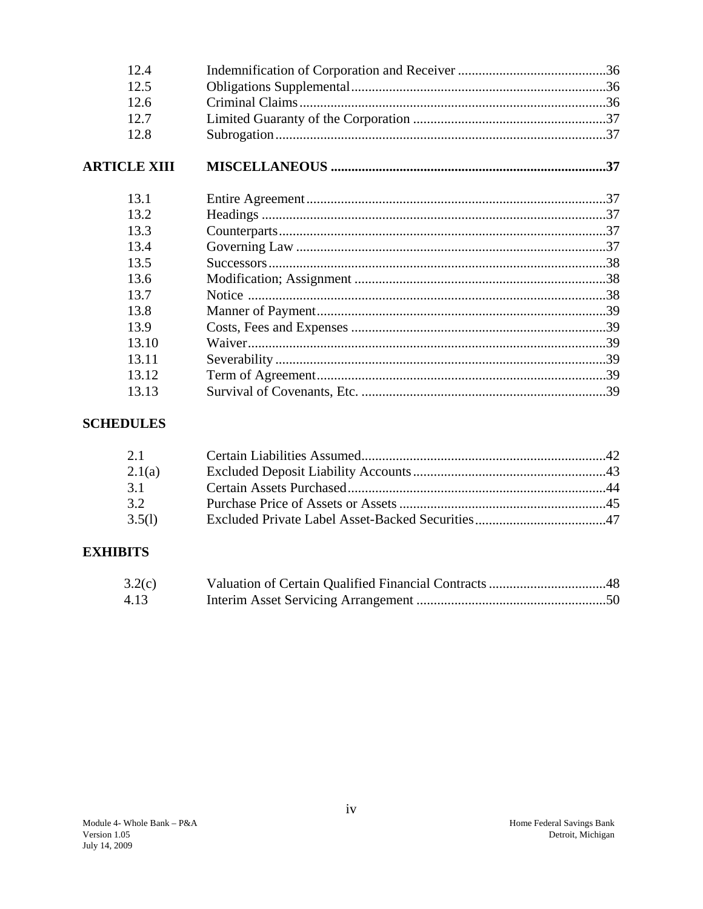| 12.4                |  |
|---------------------|--|
| 12.5                |  |
| 12.6                |  |
| 12.7                |  |
| 12.8                |  |
| <b>ARTICLE XIII</b> |  |
| 13.1                |  |
| 13.2                |  |
| 13.3                |  |
| 13.4                |  |
| 13.5                |  |
| 13.6                |  |
| 13.7                |  |
| 13.8                |  |
| 13.9                |  |
| 13.10               |  |
| 13.11               |  |
| 13.12               |  |
| 13.13               |  |

## **SCHEDULES**

| 2.1    |  |
|--------|--|
| 2.1(a) |  |
| 3.1    |  |
| 3.2    |  |
| 3.5(l) |  |

# **EXHIBITS**

| 3.2(c) |  |
|--------|--|
| 4.13   |  |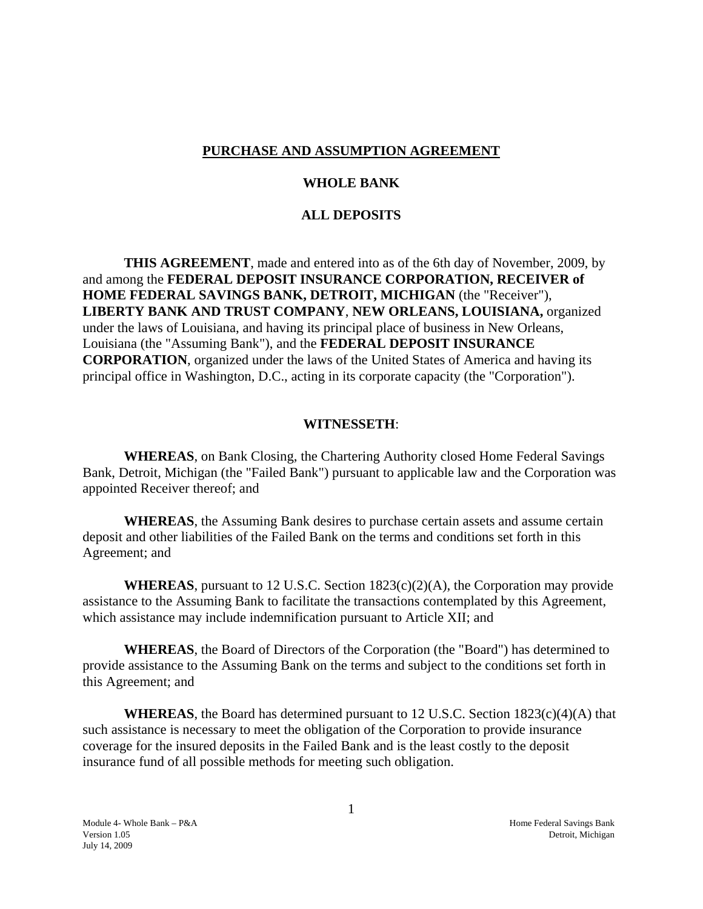#### **PURCHASE AND ASSUMPTION AGREEMENT**

#### **WHOLE BANK**

#### **ALL DEPOSITS**

 **THIS AGREEMENT**, made and entered into as of the 6th day of November, 2009, by and among the **FEDERAL DEPOSIT INSURANCE CORPORATION, RECEIVER of HOME FEDERAL SAVINGS BANK, DETROIT, MICHIGAN** (the "Receiver"), **LIBERTY BANK AND TRUST COMPANY**, **NEW ORLEANS, LOUISIANA,** organized under the laws of Louisiana, and having its principal place of business in New Orleans, Louisiana (the "Assuming Bank"), and the **FEDERAL DEPOSIT INSURANCE CORPORATION**, organized under the laws of the United States of America and having its principal office in Washington, D.C., acting in its corporate capacity (the "Corporation").

#### **WITNESSETH**:

 **WHEREAS**, on Bank Closing, the Chartering Authority closed Home Federal Savings Bank, Detroit, Michigan (the "Failed Bank") pursuant to applicable law and the Corporation was appointed Receiver thereof; and

 **WHEREAS**, the Assuming Bank desires to purchase certain assets and assume certain deposit and other liabilities of the Failed Bank on the terms and conditions set forth in this Agreement; and

 **WHEREAS**, pursuant to 12 U.S.C. Section 1823(c)(2)(A), the Corporation may provide assistance to the Assuming Bank to facilitate the transactions contemplated by this Agreement, which assistance may include indemnification pursuant to Article XII; and

 **WHEREAS**, the Board of Directors of the Corporation (the "Board") has determined to provide assistance to the Assuming Bank on the terms and subject to the conditions set forth in this Agreement; and

 **WHEREAS**, the Board has determined pursuant to 12 U.S.C. Section 1823(c)(4)(A) that such assistance is necessary to meet the obligation of the Corporation to provide insurance coverage for the insured deposits in the Failed Bank and is the least costly to the deposit insurance fund of all possible methods for meeting such obligation.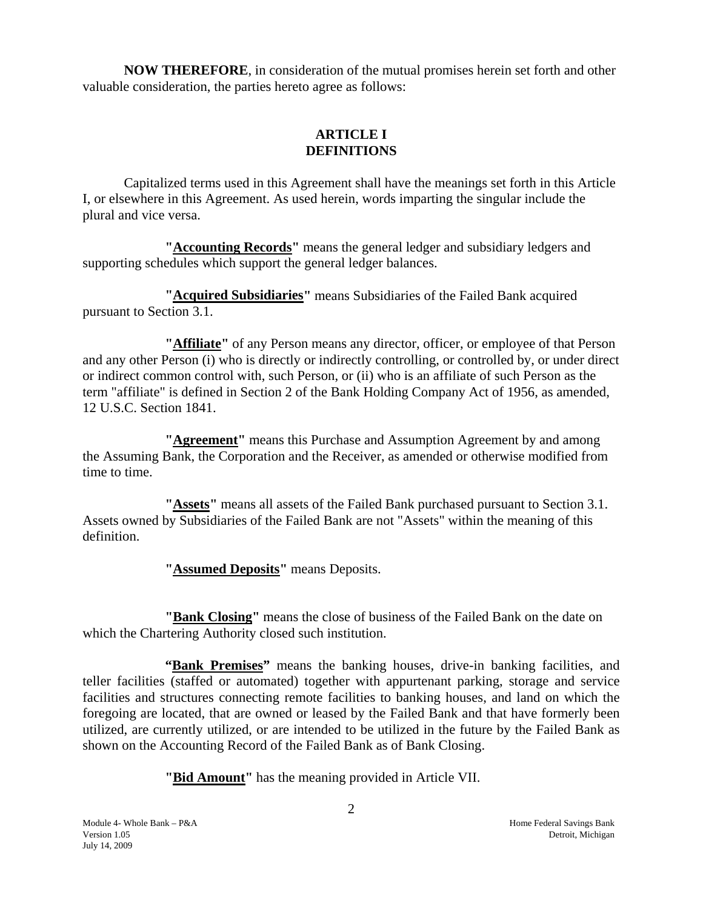**NOW THEREFORE**, in consideration of the mutual promises herein set forth and other valuable consideration, the parties hereto agree as follows:

### **ARTICLE I DEFINITIONS**

<span id="page-5-0"></span> Capitalized terms used in this Agreement shall have the meanings set forth in this Article I, or elsewhere in this Agreement. As used herein, words imparting the singular include the plural and vice versa.

 **"Accounting Records"** means the general ledger and subsidiary ledgers and supporting schedules which support the general ledger balances.

 **"Acquired Subsidiaries"** means Subsidiaries of the Failed Bank acquired pursuant to Section 3.1.

 **"Affiliate"** of any Person means any director, officer, or employee of that Person and any other Person (i) who is directly or indirectly controlling, or controlled by, or under direct or indirect common control with, such Person, or (ii) who is an affiliate of such Person as the term "affiliate" is defined in Section 2 of the Bank Holding Company Act of 1956, as amended, 12 U.S.C. Section 1841.

 **"Agreement"** means this Purchase and Assumption Agreement by and among the Assuming Bank, the Corporation and the Receiver, as amended or otherwise modified from time to time.

 **"Assets"** means all assets of the Failed Bank purchased pursuant to Section 3.1. Assets owned by Subsidiaries of the Failed Bank are not "Assets" within the meaning of this definition.

 **"Assumed Deposits"** means Deposits.

 **"Bank Closing"** means the close of business of the Failed Bank on the date on which the Chartering Authority closed such institution.

 **"Bank Premises"** means the banking houses, drive-in banking facilities, and teller facilities (staffed or automated) together with appurtenant parking, storage and service facilities and structures connecting remote facilities to banking houses, and land on which the foregoing are located, that are owned or leased by the Failed Bank and that have formerly been utilized, are currently utilized, or are intended to be utilized in the future by the Failed Bank as shown on the Accounting Record of the Failed Bank as of Bank Closing.

 **"Bid Amount"** has the meaning provided in Article VII.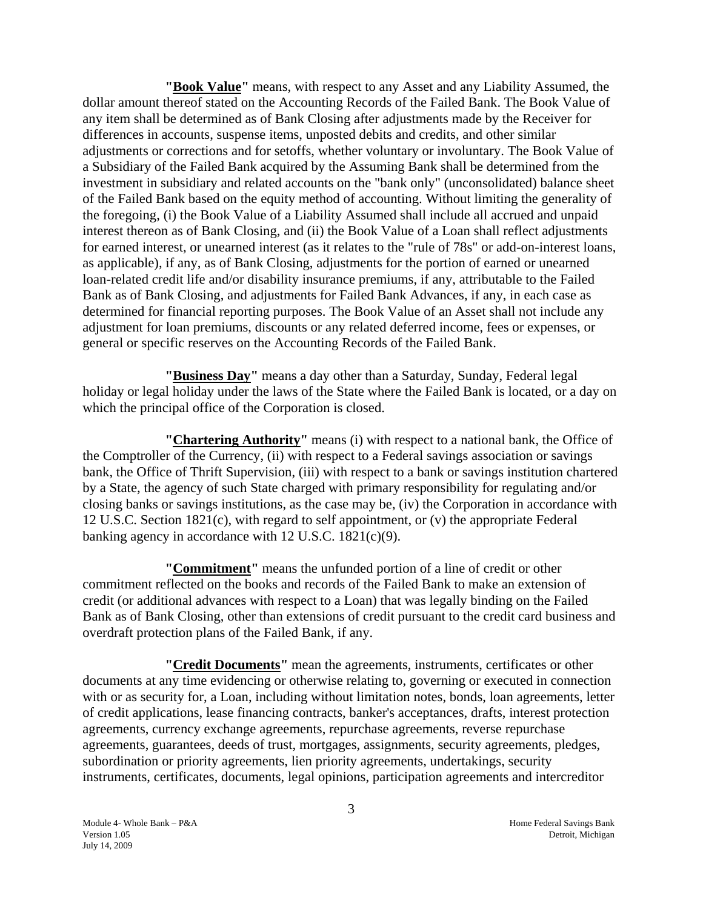**"Book Value"** means, with respect to any Asset and any Liability Assumed, the dollar amount thereof stated on the Accounting Records of the Failed Bank. The Book Value of any item shall be determined as of Bank Closing after adjustments made by the Receiver for differences in accounts, suspense items, unposted debits and credits, and other similar adjustments or corrections and for setoffs, whether voluntary or involuntary. The Book Value of a Subsidiary of the Failed Bank acquired by the Assuming Bank shall be determined from the investment in subsidiary and related accounts on the "bank only" (unconsolidated) balance sheet of the Failed Bank based on the equity method of accounting. Without limiting the generality of the foregoing, (i) the Book Value of a Liability Assumed shall include all accrued and unpaid interest thereon as of Bank Closing, and (ii) the Book Value of a Loan shall reflect adjustments for earned interest, or unearned interest (as it relates to the "rule of 78s" or add-on-interest loans, as applicable), if any, as of Bank Closing, adjustments for the portion of earned or unearned loan-related credit life and/or disability insurance premiums, if any, attributable to the Failed Bank as of Bank Closing, and adjustments for Failed Bank Advances, if any, in each case as determined for financial reporting purposes. The Book Value of an Asset shall not include any adjustment for loan premiums, discounts or any related deferred income, fees or expenses, or general or specific reserves on the Accounting Records of the Failed Bank.

"Business Day" means a day other than a Saturday, Sunday, Federal legal holiday or legal holiday under the laws of the State where the Failed Bank is located, or a day on which the principal office of the Corporation is closed.

 **"Chartering Authority"** means (i) with respect to a national bank, the Office of the Comptroller of the Currency, (ii) with respect to a Federal savings association or savings bank, the Office of Thrift Supervision, (iii) with respect to a bank or savings institution chartered by a State, the agency of such State charged with primary responsibility for regulating and/or closing banks or savings institutions, as the case may be, (iv) the Corporation in accordance with 12 U.S.C. Section 1821(c), with regard to self appointment, or (v) the appropriate Federal banking agency in accordance with 12 U.S.C. 1821(c)(9).

 **"Commitment"** means the unfunded portion of a line of credit or other commitment reflected on the books and records of the Failed Bank to make an extension of credit (or additional advances with respect to a Loan) that was legally binding on the Failed Bank as of Bank Closing, other than extensions of credit pursuant to the credit card business and overdraft protection plans of the Failed Bank, if any.

 **"Credit Documents"** mean the agreements, instruments, certificates or other documents at any time evidencing or otherwise relating to, governing or executed in connection with or as security for, a Loan, including without limitation notes, bonds, loan agreements, letter of credit applications, lease financing contracts, banker's acceptances, drafts, interest protection agreements, currency exchange agreements, repurchase agreements, reverse repurchase agreements, guarantees, deeds of trust, mortgages, assignments, security agreements, pledges, subordination or priority agreements, lien priority agreements, undertakings, security instruments, certificates, documents, legal opinions, participation agreements and intercreditor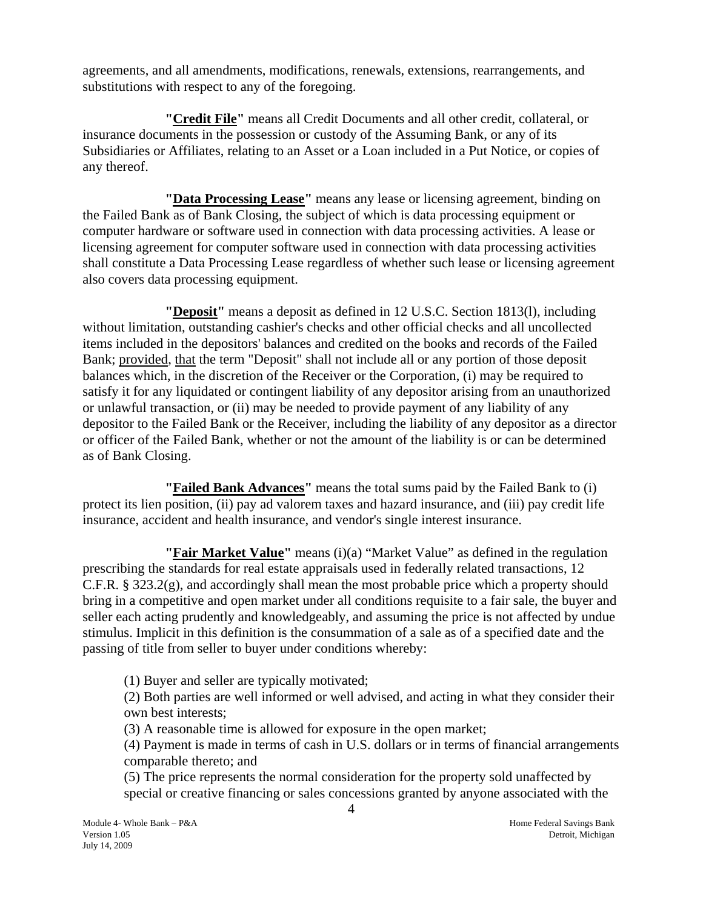agreements, and all amendments, modifications, renewals, extensions, rearrangements, and substitutions with respect to any of the foregoing.

 **"Credit File"** means all Credit Documents and all other credit, collateral, or insurance documents in the possession or custody of the Assuming Bank, or any of its Subsidiaries or Affiliates, relating to an Asset or a Loan included in a Put Notice, or copies of any thereof.

 **"Data Processing Lease"** means any lease or licensing agreement, binding on the Failed Bank as of Bank Closing, the subject of which is data processing equipment or computer hardware or software used in connection with data processing activities. A lease or licensing agreement for computer software used in connection with data processing activities shall constitute a Data Processing Lease regardless of whether such lease or licensing agreement also covers data processing equipment.

 **"Deposit"** means a deposit as defined in 12 U.S.C. Section 1813(l), including without limitation, outstanding cashier's checks and other official checks and all uncollected items included in the depositors' balances and credited on the books and records of the Failed Bank; provided, that the term "Deposit" shall not include all or any portion of those deposit balances which, in the discretion of the Receiver or the Corporation, (i) may be required to satisfy it for any liquidated or contingent liability of any depositor arising from an unauthorized or unlawful transaction, or (ii) may be needed to provide payment of any liability of any depositor to the Failed Bank or the Receiver, including the liability of any depositor as a director or officer of the Failed Bank, whether or not the amount of the liability is or can be determined as of Bank Closing.

 **"Failed Bank Advances"** means the total sums paid by the Failed Bank to (i) protect its lien position, (ii) pay ad valorem taxes and hazard insurance, and (iii) pay credit life insurance, accident and health insurance, and vendor's single interest insurance.

 **"Fair Market Value"** means (i)(a) "Market Value" as defined in the regulation prescribing the standards for real estate appraisals used in federally related transactions, 12 C.F.R. § 323.2(g), and accordingly shall mean the most probable price which a property should bring in a competitive and open market under all conditions requisite to a fair sale, the buyer and seller each acting prudently and knowledgeably, and assuming the price is not affected by undue stimulus. Implicit in this definition is the consummation of a sale as of a specified date and the passing of title from seller to buyer under conditions whereby:

(1) Buyer and seller are typically motivated;

(2) Both parties are well informed or well advised, and acting in what they consider their own best interests;

(3) A reasonable time is allowed for exposure in the open market;

(4) Payment is made in terms of cash in U.S. dollars or in terms of financial arrangements comparable thereto; and

(5) The price represents the normal consideration for the property sold unaffected by special or creative financing or sales concessions granted by anyone associated with the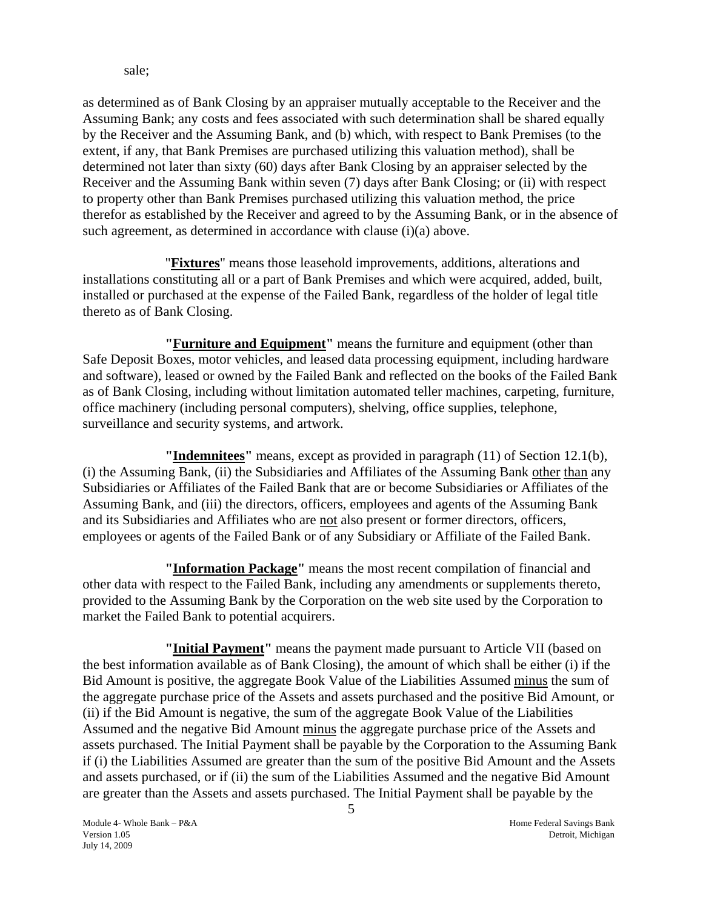sale;

as determined as of Bank Closing by an appraiser mutually acceptable to the Receiver and the Assuming Bank; any costs and fees associated with such determination shall be shared equally by the Receiver and the Assuming Bank, and (b) which, with respect to Bank Premises (to the extent, if any, that Bank Premises are purchased utilizing this valuation method), shall be determined not later than sixty (60) days after Bank Closing by an appraiser selected by the Receiver and the Assuming Bank within seven (7) days after Bank Closing; or (ii) with respect to property other than Bank Premises purchased utilizing this valuation method, the price therefor as established by the Receiver and agreed to by the Assuming Bank, or in the absence of such agreement, as determined in accordance with clause (i)(a) above.

 "**Fixtures**" means those leasehold improvements, additions, alterations and installations constituting all or a part of Bank Premises and which were acquired, added, built, installed or purchased at the expense of the Failed Bank, regardless of the holder of legal title thereto as of Bank Closing.

 **"Furniture and Equipment"** means the furniture and equipment (other than Safe Deposit Boxes, motor vehicles, and leased data processing equipment, including hardware and software), leased or owned by the Failed Bank and reflected on the books of the Failed Bank as of Bank Closing, including without limitation automated teller machines, carpeting, furniture, office machinery (including personal computers), shelving, office supplies, telephone, surveillance and security systems, and artwork.

 **"Indemnitees"** means, except as provided in paragraph (11) of Section 12.1(b), (i) the Assuming Bank, (ii) the Subsidiaries and Affiliates of the Assuming Bank other than any Subsidiaries or Affiliates of the Failed Bank that are or become Subsidiaries or Affiliates of the Assuming Bank, and (iii) the directors, officers, employees and agents of the Assuming Bank and its Subsidiaries and Affiliates who are not also present or former directors, officers, employees or agents of the Failed Bank or of any Subsidiary or Affiliate of the Failed Bank.

 **"Information Package"** means the most recent compilation of financial and other data with respect to the Failed Bank, including any amendments or supplements thereto, provided to the Assuming Bank by the Corporation on the web site used by the Corporation to market the Failed Bank to potential acquirers.

 **"Initial Payment"** means the payment made pursuant to Article VII (based on the best information available as of Bank Closing), the amount of which shall be either (i) if the Bid Amount is positive, the aggregate Book Value of the Liabilities Assumed minus the sum of the aggregate purchase price of the Assets and assets purchased and the positive Bid Amount, or (ii) if the Bid Amount is negative, the sum of the aggregate Book Value of the Liabilities Assumed and the negative Bid Amount minus the aggregate purchase price of the Assets and assets purchased. The Initial Payment shall be payable by the Corporation to the Assuming Bank if (i) the Liabilities Assumed are greater than the sum of the positive Bid Amount and the Assets and assets purchased, or if (ii) the sum of the Liabilities Assumed and the negative Bid Amount are greater than the Assets and assets purchased. The Initial Payment shall be payable by the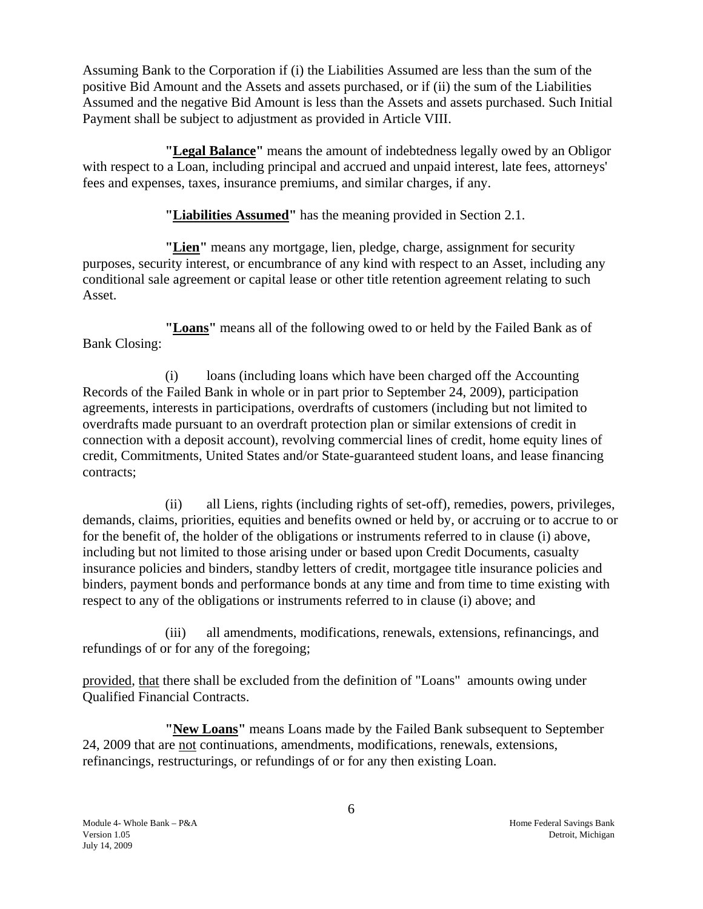Assuming Bank to the Corporation if (i) the Liabilities Assumed are less than the sum of the positive Bid Amount and the Assets and assets purchased, or if (ii) the sum of the Liabilities Assumed and the negative Bid Amount is less than the Assets and assets purchased. Such Initial Payment shall be subject to adjustment as provided in Article VIII.

 **"Legal Balance"** means the amount of indebtedness legally owed by an Obligor with respect to a Loan, including principal and accrued and unpaid interest, late fees, attorneys' fees and expenses, taxes, insurance premiums, and similar charges, if any.

 **"Liabilities Assumed"** has the meaning provided in Section 2.1.

 **"Lien"** means any mortgage, lien, pledge, charge, assignment for security purposes, security interest, or encumbrance of any kind with respect to an Asset, including any conditional sale agreement or capital lease or other title retention agreement relating to such Asset.

 **"Loans"** means all of the following owed to or held by the Failed Bank as of Bank Closing:

 (i) loans (including loans which have been charged off the Accounting Records of the Failed Bank in whole or in part prior to September 24, 2009), participation agreements, interests in participations, overdrafts of customers (including but not limited to overdrafts made pursuant to an overdraft protection plan or similar extensions of credit in connection with a deposit account), revolving commercial lines of credit, home equity lines of credit, Commitments, United States and/or State-guaranteed student loans, and lease financing contracts;

 (ii) all Liens, rights (including rights of set-off), remedies, powers, privileges, demands, claims, priorities, equities and benefits owned or held by, or accruing or to accrue to or for the benefit of, the holder of the obligations or instruments referred to in clause (i) above, including but not limited to those arising under or based upon Credit Documents, casualty insurance policies and binders, standby letters of credit, mortgagee title insurance policies and binders, payment bonds and performance bonds at any time and from time to time existing with respect to any of the obligations or instruments referred to in clause (i) above; and

 (iii) all amendments, modifications, renewals, extensions, refinancings, and refundings of or for any of the foregoing;

provided, that there shall be excluded from the definition of "Loans" amounts owing under Qualified Financial Contracts.

 **"New Loans"** means Loans made by the Failed Bank subsequent to September 24, 2009 that are not continuations, amendments, modifications, renewals, extensions, refinancings, restructurings, or refundings of or for any then existing Loan.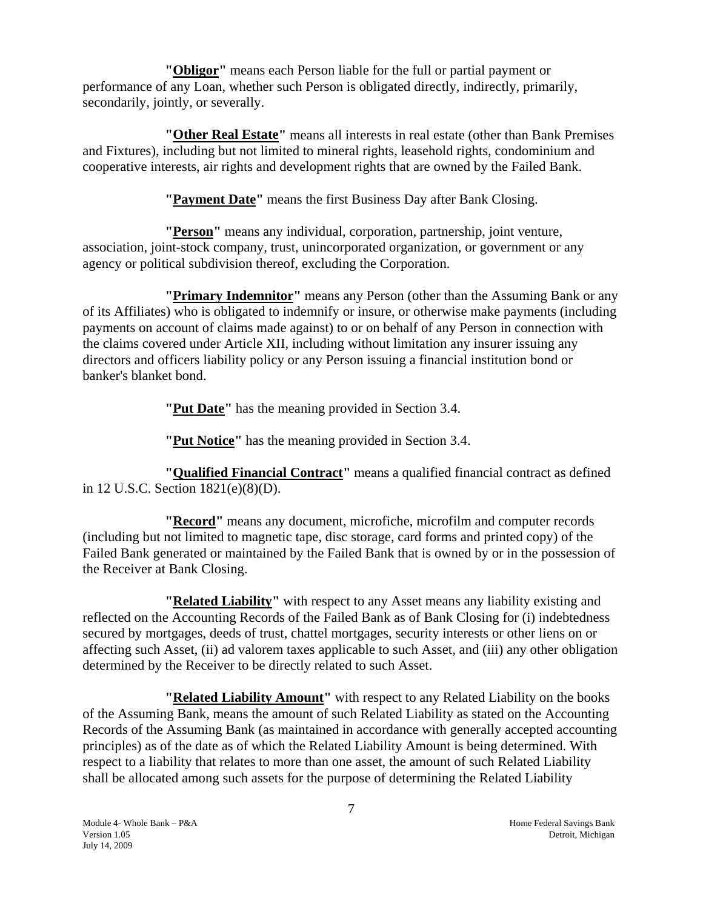**"Obligor"** means each Person liable for the full or partial payment or performance of any Loan, whether such Person is obligated directly, indirectly, primarily, secondarily, jointly, or severally.

 **"Other Real Estate"** means all interests in real estate (other than Bank Premises and Fixtures), including but not limited to mineral rights, leasehold rights, condominium and cooperative interests, air rights and development rights that are owned by the Failed Bank.

 **"Payment Date"** means the first Business Day after Bank Closing.

 **"Person"** means any individual, corporation, partnership, joint venture, association, joint-stock company, trust, unincorporated organization, or government or any agency or political subdivision thereof, excluding the Corporation.

 **"Primary Indemnitor"** means any Person (other than the Assuming Bank or any of its Affiliates) who is obligated to indemnify or insure, or otherwise make payments (including payments on account of claims made against) to or on behalf of any Person in connection with the claims covered under Article XII, including without limitation any insurer issuing any directors and officers liability policy or any Person issuing a financial institution bond or banker's blanket bond.

 **"Put Date"** has the meaning provided in Section 3.4.

 **"Put Notice"** has the meaning provided in Section 3.4.

 **"Qualified Financial Contract"** means a qualified financial contract as defined in 12 U.S.C. Section 1821(e)(8)(D).

 **"Record"** means any document, microfiche, microfilm and computer records (including but not limited to magnetic tape, disc storage, card forms and printed copy) of the Failed Bank generated or maintained by the Failed Bank that is owned by or in the possession of the Receiver at Bank Closing.

 **"Related Liability"** with respect to any Asset means any liability existing and reflected on the Accounting Records of the Failed Bank as of Bank Closing for (i) indebtedness secured by mortgages, deeds of trust, chattel mortgages, security interests or other liens on or affecting such Asset, (ii) ad valorem taxes applicable to such Asset, and (iii) any other obligation determined by the Receiver to be directly related to such Asset.

 **"Related Liability Amount"** with respect to any Related Liability on the books of the Assuming Bank, means the amount of such Related Liability as stated on the Accounting Records of the Assuming Bank (as maintained in accordance with generally accepted accounting principles) as of the date as of which the Related Liability Amount is being determined. With respect to a liability that relates to more than one asset, the amount of such Related Liability shall be allocated among such assets for the purpose of determining the Related Liability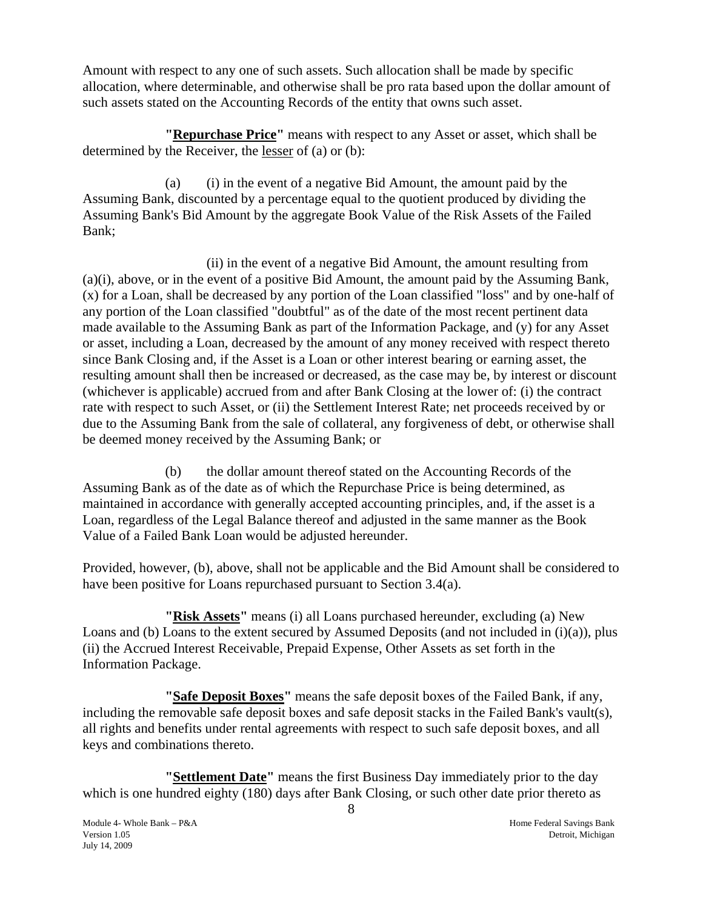Amount with respect to any one of such assets. Such allocation shall be made by specific allocation, where determinable, and otherwise shall be pro rata based upon the dollar amount of such assets stated on the Accounting Records of the entity that owns such asset.

 **"Repurchase Price"** means with respect to any Asset or asset, which shall be determined by the Receiver, the lesser of (a) or (b):

 (a) (i) in the event of a negative Bid Amount, the amount paid by the Assuming Bank, discounted by a percentage equal to the quotient produced by dividing the Assuming Bank's Bid Amount by the aggregate Book Value of the Risk Assets of the Failed Bank;

 (ii) in the event of a negative Bid Amount, the amount resulting from (a)(i), above, or in the event of a positive Bid Amount, the amount paid by the Assuming Bank, (x) for a Loan, shall be decreased by any portion of the Loan classified "loss" and by one-half of any portion of the Loan classified "doubtful" as of the date of the most recent pertinent data made available to the Assuming Bank as part of the Information Package, and (y) for any Asset or asset, including a Loan, decreased by the amount of any money received with respect thereto since Bank Closing and, if the Asset is a Loan or other interest bearing or earning asset, the resulting amount shall then be increased or decreased, as the case may be, by interest or discount (whichever is applicable) accrued from and after Bank Closing at the lower of: (i) the contract rate with respect to such Asset, or (ii) the Settlement Interest Rate; net proceeds received by or due to the Assuming Bank from the sale of collateral, any forgiveness of debt, or otherwise shall be deemed money received by the Assuming Bank; or

 (b) the dollar amount thereof stated on the Accounting Records of the Assuming Bank as of the date as of which the Repurchase Price is being determined, as maintained in accordance with generally accepted accounting principles, and, if the asset is a Loan, regardless of the Legal Balance thereof and adjusted in the same manner as the Book Value of a Failed Bank Loan would be adjusted hereunder.

Provided, however, (b), above, shall not be applicable and the Bid Amount shall be considered to have been positive for Loans repurchased pursuant to Section 3.4(a).

 **"Risk Assets"** means (i) all Loans purchased hereunder, excluding (a) New Loans and (b) Loans to the extent secured by Assumed Deposits (and not included in (i)(a)), plus (ii) the Accrued Interest Receivable, Prepaid Expense, Other Assets as set forth in the Information Package.

 **"Safe Deposit Boxes"** means the safe deposit boxes of the Failed Bank, if any, including the removable safe deposit boxes and safe deposit stacks in the Failed Bank's vault(s), all rights and benefits under rental agreements with respect to such safe deposit boxes, and all keys and combinations thereto.

 **"Settlement Date"** means the first Business Day immediately prior to the day which is one hundred eighty (180) days after Bank Closing, or such other date prior thereto as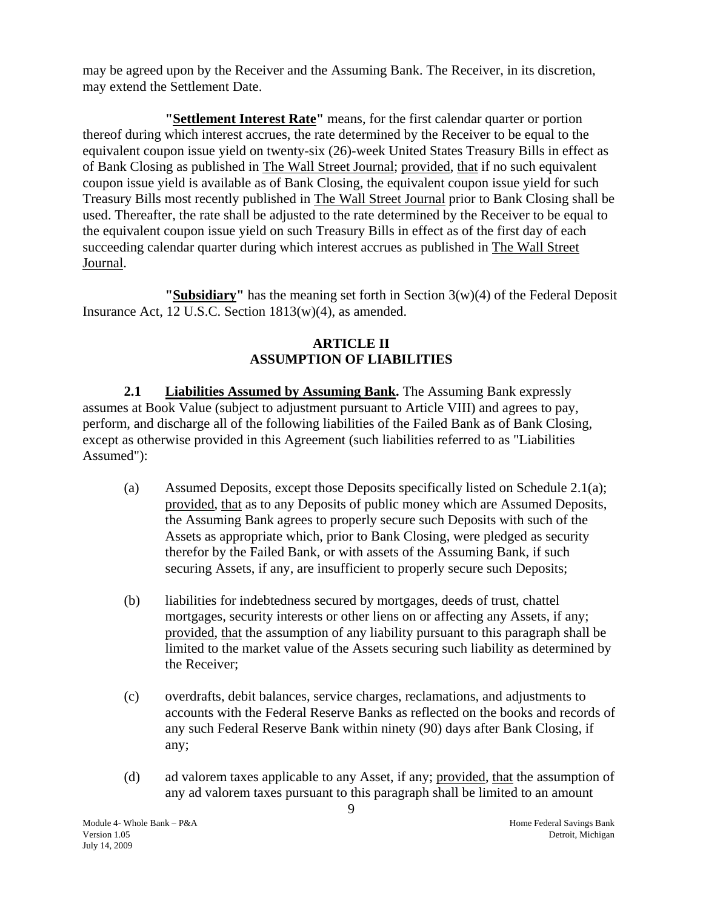may be agreed upon by the Receiver and the Assuming Bank. The Receiver, in its discretion, may extend the Settlement Date.

 **"Settlement Interest Rate"** means, for the first calendar quarter or portion thereof during which interest accrues, the rate determined by the Receiver to be equal to the equivalent coupon issue yield on twenty-six (26)-week United States Treasury Bills in effect as of Bank Closing as published in The Wall Street Journal; provided, that if no such equivalent coupon issue yield is available as of Bank Closing, the equivalent coupon issue yield for such Treasury Bills most recently published in The Wall Street Journal prior to Bank Closing shall be used. Thereafter, the rate shall be adjusted to the rate determined by the Receiver to be equal to the equivalent coupon issue yield on such Treasury Bills in effect as of the first day of each succeeding calendar quarter during which interest accrues as published in The Wall Street Journal.

 **"Subsidiary"** has the meaning set forth in Section 3(w)(4) of the Federal Deposit Insurance Act, 12 U.S.C. Section 1813(w)(4), as amended.

## **ARTICLE II ASSUMPTION OF LIABILITIES**

<span id="page-12-1"></span><span id="page-12-0"></span> **2.1 Liabilities Assumed by Assuming Bank.** The Assuming Bank expressly assumes at Book Value (subject to adjustment pursuant to Article VIII) and agrees to pay, perform, and discharge all of the following liabilities of the Failed Bank as of Bank Closing, except as otherwise provided in this Agreement (such liabilities referred to as "Liabilities Assumed"):

- (a) Assumed Deposits, except those Deposits specifically listed on Schedule 2.1(a); provided, that as to any Deposits of public money which are Assumed Deposits, the Assuming Bank agrees to properly secure such Deposits with such of the Assets as appropriate which, prior to Bank Closing, were pledged as security therefor by the Failed Bank, or with assets of the Assuming Bank, if such securing Assets, if any, are insufficient to properly secure such Deposits;
- (b) liabilities for indebtedness secured by mortgages, deeds of trust, chattel mortgages, security interests or other liens on or affecting any Assets, if any; provided, that the assumption of any liability pursuant to this paragraph shall be limited to the market value of the Assets securing such liability as determined by the Receiver;
- (c) overdrafts, debit balances, service charges, reclamations, and adjustments to accounts with the Federal Reserve Banks as reflected on the books and records of any such Federal Reserve Bank within ninety (90) days after Bank Closing, if any;
- (d) ad valorem taxes applicable to any Asset, if any; provided, that the assumption of any ad valorem taxes pursuant to this paragraph shall be limited to an amount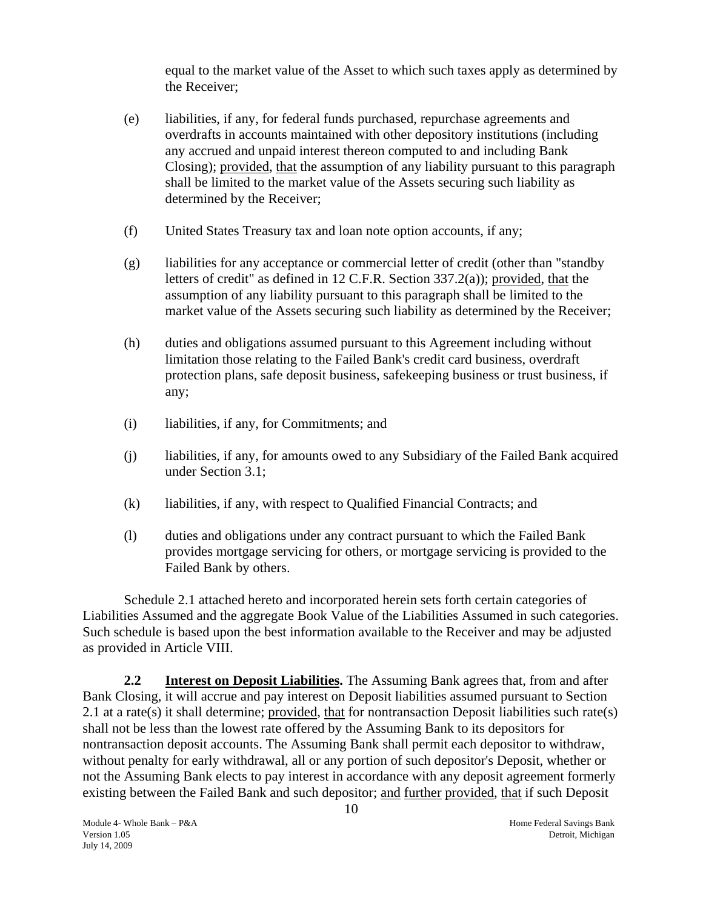equal to the market value of the Asset to which such taxes apply as determined by the Receiver;

- (e) liabilities, if any, for federal funds purchased, repurchase agreements and overdrafts in accounts maintained with other depository institutions (including any accrued and unpaid interest thereon computed to and including Bank Closing); provided, that the assumption of any liability pursuant to this paragraph shall be limited to the market value of the Assets securing such liability as determined by the Receiver;
- (f) United States Treasury tax and loan note option accounts, if any;
- (g) liabilities for any acceptance or commercial letter of credit (other than "standby letters of credit" as defined in 12 C.F.R. Section 337.2(a)); provided, that the assumption of any liability pursuant to this paragraph shall be limited to the market value of the Assets securing such liability as determined by the Receiver;
- (h) duties and obligations assumed pursuant to this Agreement including without limitation those relating to the Failed Bank's credit card business, overdraft protection plans, safe deposit business, safekeeping business or trust business, if any;
- (i) liabilities, if any, for Commitments; and
- (j) liabilities, if any, for amounts owed to any Subsidiary of the Failed Bank acquired under Section 3.1;
- (k) liabilities, if any, with respect to Qualified Financial Contracts; and
- (l) duties and obligations under any contract pursuant to which the Failed Bank provides mortgage servicing for others, or mortgage servicing is provided to the Failed Bank by others.

 Schedule 2.1 attached hereto and incorporated herein sets forth certain categories of Liabilities Assumed and the aggregate Book Value of the Liabilities Assumed in such categories. Such schedule is based upon the best information available to the Receiver and may be adjusted as provided in Article VIII.

<span id="page-13-0"></span> **2.2 Interest on Deposit Liabilities.** The Assuming Bank agrees that, from and after Bank Closing, it will accrue and pay interest on Deposit liabilities assumed pursuant to Section 2.1 at a rate(s) it shall determine; provided, that for nontransaction Deposit liabilities such rate(s) shall not be less than the lowest rate offered by the Assuming Bank to its depositors for nontransaction deposit accounts. The Assuming Bank shall permit each depositor to withdraw, without penalty for early withdrawal, all or any portion of such depositor's Deposit, whether or not the Assuming Bank elects to pay interest in accordance with any deposit agreement formerly existing between the Failed Bank and such depositor; and further provided, that if such Deposit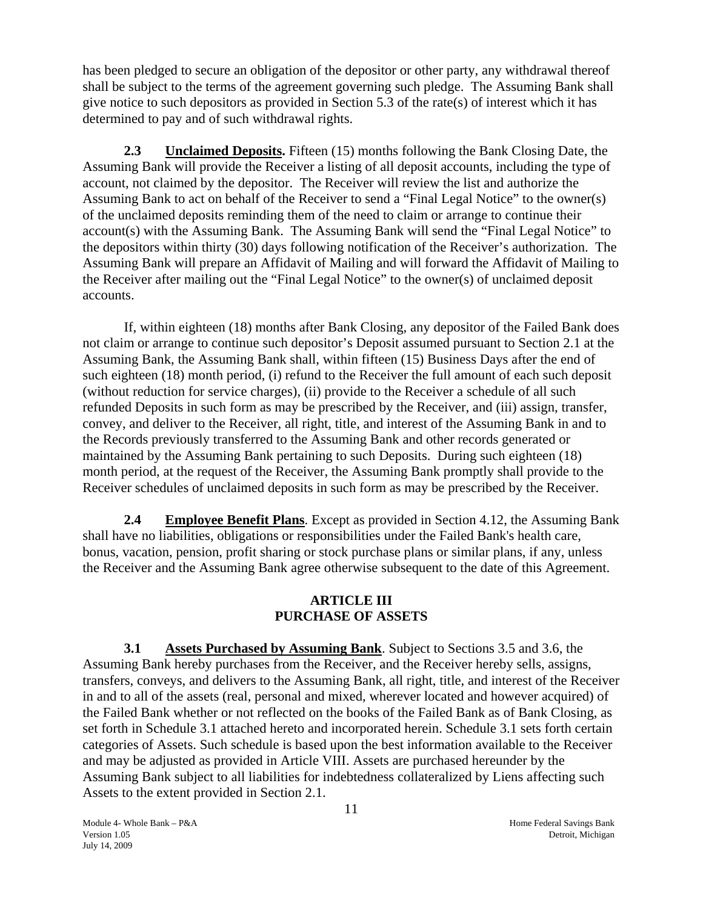has been pledged to secure an obligation of the depositor or other party, any withdrawal thereof shall be subject to the terms of the agreement governing such pledge. The Assuming Bank shall give notice to such depositors as provided in Section 5.3 of the rate(s) of interest which it has determined to pay and of such withdrawal rights.

<span id="page-14-0"></span> **2.3 Unclaimed Deposits.** Fifteen (15) months following the Bank Closing Date, the Assuming Bank will provide the Receiver a listing of all deposit accounts, including the type of account, not claimed by the depositor. The Receiver will review the list and authorize the Assuming Bank to act on behalf of the Receiver to send a "Final Legal Notice" to the owner(s) of the unclaimed deposits reminding them of the need to claim or arrange to continue their account(s) with the Assuming Bank. The Assuming Bank will send the "Final Legal Notice" to the depositors within thirty (30) days following notification of the Receiver's authorization. The Assuming Bank will prepare an Affidavit of Mailing and will forward the Affidavit of Mailing to the Receiver after mailing out the "Final Legal Notice" to the owner(s) of unclaimed deposit accounts.

If, within eighteen (18) months after Bank Closing, any depositor of the Failed Bank does not claim or arrange to continue such depositor's Deposit assumed pursuant to Section 2.1 at the Assuming Bank, the Assuming Bank shall, within fifteen (15) Business Days after the end of such eighteen (18) month period, (i) refund to the Receiver the full amount of each such deposit (without reduction for service charges), (ii) provide to the Receiver a schedule of all such refunded Deposits in such form as may be prescribed by the Receiver, and (iii) assign, transfer, convey, and deliver to the Receiver, all right, title, and interest of the Assuming Bank in and to the Records previously transferred to the Assuming Bank and other records generated or maintained by the Assuming Bank pertaining to such Deposits. During such eighteen (18) month period, at the request of the Receiver, the Assuming Bank promptly shall provide to the Receiver schedules of unclaimed deposits in such form as may be prescribed by the Receiver.

<span id="page-14-1"></span> **2.4 Employee Benefit Plans**. Except as provided in Section 4.12, the Assuming Bank shall have no liabilities, obligations or responsibilities under the Failed Bank's health care, bonus, vacation, pension, profit sharing or stock purchase plans or similar plans, if any, unless the Receiver and the Assuming Bank agree otherwise subsequent to the date of this Agreement.

### **ARTICLE III PURCHASE OF ASSETS**

<span id="page-14-3"></span><span id="page-14-2"></span> **3.1 Assets Purchased by Assuming Bank**. Subject to Sections 3.5 and 3.6, the Assuming Bank hereby purchases from the Receiver, and the Receiver hereby sells, assigns, transfers, conveys, and delivers to the Assuming Bank, all right, title, and interest of the Receiver in and to all of the assets (real, personal and mixed, wherever located and however acquired) of the Failed Bank whether or not reflected on the books of the Failed Bank as of Bank Closing, as set forth in Schedule 3.1 attached hereto and incorporated herein. Schedule 3.1 sets forth certain categories of Assets. Such schedule is based upon the best information available to the Receiver and may be adjusted as provided in Article VIII. Assets are purchased hereunder by the Assuming Bank subject to all liabilities for indebtedness collateralized by Liens affecting such Assets to the extent provided in Section 2.1.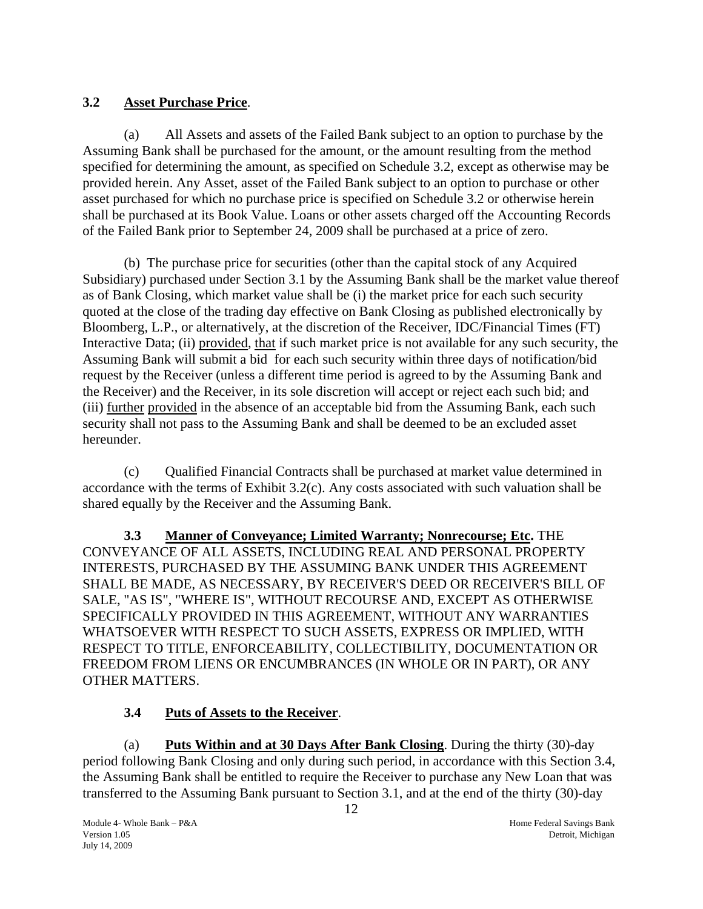## <span id="page-15-0"></span>**3.2 Asset Purchase Price**.

 (a) All Assets and assets of the Failed Bank subject to an option to purchase by the Assuming Bank shall be purchased for the amount, or the amount resulting from the method specified for determining the amount, as specified on Schedule 3.2, except as otherwise may be provided herein. Any Asset, asset of the Failed Bank subject to an option to purchase or other asset purchased for which no purchase price is specified on Schedule 3.2 or otherwise herein shall be purchased at its Book Value. Loans or other assets charged off the Accounting Records of the Failed Bank prior to September 24, 2009 shall be purchased at a price of zero.

 (b) The purchase price for securities (other than the capital stock of any Acquired Subsidiary) purchased under Section 3.1 by the Assuming Bank shall be the market value thereof as of Bank Closing, which market value shall be (i) the market price for each such security quoted at the close of the trading day effective on Bank Closing as published electronically by Bloomberg, L.P., or alternatively, at the discretion of the Receiver, IDC/Financial Times (FT) Interactive Data; (ii) provided, that if such market price is not available for any such security, the Assuming Bank will submit a bid for each such security within three days of notification/bid request by the Receiver (unless a different time period is agreed to by the Assuming Bank and the Receiver) and the Receiver, in its sole discretion will accept or reject each such bid; and (iii) further provided in the absence of an acceptable bid from the Assuming Bank, each such security shall not pass to the Assuming Bank and shall be deemed to be an excluded asset hereunder.

 (c) Qualified Financial Contracts shall be purchased at market value determined in accordance with the terms of Exhibit 3.2(c). Any costs associated with such valuation shall be shared equally by the Receiver and the Assuming Bank.

<span id="page-15-1"></span> **3.3 Manner of Conveyance; Limited Warranty; Nonrecourse; Etc.** THE CONVEYANCE OF ALL ASSETS, INCLUDING REAL AND PERSONAL PROPERTY INTERESTS, PURCHASED BY THE ASSUMING BANK UNDER THIS AGREEMENT SHALL BE MADE, AS NECESSARY, BY RECEIVER'S DEED OR RECEIVER'S BILL OF SALE, "AS IS", "WHERE IS", WITHOUT RECOURSE AND, EXCEPT AS OTHERWISE SPECIFICALLY PROVIDED IN THIS AGREEMENT, WITHOUT ANY WARRANTIES WHATSOEVER WITH RESPECT TO SUCH ASSETS, EXPRESS OR IMPLIED, WITH RESPECT TO TITLE, ENFORCEABILITY, COLLECTIBILITY, DOCUMENTATION OR FREEDOM FROM LIENS OR ENCUMBRANCES (IN WHOLE OR IN PART), OR ANY OTHER MATTERS.

# **3.4 Puts of Assets to the Receiver**.

<span id="page-15-2"></span> (a) **Puts Within and at 30 Days After Bank Closing**. During the thirty (30)-day period following Bank Closing and only during such period, in accordance with this Section 3.4, the Assuming Bank shall be entitled to require the Receiver to purchase any New Loan that was transferred to the Assuming Bank pursuant to Section 3.1, and at the end of the thirty (30)-day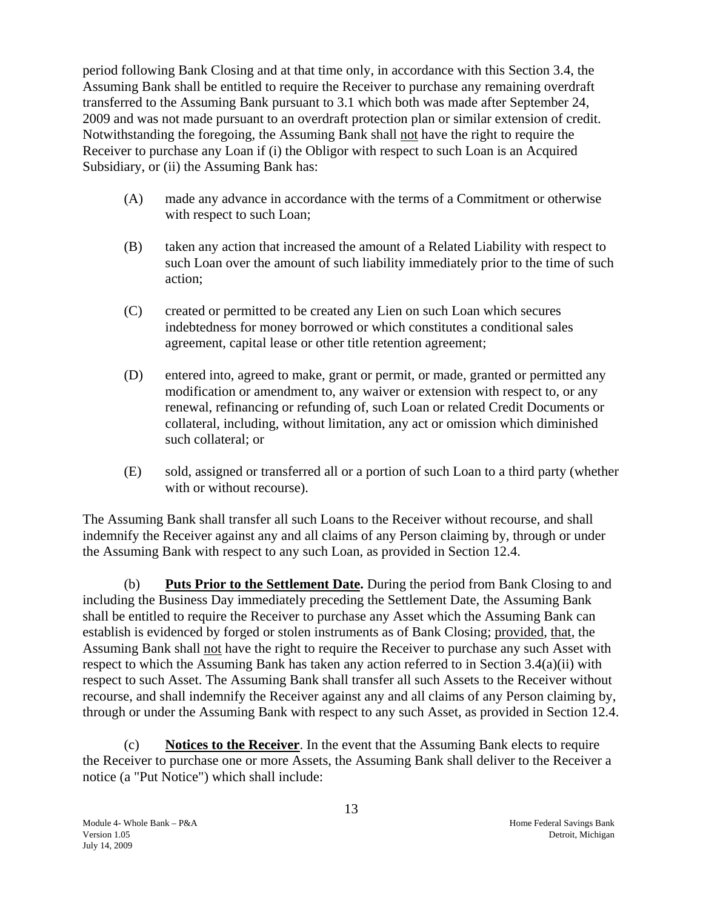period following Bank Closing and at that time only, in accordance with this Section 3.4, the Assuming Bank shall be entitled to require the Receiver to purchase any remaining overdraft transferred to the Assuming Bank pursuant to 3.1 which both was made after September 24, 2009 and was not made pursuant to an overdraft protection plan or similar extension of credit. Notwithstanding the foregoing, the Assuming Bank shall not have the right to require the Receiver to purchase any Loan if (i) the Obligor with respect to such Loan is an Acquired Subsidiary, or (ii) the Assuming Bank has:

- (A) made any advance in accordance with the terms of a Commitment or otherwise with respect to such Loan;
- (B) taken any action that increased the amount of a Related Liability with respect to such Loan over the amount of such liability immediately prior to the time of such action;
- (C) created or permitted to be created any Lien on such Loan which secures indebtedness for money borrowed or which constitutes a conditional sales agreement, capital lease or other title retention agreement;
- (D) entered into, agreed to make, grant or permit, or made, granted or permitted any modification or amendment to, any waiver or extension with respect to, or any renewal, refinancing or refunding of, such Loan or related Credit Documents or collateral, including, without limitation, any act or omission which diminished such collateral; or
- (E) sold, assigned or transferred all or a portion of such Loan to a third party (whether with or without recourse).

The Assuming Bank shall transfer all such Loans to the Receiver without recourse, and shall indemnify the Receiver against any and all claims of any Person claiming by, through or under the Assuming Bank with respect to any such Loan, as provided in Section 12.4.

 (b) **Puts Prior to the Settlement Date.** During the period from Bank Closing to and including the Business Day immediately preceding the Settlement Date, the Assuming Bank shall be entitled to require the Receiver to purchase any Asset which the Assuming Bank can establish is evidenced by forged or stolen instruments as of Bank Closing; provided, that, the Assuming Bank shall not have the right to require the Receiver to purchase any such Asset with respect to which the Assuming Bank has taken any action referred to in Section 3.4(a)(ii) with respect to such Asset. The Assuming Bank shall transfer all such Assets to the Receiver without recourse, and shall indemnify the Receiver against any and all claims of any Person claiming by, through or under the Assuming Bank with respect to any such Asset, as provided in Section 12.4.

 (c) **Notices to the Receiver**. In the event that the Assuming Bank elects to require the Receiver to purchase one or more Assets, the Assuming Bank shall deliver to the Receiver a notice (a "Put Notice") which shall include: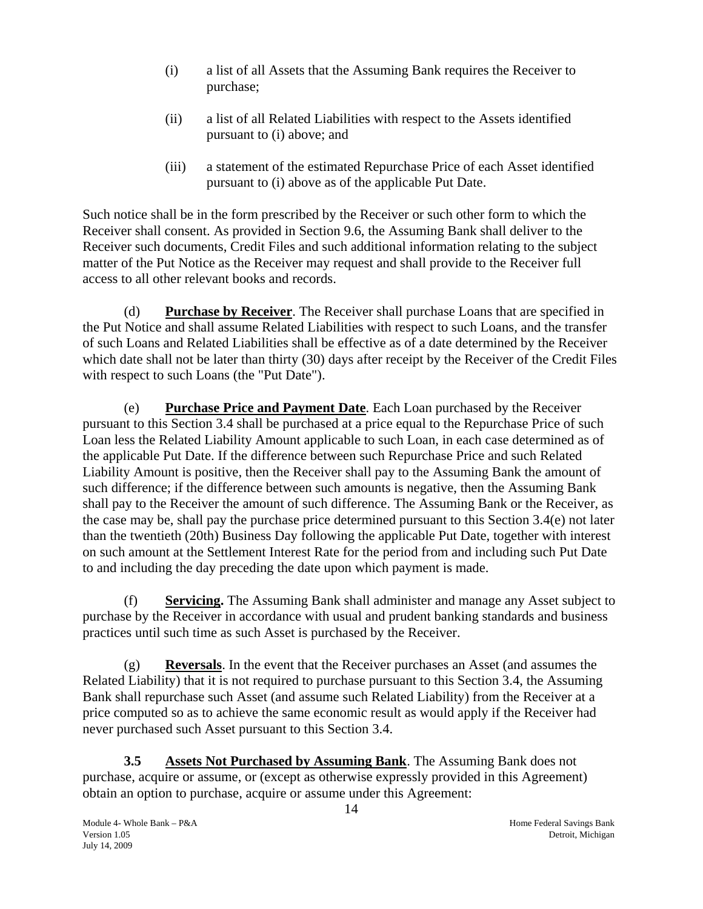- (i) a list of all Assets that the Assuming Bank requires the Receiver to purchase;
- (ii) a list of all Related Liabilities with respect to the Assets identified pursuant to (i) above; and
- (iii) a statement of the estimated Repurchase Price of each Asset identified pursuant to (i) above as of the applicable Put Date.

Such notice shall be in the form prescribed by the Receiver or such other form to which the Receiver shall consent. As provided in Section 9.6, the Assuming Bank shall deliver to the Receiver such documents, Credit Files and such additional information relating to the subject matter of the Put Notice as the Receiver may request and shall provide to the Receiver full access to all other relevant books and records.

 (d) **Purchase by Receiver**. The Receiver shall purchase Loans that are specified in the Put Notice and shall assume Related Liabilities with respect to such Loans, and the transfer of such Loans and Related Liabilities shall be effective as of a date determined by the Receiver which date shall not be later than thirty (30) days after receipt by the Receiver of the Credit Files with respect to such Loans (the "Put Date").

 (e) **Purchase Price and Payment Date**. Each Loan purchased by the Receiver pursuant to this Section 3.4 shall be purchased at a price equal to the Repurchase Price of such Loan less the Related Liability Amount applicable to such Loan, in each case determined as of the applicable Put Date. If the difference between such Repurchase Price and such Related Liability Amount is positive, then the Receiver shall pay to the Assuming Bank the amount of such difference; if the difference between such amounts is negative, then the Assuming Bank shall pay to the Receiver the amount of such difference. The Assuming Bank or the Receiver, as the case may be, shall pay the purchase price determined pursuant to this Section 3.4(e) not later than the twentieth (20th) Business Day following the applicable Put Date, together with interest on such amount at the Settlement Interest Rate for the period from and including such Put Date to and including the day preceding the date upon which payment is made.

 (f) **Servicing.** The Assuming Bank shall administer and manage any Asset subject to purchase by the Receiver in accordance with usual and prudent banking standards and business practices until such time as such Asset is purchased by the Receiver.

 (g) **Reversals**. In the event that the Receiver purchases an Asset (and assumes the Related Liability) that it is not required to purchase pursuant to this Section 3.4, the Assuming Bank shall repurchase such Asset (and assume such Related Liability) from the Receiver at a price computed so as to achieve the same economic result as would apply if the Receiver had never purchased such Asset pursuant to this Section 3.4.

<span id="page-17-0"></span> **3.5 Assets Not Purchased by Assuming Bank**. The Assuming Bank does not purchase, acquire or assume, or (except as otherwise expressly provided in this Agreement) obtain an option to purchase, acquire or assume under this Agreement: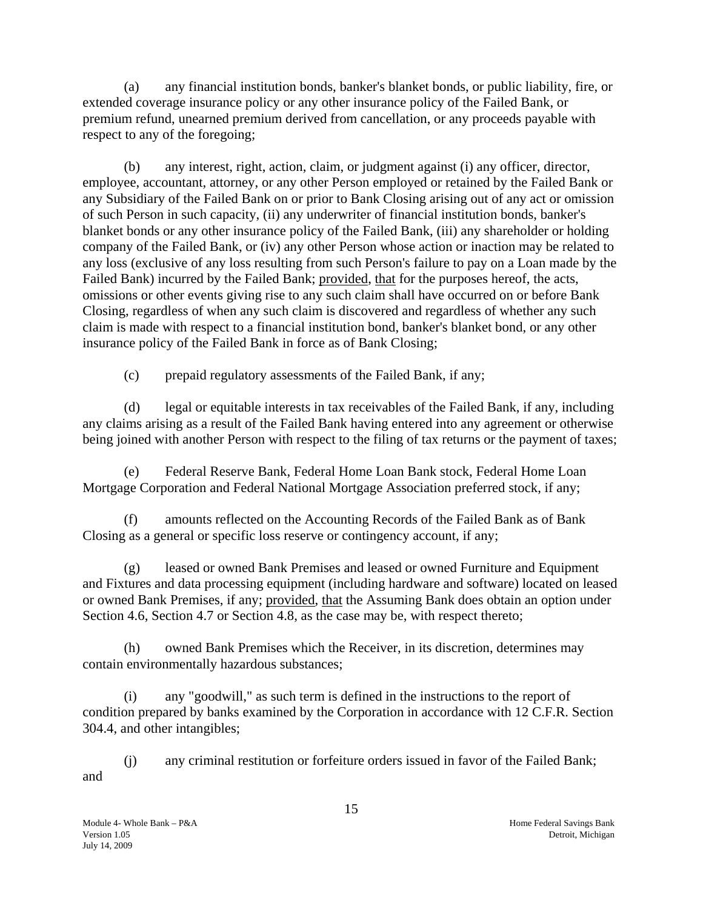(a) any financial institution bonds, banker's blanket bonds, or public liability, fire, or extended coverage insurance policy or any other insurance policy of the Failed Bank, or premium refund, unearned premium derived from cancellation, or any proceeds payable with respect to any of the foregoing;

 (b) any interest, right, action, claim, or judgment against (i) any officer, director, employee, accountant, attorney, or any other Person employed or retained by the Failed Bank or any Subsidiary of the Failed Bank on or prior to Bank Closing arising out of any act or omission of such Person in such capacity, (ii) any underwriter of financial institution bonds, banker's blanket bonds or any other insurance policy of the Failed Bank, (iii) any shareholder or holding company of the Failed Bank, or (iv) any other Person whose action or inaction may be related to any loss (exclusive of any loss resulting from such Person's failure to pay on a Loan made by the Failed Bank) incurred by the Failed Bank; provided, that for the purposes hereof, the acts, omissions or other events giving rise to any such claim shall have occurred on or before Bank Closing, regardless of when any such claim is discovered and regardless of whether any such claim is made with respect to a financial institution bond, banker's blanket bond, or any other insurance policy of the Failed Bank in force as of Bank Closing;

(c) prepaid regulatory assessments of the Failed Bank, if any;

 (d) legal or equitable interests in tax receivables of the Failed Bank, if any, including any claims arising as a result of the Failed Bank having entered into any agreement or otherwise being joined with another Person with respect to the filing of tax returns or the payment of taxes;

 (e) Federal Reserve Bank, Federal Home Loan Bank stock, Federal Home Loan Mortgage Corporation and Federal National Mortgage Association preferred stock, if any;

 (f) amounts reflected on the Accounting Records of the Failed Bank as of Bank Closing as a general or specific loss reserve or contingency account, if any;

 (g) leased or owned Bank Premises and leased or owned Furniture and Equipment and Fixtures and data processing equipment (including hardware and software) located on leased or owned Bank Premises, if any; provided, that the Assuming Bank does obtain an option under Section 4.6, Section 4.7 or Section 4.8, as the case may be, with respect thereto;

 (h) owned Bank Premises which the Receiver, in its discretion, determines may contain environmentally hazardous substances;

 (i) any "goodwill," as such term is defined in the instructions to the report of condition prepared by banks examined by the Corporation in accordance with 12 C.F.R. Section 304.4, and other intangibles;

 (j) any criminal restitution or forfeiture orders issued in favor of the Failed Bank; and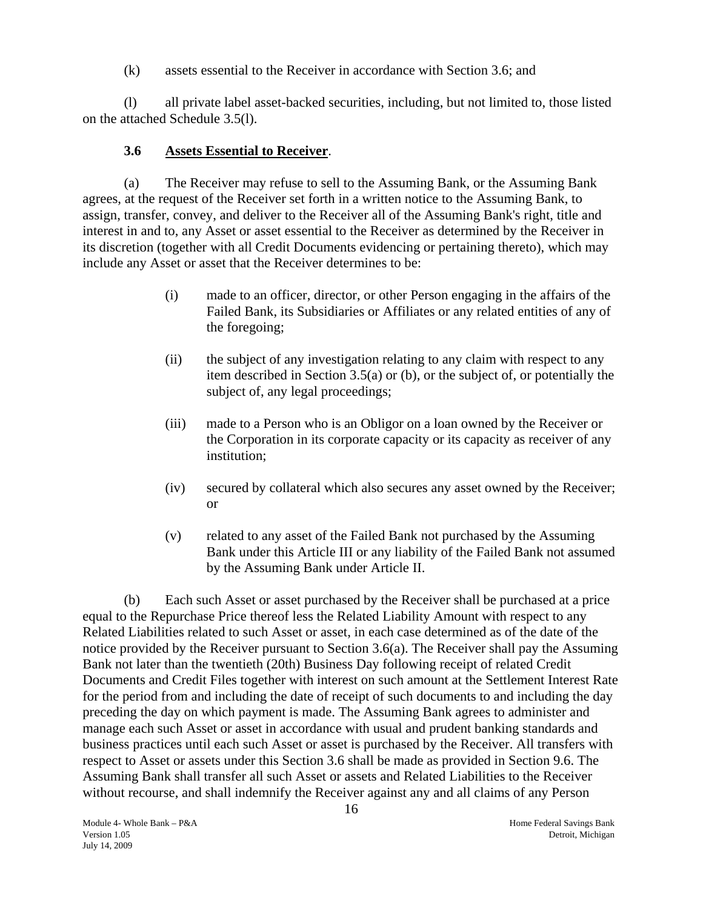(k) assets essential to the Receiver in accordance with Section 3.6; and

 (l) all private label asset-backed securities, including, but not limited to, those listed on the attached Schedule 3.5(l).

### **3.6 Assets Essential to Receiver**.

<span id="page-19-0"></span> (a) The Receiver may refuse to sell to the Assuming Bank, or the Assuming Bank agrees, at the request of the Receiver set forth in a written notice to the Assuming Bank, to assign, transfer, convey, and deliver to the Receiver all of the Assuming Bank's right, title and interest in and to, any Asset or asset essential to the Receiver as determined by the Receiver in its discretion (together with all Credit Documents evidencing or pertaining thereto), which may include any Asset or asset that the Receiver determines to be:

- (i) made to an officer, director, or other Person engaging in the affairs of the Failed Bank, its Subsidiaries or Affiliates or any related entities of any of the foregoing;
- (ii) the subject of any investigation relating to any claim with respect to any item described in Section 3.5(a) or (b), or the subject of, or potentially the subject of, any legal proceedings;
- (iii) made to a Person who is an Obligor on a loan owned by the Receiver or the Corporation in its corporate capacity or its capacity as receiver of any institution;
- (iv) secured by collateral which also secures any asset owned by the Receiver; or
- (v) related to any asset of the Failed Bank not purchased by the Assuming Bank under this Article III or any liability of the Failed Bank not assumed by the Assuming Bank under Article II.

 (b) Each such Asset or asset purchased by the Receiver shall be purchased at a price equal to the Repurchase Price thereof less the Related Liability Amount with respect to any Related Liabilities related to such Asset or asset, in each case determined as of the date of the notice provided by the Receiver pursuant to Section 3.6(a). The Receiver shall pay the Assuming Bank not later than the twentieth (20th) Business Day following receipt of related Credit Documents and Credit Files together with interest on such amount at the Settlement Interest Rate for the period from and including the date of receipt of such documents to and including the day preceding the day on which payment is made. The Assuming Bank agrees to administer and manage each such Asset or asset in accordance with usual and prudent banking standards and business practices until each such Asset or asset is purchased by the Receiver. All transfers with respect to Asset or assets under this Section 3.6 shall be made as provided in Section 9.6. The Assuming Bank shall transfer all such Asset or assets and Related Liabilities to the Receiver without recourse, and shall indemnify the Receiver against any and all claims of any Person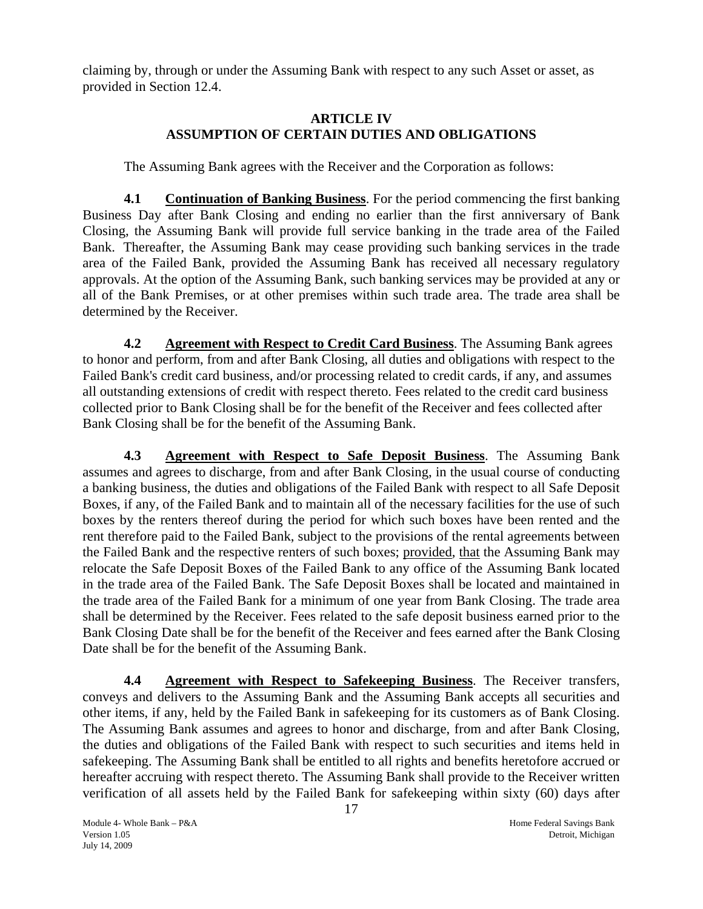claiming by, through or under the Assuming Bank with respect to any such Asset or asset, as provided in Section 12.4.

### **ARTICLE IV ASSUMPTION OF CERTAIN DUTIES AND OBLIGATIONS**

The Assuming Bank agrees with the Receiver and the Corporation as follows:

<span id="page-20-1"></span><span id="page-20-0"></span>**4.1 Continuation of Banking Business**. For the period commencing the first banking Business Day after Bank Closing and ending no earlier than the first anniversary of Bank Closing, the Assuming Bank will provide full service banking in the trade area of the Failed Bank. Thereafter, the Assuming Bank may cease providing such banking services in the trade area of the Failed Bank, provided the Assuming Bank has received all necessary regulatory approvals. At the option of the Assuming Bank, such banking services may be provided at any or all of the Bank Premises, or at other premises within such trade area. The trade area shall be determined by the Receiver.

<span id="page-20-2"></span> **4.2 Agreement with Respect to Credit Card Business**. The Assuming Bank agrees to honor and perform, from and after Bank Closing, all duties and obligations with respect to the Failed Bank's credit card business, and/or processing related to credit cards, if any, and assumes all outstanding extensions of credit with respect thereto. Fees related to the credit card business collected prior to Bank Closing shall be for the benefit of the Receiver and fees collected after Bank Closing shall be for the benefit of the Assuming Bank.

<span id="page-20-3"></span> **4.3 Agreement with Respect to Safe Deposit Business**. The Assuming Bank assumes and agrees to discharge, from and after Bank Closing, in the usual course of conducting a banking business, the duties and obligations of the Failed Bank with respect to all Safe Deposit Boxes, if any, of the Failed Bank and to maintain all of the necessary facilities for the use of such boxes by the renters thereof during the period for which such boxes have been rented and the rent therefore paid to the Failed Bank, subject to the provisions of the rental agreements between the Failed Bank and the respective renters of such boxes; provided, that the Assuming Bank may relocate the Safe Deposit Boxes of the Failed Bank to any office of the Assuming Bank located in the trade area of the Failed Bank. The Safe Deposit Boxes shall be located and maintained in the trade area of the Failed Bank for a minimum of one year from Bank Closing. The trade area shall be determined by the Receiver. Fees related to the safe deposit business earned prior to the Bank Closing Date shall be for the benefit of the Receiver and fees earned after the Bank Closing Date shall be for the benefit of the Assuming Bank.

 **4.4 Agreement with Respect to Safekeeping Business**. The Receiver transfers, conveys and delivers to the Assuming Bank and the Assuming Bank accepts all securities and other items, if any, held by the Failed Bank in safekeeping for its customers as of Bank Closing. The Assuming Bank assumes and agrees to honor and discharge, from and after Bank Closing, the duties and obligations of the Failed Bank with respect to such securities and items held in safekeeping. The Assuming Bank shall be entitled to all rights and benefits heretofore accrued or hereafter accruing with respect thereto. The Assuming Bank shall provide to the Receiver written verification of all assets held by the Failed Bank for safekeeping within sixty (60) days after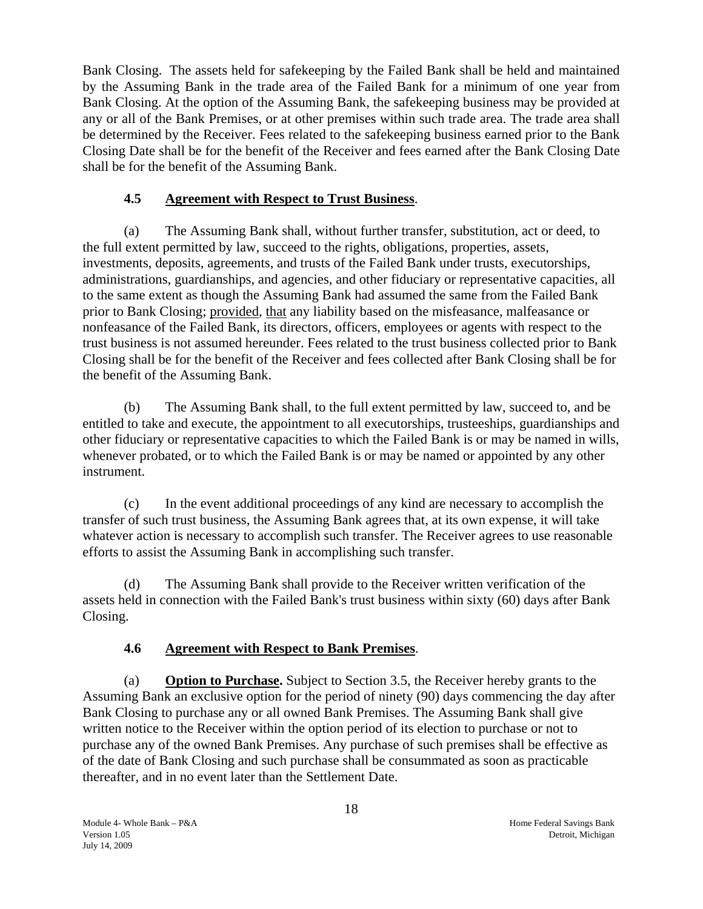Bank Closing. The assets held for safekeeping by the Failed Bank shall be held and maintained by the Assuming Bank in the trade area of the Failed Bank for a minimum of one year from Bank Closing. At the option of the Assuming Bank, the safekeeping business may be provided at any or all of the Bank Premises, or at other premises within such trade area. The trade area shall be determined by the Receiver. Fees related to the safekeeping business earned prior to the Bank Closing Date shall be for the benefit of the Receiver and fees earned after the Bank Closing Date shall be for the benefit of the Assuming Bank.

## **4.5 Agreement with Respect to Trust Business**.

<span id="page-21-0"></span> (a) The Assuming Bank shall, without further transfer, substitution, act or deed, to the full extent permitted by law, succeed to the rights, obligations, properties, assets, investments, deposits, agreements, and trusts of the Failed Bank under trusts, executorships, administrations, guardianships, and agencies, and other fiduciary or representative capacities, all to the same extent as though the Assuming Bank had assumed the same from the Failed Bank prior to Bank Closing; provided, that any liability based on the misfeasance, malfeasance or nonfeasance of the Failed Bank, its directors, officers, employees or agents with respect to the trust business is not assumed hereunder. Fees related to the trust business collected prior to Bank Closing shall be for the benefit of the Receiver and fees collected after Bank Closing shall be for the benefit of the Assuming Bank.

 (b) The Assuming Bank shall, to the full extent permitted by law, succeed to, and be entitled to take and execute, the appointment to all executorships, trusteeships, guardianships and other fiduciary or representative capacities to which the Failed Bank is or may be named in wills, whenever probated, or to which the Failed Bank is or may be named or appointed by any other instrument.

 (c) In the event additional proceedings of any kind are necessary to accomplish the transfer of such trust business, the Assuming Bank agrees that, at its own expense, it will take whatever action is necessary to accomplish such transfer. The Receiver agrees to use reasonable efforts to assist the Assuming Bank in accomplishing such transfer.

 (d) The Assuming Bank shall provide to the Receiver written verification of the assets held in connection with the Failed Bank's trust business within sixty (60) days after Bank Closing.

## **4.6 Agreement with Respect to Bank Premises**.

<span id="page-21-1"></span> (a) **Option to Purchase.** Subject to Section 3.5, the Receiver hereby grants to the Assuming Bank an exclusive option for the period of ninety (90) days commencing the day after Bank Closing to purchase any or all owned Bank Premises. The Assuming Bank shall give written notice to the Receiver within the option period of its election to purchase or not to purchase any of the owned Bank Premises. Any purchase of such premises shall be effective as of the date of Bank Closing and such purchase shall be consummated as soon as practicable thereafter, and in no event later than the Settlement Date.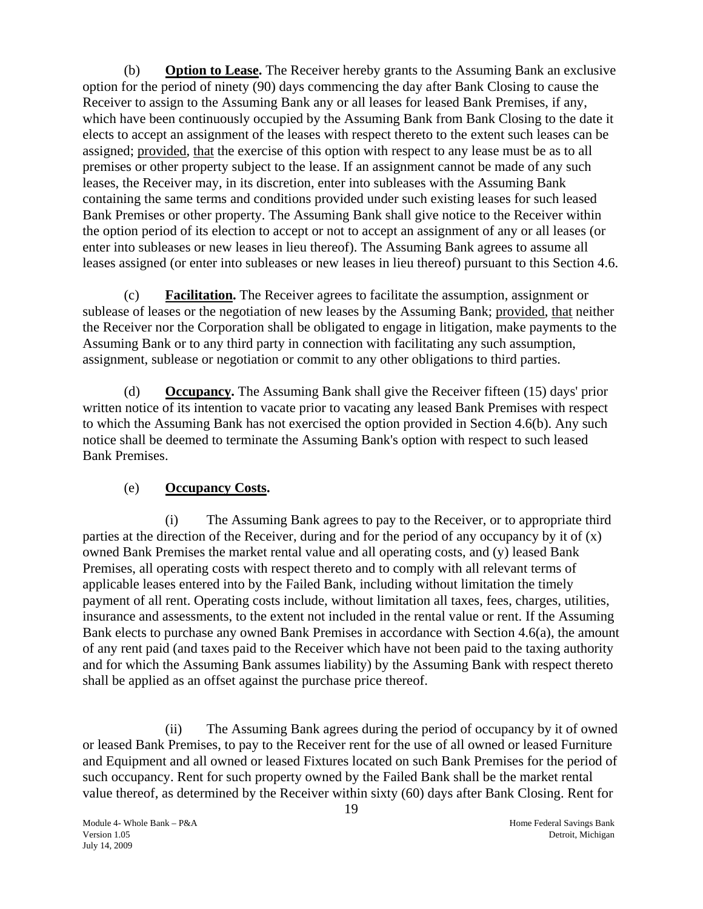(b) **Option to Lease.** The Receiver hereby grants to the Assuming Bank an exclusive option for the period of ninety (90) days commencing the day after Bank Closing to cause the Receiver to assign to the Assuming Bank any or all leases for leased Bank Premises, if any, which have been continuously occupied by the Assuming Bank from Bank Closing to the date it elects to accept an assignment of the leases with respect thereto to the extent such leases can be assigned; provided, that the exercise of this option with respect to any lease must be as to all premises or other property subject to the lease. If an assignment cannot be made of any such leases, the Receiver may, in its discretion, enter into subleases with the Assuming Bank containing the same terms and conditions provided under such existing leases for such leased Bank Premises or other property. The Assuming Bank shall give notice to the Receiver within the option period of its election to accept or not to accept an assignment of any or all leases (or enter into subleases or new leases in lieu thereof). The Assuming Bank agrees to assume all leases assigned (or enter into subleases or new leases in lieu thereof) pursuant to this Section 4.6.

 (c) **Facilitation.** The Receiver agrees to facilitate the assumption, assignment or sublease of leases or the negotiation of new leases by the Assuming Bank; provided, that neither the Receiver nor the Corporation shall be obligated to engage in litigation, make payments to the Assuming Bank or to any third party in connection with facilitating any such assumption, assignment, sublease or negotiation or commit to any other obligations to third parties.

 (d) **Occupancy.** The Assuming Bank shall give the Receiver fifteen (15) days' prior written notice of its intention to vacate prior to vacating any leased Bank Premises with respect to which the Assuming Bank has not exercised the option provided in Section 4.6(b). Any such notice shall be deemed to terminate the Assuming Bank's option with respect to such leased Bank Premises.

## (e) **Occupancy Costs.**

(i) The Assuming Bank agrees to pay to the Receiver, or to appropriate third parties at the direction of the Receiver, during and for the period of any occupancy by it of (x) owned Bank Premises the market rental value and all operating costs, and (y) leased Bank Premises, all operating costs with respect thereto and to comply with all relevant terms of applicable leases entered into by the Failed Bank, including without limitation the timely payment of all rent. Operating costs include, without limitation all taxes, fees, charges, utilities, insurance and assessments, to the extent not included in the rental value or rent. If the Assuming Bank elects to purchase any owned Bank Premises in accordance with Section 4.6(a), the amount of any rent paid (and taxes paid to the Receiver which have not been paid to the taxing authority and for which the Assuming Bank assumes liability) by the Assuming Bank with respect thereto shall be applied as an offset against the purchase price thereof.

 (ii) The Assuming Bank agrees during the period of occupancy by it of owned or leased Bank Premises, to pay to the Receiver rent for the use of all owned or leased Furniture and Equipment and all owned or leased Fixtures located on such Bank Premises for the period of such occupancy. Rent for such property owned by the Failed Bank shall be the market rental value thereof, as determined by the Receiver within sixty (60) days after Bank Closing. Rent for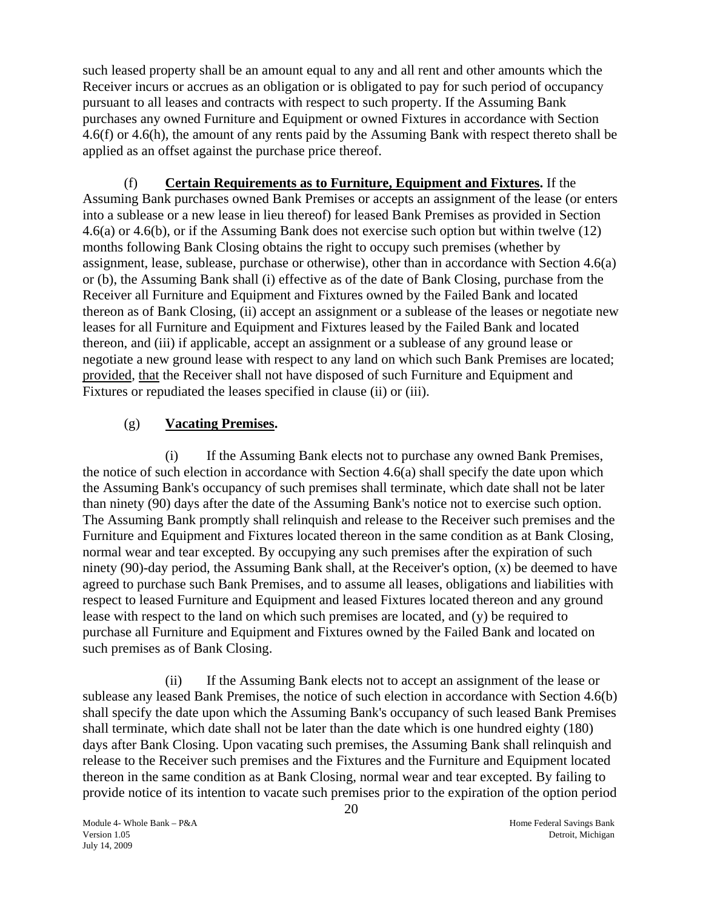such leased property shall be an amount equal to any and all rent and other amounts which the Receiver incurs or accrues as an obligation or is obligated to pay for such period of occupancy pursuant to all leases and contracts with respect to such property. If the Assuming Bank purchases any owned Furniture and Equipment or owned Fixtures in accordance with Section 4.6(f) or 4.6(h), the amount of any rents paid by the Assuming Bank with respect thereto shall be applied as an offset against the purchase price thereof.

 (f) **Certain Requirements as to Furniture, Equipment and Fixtures.** If the Assuming Bank purchases owned Bank Premises or accepts an assignment of the lease (or enters into a sublease or a new lease in lieu thereof) for leased Bank Premises as provided in Section 4.6(a) or 4.6(b), or if the Assuming Bank does not exercise such option but within twelve (12) months following Bank Closing obtains the right to occupy such premises (whether by assignment, lease, sublease, purchase or otherwise), other than in accordance with Section 4.6(a) or (b), the Assuming Bank shall (i) effective as of the date of Bank Closing, purchase from the Receiver all Furniture and Equipment and Fixtures owned by the Failed Bank and located thereon as of Bank Closing, (ii) accept an assignment or a sublease of the leases or negotiate new leases for all Furniture and Equipment and Fixtures leased by the Failed Bank and located thereon, and (iii) if applicable, accept an assignment or a sublease of any ground lease or negotiate a new ground lease with respect to any land on which such Bank Premises are located; provided, that the Receiver shall not have disposed of such Furniture and Equipment and Fixtures or repudiated the leases specified in clause (ii) or (iii).

### (g) **Vacating Premises.**

 (i) If the Assuming Bank elects not to purchase any owned Bank Premises, the notice of such election in accordance with Section 4.6(a) shall specify the date upon which the Assuming Bank's occupancy of such premises shall terminate, which date shall not be later than ninety (90) days after the date of the Assuming Bank's notice not to exercise such option. The Assuming Bank promptly shall relinquish and release to the Receiver such premises and the Furniture and Equipment and Fixtures located thereon in the same condition as at Bank Closing, normal wear and tear excepted. By occupying any such premises after the expiration of such ninety (90)-day period, the Assuming Bank shall, at the Receiver's option, (x) be deemed to have agreed to purchase such Bank Premises, and to assume all leases, obligations and liabilities with respect to leased Furniture and Equipment and leased Fixtures located thereon and any ground lease with respect to the land on which such premises are located, and (y) be required to purchase all Furniture and Equipment and Fixtures owned by the Failed Bank and located on such premises as of Bank Closing.

 (ii) If the Assuming Bank elects not to accept an assignment of the lease or sublease any leased Bank Premises, the notice of such election in accordance with Section 4.6(b) shall specify the date upon which the Assuming Bank's occupancy of such leased Bank Premises shall terminate, which date shall not be later than the date which is one hundred eighty (180) days after Bank Closing. Upon vacating such premises, the Assuming Bank shall relinquish and release to the Receiver such premises and the Fixtures and the Furniture and Equipment located thereon in the same condition as at Bank Closing, normal wear and tear excepted. By failing to provide notice of its intention to vacate such premises prior to the expiration of the option period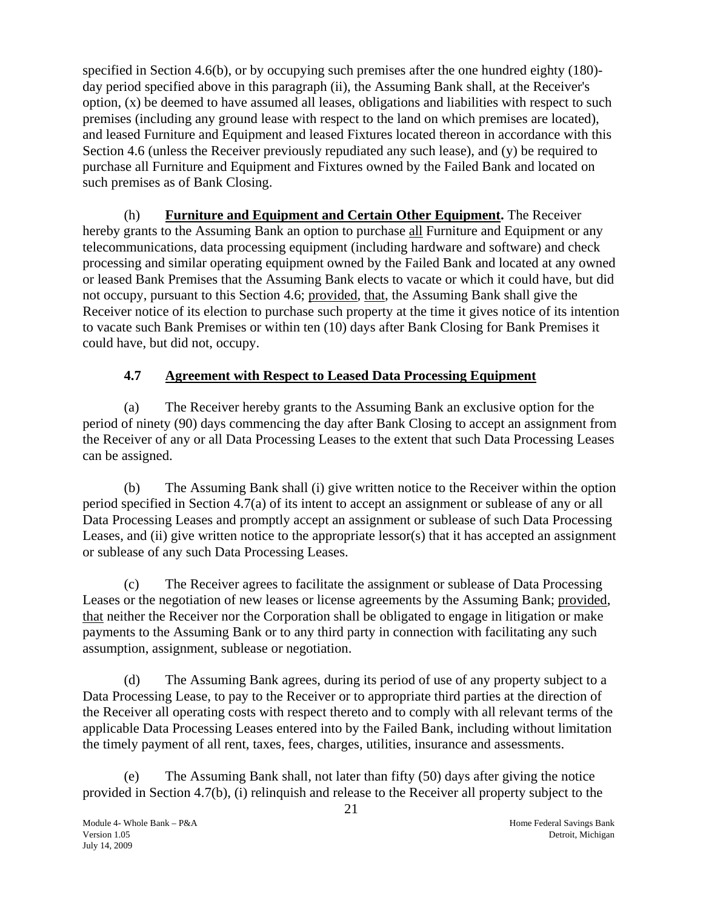specified in Section 4.6(b), or by occupying such premises after the one hundred eighty (180) day period specified above in this paragraph (ii), the Assuming Bank shall, at the Receiver's option, (x) be deemed to have assumed all leases, obligations and liabilities with respect to such premises (including any ground lease with respect to the land on which premises are located), and leased Furniture and Equipment and leased Fixtures located thereon in accordance with this Section 4.6 (unless the Receiver previously repudiated any such lease), and (y) be required to purchase all Furniture and Equipment and Fixtures owned by the Failed Bank and located on such premises as of Bank Closing.

 (h) **Furniture and Equipment and Certain Other Equipment.** The Receiver hereby grants to the Assuming Bank an option to purchase all Furniture and Equipment or any telecommunications, data processing equipment (including hardware and software) and check processing and similar operating equipment owned by the Failed Bank and located at any owned or leased Bank Premises that the Assuming Bank elects to vacate or which it could have, but did not occupy, pursuant to this Section 4.6; provided, that, the Assuming Bank shall give the Receiver notice of its election to purchase such property at the time it gives notice of its intention to vacate such Bank Premises or within ten (10) days after Bank Closing for Bank Premises it could have, but did not, occupy.

# **4.7 Agreement with Respect to Leased Data Processing Equipment**

<span id="page-24-0"></span> (a) The Receiver hereby grants to the Assuming Bank an exclusive option for the period of ninety (90) days commencing the day after Bank Closing to accept an assignment from the Receiver of any or all Data Processing Leases to the extent that such Data Processing Leases can be assigned.

 (b) The Assuming Bank shall (i) give written notice to the Receiver within the option period specified in Section 4.7(a) of its intent to accept an assignment or sublease of any or all Data Processing Leases and promptly accept an assignment or sublease of such Data Processing Leases, and (ii) give written notice to the appropriate lessor(s) that it has accepted an assignment or sublease of any such Data Processing Leases.

 (c) The Receiver agrees to facilitate the assignment or sublease of Data Processing Leases or the negotiation of new leases or license agreements by the Assuming Bank; provided, that neither the Receiver nor the Corporation shall be obligated to engage in litigation or make payments to the Assuming Bank or to any third party in connection with facilitating any such assumption, assignment, sublease or negotiation.

 (d) The Assuming Bank agrees, during its period of use of any property subject to a Data Processing Lease, to pay to the Receiver or to appropriate third parties at the direction of the Receiver all operating costs with respect thereto and to comply with all relevant terms of the applicable Data Processing Leases entered into by the Failed Bank, including without limitation the timely payment of all rent, taxes, fees, charges, utilities, insurance and assessments.

 (e) The Assuming Bank shall, not later than fifty (50) days after giving the notice provided in Section 4.7(b), (i) relinquish and release to the Receiver all property subject to the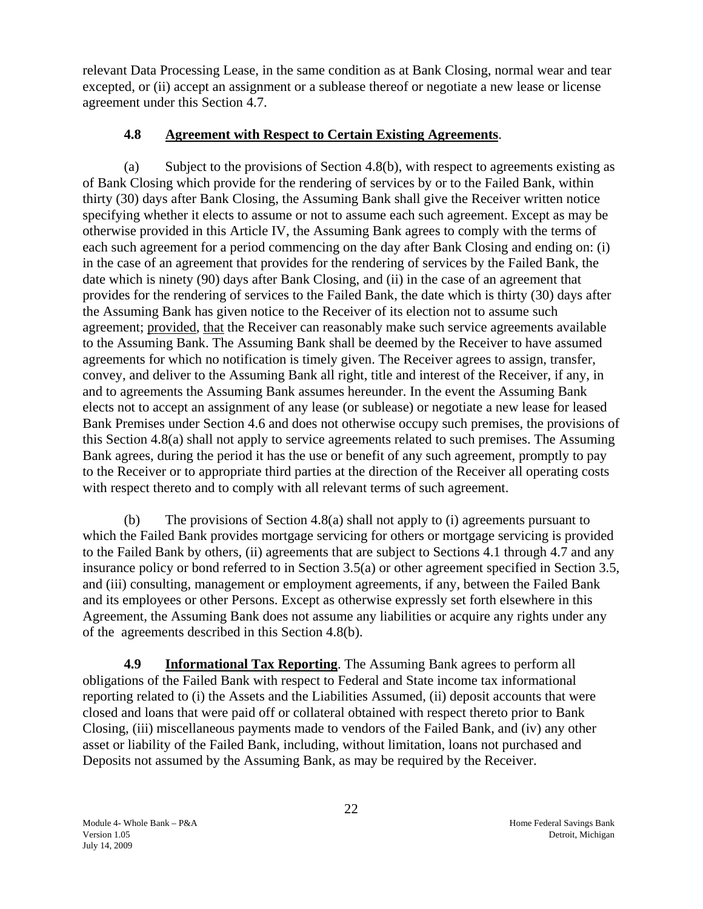<span id="page-25-0"></span>relevant Data Processing Lease, in the same condition as at Bank Closing, normal wear and tear excepted, or (ii) accept an assignment or a sublease thereof or negotiate a new lease or license agreement under this Section 4.7.

### **4.8 Agreement with Respect to Certain Existing Agreements**.

 (a) Subject to the provisions of Section 4.8(b), with respect to agreements existing as of Bank Closing which provide for the rendering of services by or to the Failed Bank, within thirty (30) days after Bank Closing, the Assuming Bank shall give the Receiver written notice specifying whether it elects to assume or not to assume each such agreement. Except as may be otherwise provided in this Article IV, the Assuming Bank agrees to comply with the terms of each such agreement for a period commencing on the day after Bank Closing and ending on: (i) in the case of an agreement that provides for the rendering of services by the Failed Bank, the date which is ninety (90) days after Bank Closing, and (ii) in the case of an agreement that provides for the rendering of services to the Failed Bank, the date which is thirty (30) days after the Assuming Bank has given notice to the Receiver of its election not to assume such agreement; provided, that the Receiver can reasonably make such service agreements available to the Assuming Bank. The Assuming Bank shall be deemed by the Receiver to have assumed agreements for which no notification is timely given. The Receiver agrees to assign, transfer, convey, and deliver to the Assuming Bank all right, title and interest of the Receiver, if any, in and to agreements the Assuming Bank assumes hereunder. In the event the Assuming Bank elects not to accept an assignment of any lease (or sublease) or negotiate a new lease for leased Bank Premises under Section 4.6 and does not otherwise occupy such premises, the provisions of this Section 4.8(a) shall not apply to service agreements related to such premises. The Assuming Bank agrees, during the period it has the use or benefit of any such agreement, promptly to pay to the Receiver or to appropriate third parties at the direction of the Receiver all operating costs with respect thereto and to comply with all relevant terms of such agreement.

 (b) The provisions of Section 4.8(a) shall not apply to (i) agreements pursuant to which the Failed Bank provides mortgage servicing for others or mortgage servicing is provided to the Failed Bank by others, (ii) agreements that are subject to Sections 4.1 through 4.7 and any insurance policy or bond referred to in Section 3.5(a) or other agreement specified in Section 3.5, and (iii) consulting, management or employment agreements, if any, between the Failed Bank and its employees or other Persons. Except as otherwise expressly set forth elsewhere in this Agreement, the Assuming Bank does not assume any liabilities or acquire any rights under any of the agreements described in this Section 4.8(b).

<span id="page-25-1"></span> **4.9 Informational Tax Reporting**. The Assuming Bank agrees to perform all obligations of the Failed Bank with respect to Federal and State income tax informational reporting related to (i) the Assets and the Liabilities Assumed, (ii) deposit accounts that were closed and loans that were paid off or collateral obtained with respect thereto prior to Bank Closing, (iii) miscellaneous payments made to vendors of the Failed Bank, and (iv) any other asset or liability of the Failed Bank, including, without limitation, loans not purchased and Deposits not assumed by the Assuming Bank, as may be required by the Receiver.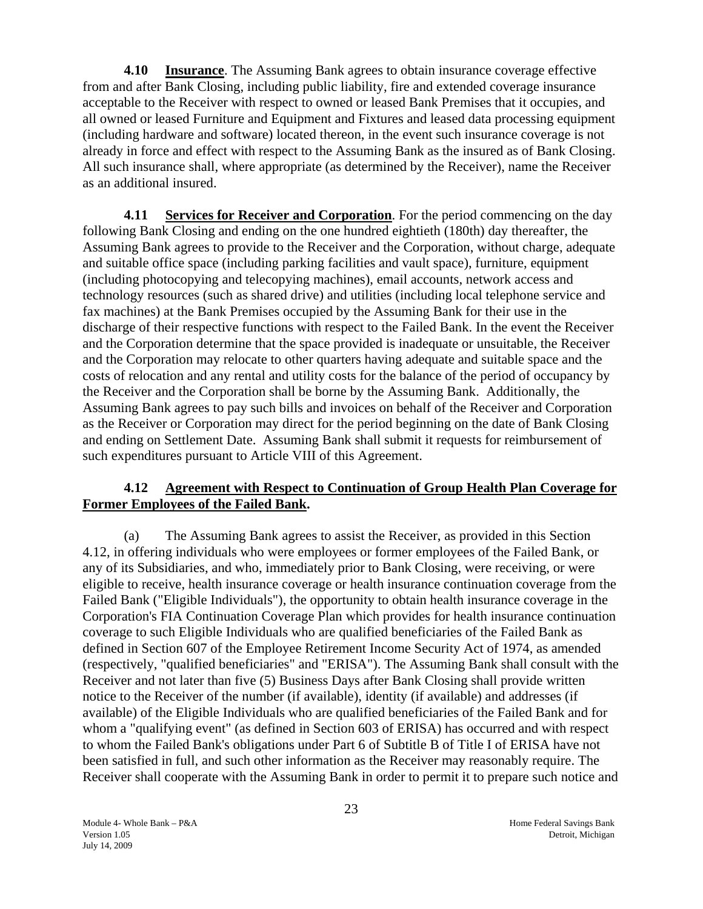<span id="page-26-0"></span> **4.10 Insurance**. The Assuming Bank agrees to obtain insurance coverage effective from and after Bank Closing, including public liability, fire and extended coverage insurance acceptable to the Receiver with respect to owned or leased Bank Premises that it occupies, and all owned or leased Furniture and Equipment and Fixtures and leased data processing equipment (including hardware and software) located thereon, in the event such insurance coverage is not already in force and effect with respect to the Assuming Bank as the insured as of Bank Closing. All such insurance shall, where appropriate (as determined by the Receiver), name the Receiver as an additional insured.

**4.11 Services for Receiver and Corporation**. For the period commencing on the day following Bank Closing and ending on the one hundred eightieth (180th) day thereafter, the Assuming Bank agrees to provide to the Receiver and the Corporation, without charge, adequate and suitable office space (including parking facilities and vault space), furniture, equipment (including photocopying and telecopying machines), email accounts, network access and technology resources (such as shared drive) and utilities (including local telephone service and fax machines) at the Bank Premises occupied by the Assuming Bank for their use in the discharge of their respective functions with respect to the Failed Bank. In the event the Receiver and the Corporation determine that the space provided is inadequate or unsuitable, the Receiver and the Corporation may relocate to other quarters having adequate and suitable space and the costs of relocation and any rental and utility costs for the balance of the period of occupancy by the Receiver and the Corporation shall be borne by the Assuming Bank. Additionally, the Assuming Bank agrees to pay such bills and invoices on behalf of the Receiver and Corporation as the Receiver or Corporation may direct for the period beginning on the date of Bank Closing and ending on Settlement Date. Assuming Bank shall submit it requests for reimbursement of such expenditures pursuant to Article VIII of this Agreement.

### <span id="page-26-1"></span> **4.12 Agreement with Respect to Continuation of Group Health Plan Coverage for Former Employees of the Failed Bank.**

 (a) The Assuming Bank agrees to assist the Receiver, as provided in this Section 4.12, in offering individuals who were employees or former employees of the Failed Bank, or any of its Subsidiaries, and who, immediately prior to Bank Closing, were receiving, or were eligible to receive, health insurance coverage or health insurance continuation coverage from the Failed Bank ("Eligible Individuals"), the opportunity to obtain health insurance coverage in the Corporation's FIA Continuation Coverage Plan which provides for health insurance continuation coverage to such Eligible Individuals who are qualified beneficiaries of the Failed Bank as defined in Section 607 of the Employee Retirement Income Security Act of 1974, as amended (respectively, "qualified beneficiaries" and "ERISA"). The Assuming Bank shall consult with the Receiver and not later than five (5) Business Days after Bank Closing shall provide written notice to the Receiver of the number (if available), identity (if available) and addresses (if available) of the Eligible Individuals who are qualified beneficiaries of the Failed Bank and for whom a "qualifying event" (as defined in Section 603 of ERISA) has occurred and with respect to whom the Failed Bank's obligations under Part 6 of Subtitle B of Title I of ERISA have not been satisfied in full, and such other information as the Receiver may reasonably require. The Receiver shall cooperate with the Assuming Bank in order to permit it to prepare such notice and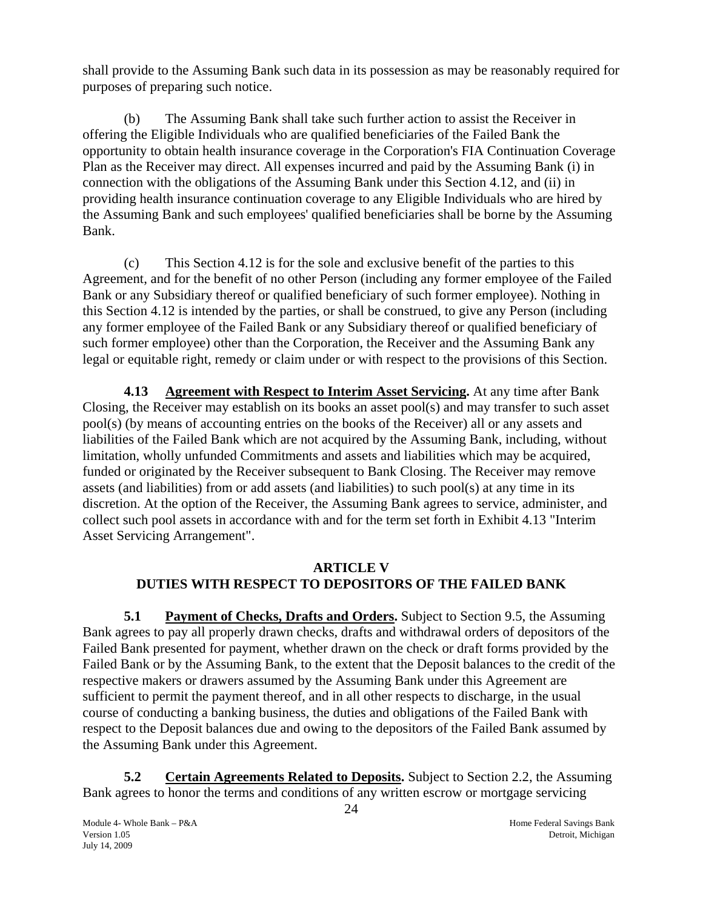shall provide to the Assuming Bank such data in its possession as may be reasonably required for purposes of preparing such notice.

 (b) The Assuming Bank shall take such further action to assist the Receiver in offering the Eligible Individuals who are qualified beneficiaries of the Failed Bank the opportunity to obtain health insurance coverage in the Corporation's FIA Continuation Coverage Plan as the Receiver may direct. All expenses incurred and paid by the Assuming Bank (i) in connection with the obligations of the Assuming Bank under this Section 4.12, and (ii) in providing health insurance continuation coverage to any Eligible Individuals who are hired by the Assuming Bank and such employees' qualified beneficiaries shall be borne by the Assuming Bank.

 (c) This Section 4.12 is for the sole and exclusive benefit of the parties to this Agreement, and for the benefit of no other Person (including any former employee of the Failed Bank or any Subsidiary thereof or qualified beneficiary of such former employee). Nothing in this Section 4.12 is intended by the parties, or shall be construed, to give any Person (including any former employee of the Failed Bank or any Subsidiary thereof or qualified beneficiary of such former employee) other than the Corporation, the Receiver and the Assuming Bank any legal or equitable right, remedy or claim under or with respect to the provisions of this Section.

<span id="page-27-0"></span>**4.13** Agreement with Respect to Interim Asset Servicing. At any time after Bank Closing, the Receiver may establish on its books an asset pool(s) and may transfer to such asset pool(s) (by means of accounting entries on the books of the Receiver) all or any assets and liabilities of the Failed Bank which are not acquired by the Assuming Bank, including, without limitation, wholly unfunded Commitments and assets and liabilities which may be acquired, funded or originated by the Receiver subsequent to Bank Closing. The Receiver may remove assets (and liabilities) from or add assets (and liabilities) to such pool(s) at any time in its discretion. At the option of the Receiver, the Assuming Bank agrees to service, administer, and collect such pool assets in accordance with and for the term set forth in Exhibit 4.13 "Interim Asset Servicing Arrangement".

# **ARTICLE V DUTIES WITH RESPECT TO DEPOSITORS OF THE FAILED BANK**

<span id="page-27-2"></span><span id="page-27-1"></span> **5.1 Payment of Checks, Drafts and Orders.** Subject to Section 9.5, the Assuming Bank agrees to pay all properly drawn checks, drafts and withdrawal orders of depositors of the Failed Bank presented for payment, whether drawn on the check or draft forms provided by the Failed Bank or by the Assuming Bank, to the extent that the Deposit balances to the credit of the respective makers or drawers assumed by the Assuming Bank under this Agreement are sufficient to permit the payment thereof, and in all other respects to discharge, in the usual course of conducting a banking business, the duties and obligations of the Failed Bank with respect to the Deposit balances due and owing to the depositors of the Failed Bank assumed by the Assuming Bank under this Agreement.

<span id="page-27-3"></span> **5.2 Certain Agreements Related to Deposits.** Subject to Section 2.2, the Assuming Bank agrees to honor the terms and conditions of any written escrow or mortgage servicing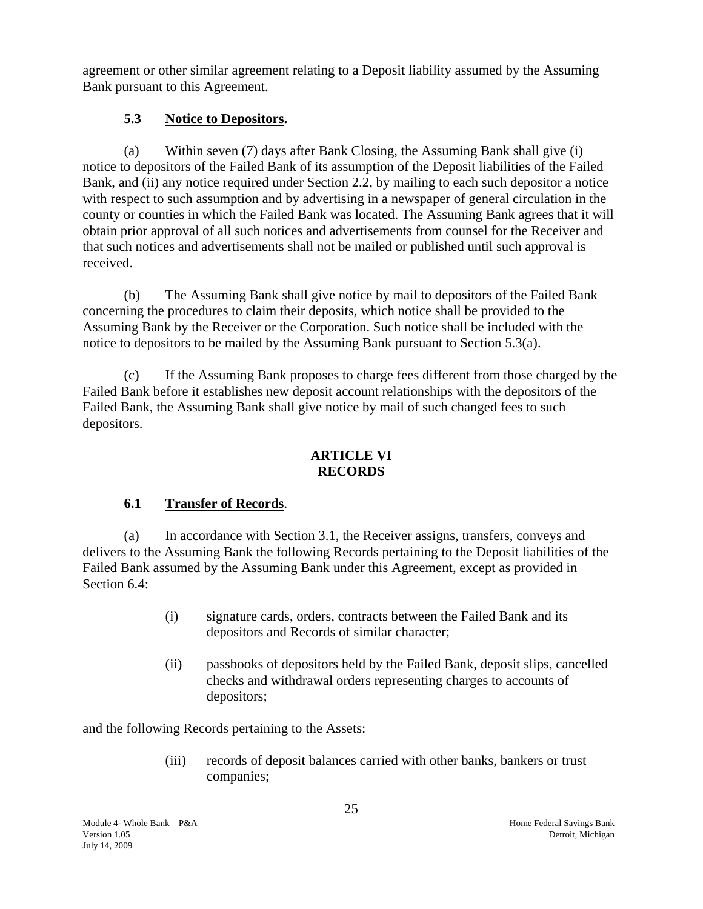agreement or other similar agreement relating to a Deposit liability assumed by the Assuming Bank pursuant to this Agreement.

# **5.3 Notice to Depositors.**

<span id="page-28-0"></span> (a) Within seven (7) days after Bank Closing, the Assuming Bank shall give (i) notice to depositors of the Failed Bank of its assumption of the Deposit liabilities of the Failed Bank, and (ii) any notice required under Section 2.2, by mailing to each such depositor a notice with respect to such assumption and by advertising in a newspaper of general circulation in the county or counties in which the Failed Bank was located. The Assuming Bank agrees that it will obtain prior approval of all such notices and advertisements from counsel for the Receiver and that such notices and advertisements shall not be mailed or published until such approval is received.

 (b) The Assuming Bank shall give notice by mail to depositors of the Failed Bank concerning the procedures to claim their deposits, which notice shall be provided to the Assuming Bank by the Receiver or the Corporation. Such notice shall be included with the notice to depositors to be mailed by the Assuming Bank pursuant to Section 5.3(a).

 (c) If the Assuming Bank proposes to charge fees different from those charged by the Failed Bank before it establishes new deposit account relationships with the depositors of the Failed Bank, the Assuming Bank shall give notice by mail of such changed fees to such depositors.

### **ARTICLE VI RECORDS**

## **6.1 Transfer of Records**.

<span id="page-28-2"></span><span id="page-28-1"></span> (a) In accordance with Section 3.1, the Receiver assigns, transfers, conveys and delivers to the Assuming Bank the following Records pertaining to the Deposit liabilities of the Failed Bank assumed by the Assuming Bank under this Agreement, except as provided in Section 6.4:

- (i) signature cards, orders, contracts between the Failed Bank and its depositors and Records of similar character;
- (ii) passbooks of depositors held by the Failed Bank, deposit slips, cancelled checks and withdrawal orders representing charges to accounts of depositors;

and the following Records pertaining to the Assets:

 (iii) records of deposit balances carried with other banks, bankers or trust companies;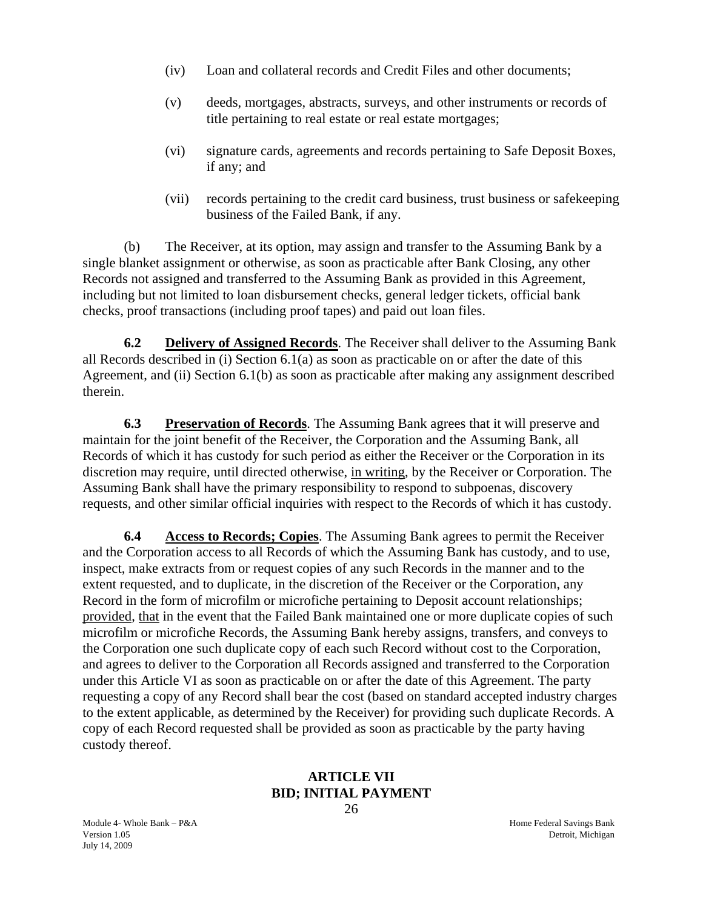- (iv) Loan and collateral records and Credit Files and other documents;
- (v) deeds, mortgages, abstracts, surveys, and other instruments or records of title pertaining to real estate or real estate mortgages;
- (vi) signature cards, agreements and records pertaining to Safe Deposit Boxes, if any; and
- (vii) records pertaining to the credit card business, trust business or safekeeping business of the Failed Bank, if any.

 (b) The Receiver, at its option, may assign and transfer to the Assuming Bank by a single blanket assignment or otherwise, as soon as practicable after Bank Closing, any other Records not assigned and transferred to the Assuming Bank as provided in this Agreement, including but not limited to loan disbursement checks, general ledger tickets, official bank checks, proof transactions (including proof tapes) and paid out loan files.

<span id="page-29-0"></span> **6.2 Delivery of Assigned Records**. The Receiver shall deliver to the Assuming Bank all Records described in (i) Section 6.1(a) as soon as practicable on or after the date of this Agreement, and (ii) Section 6.1(b) as soon as practicable after making any assignment described therein.

<span id="page-29-1"></span> **6.3 Preservation of Records**. The Assuming Bank agrees that it will preserve and maintain for the joint benefit of the Receiver, the Corporation and the Assuming Bank, all Records of which it has custody for such period as either the Receiver or the Corporation in its discretion may require, until directed otherwise, in writing, by the Receiver or Corporation. The Assuming Bank shall have the primary responsibility to respond to subpoenas, discovery requests, and other similar official inquiries with respect to the Records of which it has custody.

<span id="page-29-2"></span> **6.4 Access to Records; Copies**. The Assuming Bank agrees to permit the Receiver and the Corporation access to all Records of which the Assuming Bank has custody, and to use, inspect, make extracts from or request copies of any such Records in the manner and to the extent requested, and to duplicate, in the discretion of the Receiver or the Corporation, any Record in the form of microfilm or microfiche pertaining to Deposit account relationships; provided, that in the event that the Failed Bank maintained one or more duplicate copies of such microfilm or microfiche Records, the Assuming Bank hereby assigns, transfers, and conveys to the Corporation one such duplicate copy of each such Record without cost to the Corporation, and agrees to deliver to the Corporation all Records assigned and transferred to the Corporation under this Article VI as soon as practicable on or after the date of this Agreement. The party requesting a copy of any Record shall bear the cost (based on standard accepted industry charges to the extent applicable, as determined by the Receiver) for providing such duplicate Records. A copy of each Record requested shall be provided as soon as practicable by the party having custody thereof.

## **ARTICLE VII BID; INITIAL PAYMENT**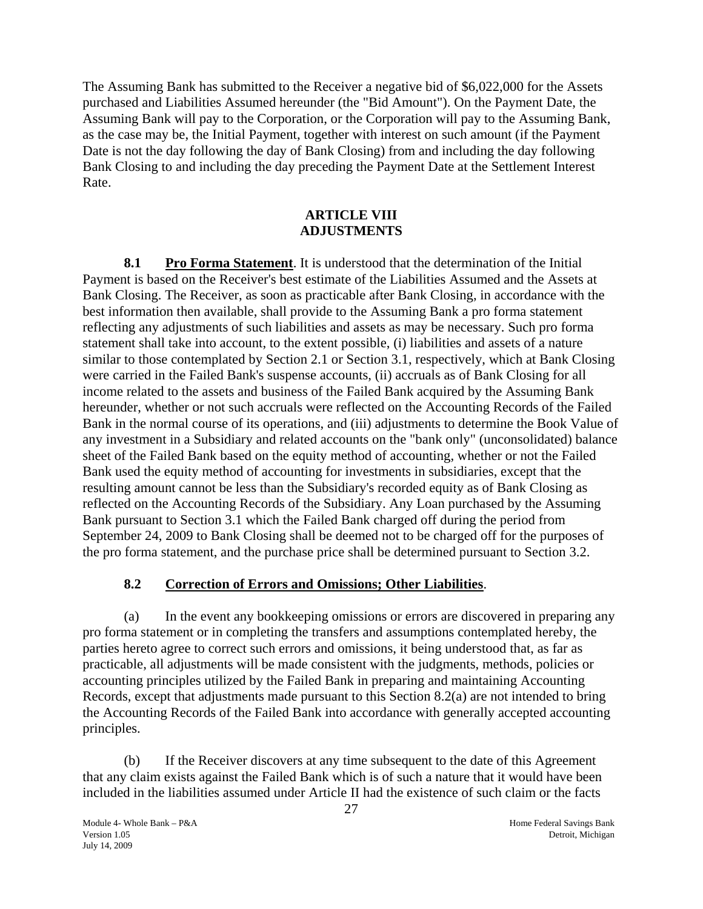The Assuming Bank has submitted to the Receiver a negative bid of \$6,022,000 for the Assets purchased and Liabilities Assumed hereunder (the "Bid Amount"). On the Payment Date, the Assuming Bank will pay to the Corporation, or the Corporation will pay to the Assuming Bank, as the case may be, the Initial Payment, together with interest on such amount (if the Payment Date is not the day following the day of Bank Closing) from and including the day following Bank Closing to and including the day preceding the Payment Date at the Settlement Interest Rate.

### **ARTICLE VIII ADJUSTMENTS**

<span id="page-30-1"></span><span id="page-30-0"></span>**8.1 Pro Forma Statement**. It is understood that the determination of the Initial Payment is based on the Receiver's best estimate of the Liabilities Assumed and the Assets at Bank Closing. The Receiver, as soon as practicable after Bank Closing, in accordance with the best information then available, shall provide to the Assuming Bank a pro forma statement reflecting any adjustments of such liabilities and assets as may be necessary. Such pro forma statement shall take into account, to the extent possible, (i) liabilities and assets of a nature similar to those contemplated by Section 2.1 or Section 3.1, respectively, which at Bank Closing were carried in the Failed Bank's suspense accounts, (ii) accruals as of Bank Closing for all income related to the assets and business of the Failed Bank acquired by the Assuming Bank hereunder, whether or not such accruals were reflected on the Accounting Records of the Failed Bank in the normal course of its operations, and (iii) adjustments to determine the Book Value of any investment in a Subsidiary and related accounts on the "bank only" (unconsolidated) balance sheet of the Failed Bank based on the equity method of accounting, whether or not the Failed Bank used the equity method of accounting for investments in subsidiaries, except that the resulting amount cannot be less than the Subsidiary's recorded equity as of Bank Closing as reflected on the Accounting Records of the Subsidiary. Any Loan purchased by the Assuming Bank pursuant to Section 3.1 which the Failed Bank charged off during the period from September 24, 2009 to Bank Closing shall be deemed not to be charged off for the purposes of the pro forma statement, and the purchase price shall be determined pursuant to Section 3.2.

## **8.2 Correction of Errors and Omissions; Other Liabilities**.

<span id="page-30-2"></span> (a) In the event any bookkeeping omissions or errors are discovered in preparing any pro forma statement or in completing the transfers and assumptions contemplated hereby, the parties hereto agree to correct such errors and omissions, it being understood that, as far as practicable, all adjustments will be made consistent with the judgments, methods, policies or accounting principles utilized by the Failed Bank in preparing and maintaining Accounting Records, except that adjustments made pursuant to this Section 8.2(a) are not intended to bring the Accounting Records of the Failed Bank into accordance with generally accepted accounting principles.

 (b) If the Receiver discovers at any time subsequent to the date of this Agreement that any claim exists against the Failed Bank which is of such a nature that it would have been included in the liabilities assumed under Article II had the existence of such claim or the facts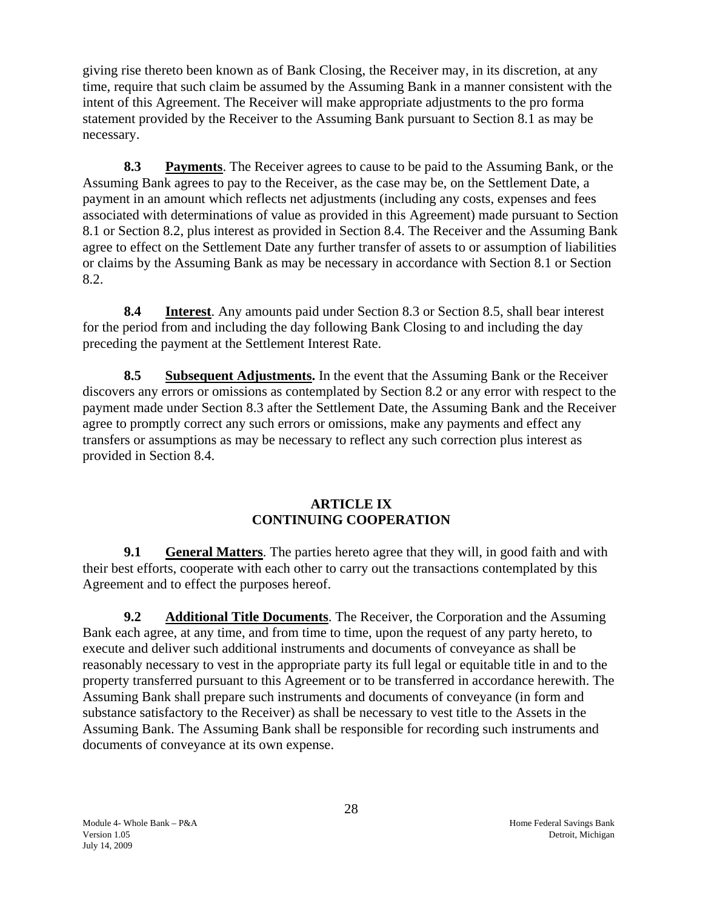giving rise thereto been known as of Bank Closing, the Receiver may, in its discretion, at any time, require that such claim be assumed by the Assuming Bank in a manner consistent with the intent of this Agreement. The Receiver will make appropriate adjustments to the pro forma statement provided by the Receiver to the Assuming Bank pursuant to Section 8.1 as may be necessary.

<span id="page-31-0"></span> **8.3 Payments**. The Receiver agrees to cause to be paid to the Assuming Bank, or the Assuming Bank agrees to pay to the Receiver, as the case may be, on the Settlement Date, a payment in an amount which reflects net adjustments (including any costs, expenses and fees associated with determinations of value as provided in this Agreement) made pursuant to Section 8.1 or Section 8.2, plus interest as provided in Section 8.4. The Receiver and the Assuming Bank agree to effect on the Settlement Date any further transfer of assets to or assumption of liabilities or claims by the Assuming Bank as may be necessary in accordance with Section 8.1 or Section 8.2.

<span id="page-31-1"></span> **8.4 Interest**. Any amounts paid under Section 8.3 or Section 8.5, shall bear interest for the period from and including the day following Bank Closing to and including the day preceding the payment at the Settlement Interest Rate.

<span id="page-31-2"></span> **8.5 Subsequent Adjustments.** In the event that the Assuming Bank or the Receiver discovers any errors or omissions as contemplated by Section 8.2 or any error with respect to the payment made under Section 8.3 after the Settlement Date, the Assuming Bank and the Receiver agree to promptly correct any such errors or omissions, make any payments and effect any transfers or assumptions as may be necessary to reflect any such correction plus interest as provided in Section 8.4.

### **ARTICLE IX CONTINUING COOPERATION**

<span id="page-31-4"></span><span id="page-31-3"></span>**9.1** General Matters. The parties hereto agree that they will, in good faith and with their best efforts, cooperate with each other to carry out the transactions contemplated by this Agreement and to effect the purposes hereof.

<span id="page-31-5"></span> **9.2 Additional Title Documents**. The Receiver, the Corporation and the Assuming Bank each agree, at any time, and from time to time, upon the request of any party hereto, to execute and deliver such additional instruments and documents of conveyance as shall be reasonably necessary to vest in the appropriate party its full legal or equitable title in and to the property transferred pursuant to this Agreement or to be transferred in accordance herewith. The Assuming Bank shall prepare such instruments and documents of conveyance (in form and substance satisfactory to the Receiver) as shall be necessary to vest title to the Assets in the Assuming Bank. The Assuming Bank shall be responsible for recording such instruments and documents of conveyance at its own expense.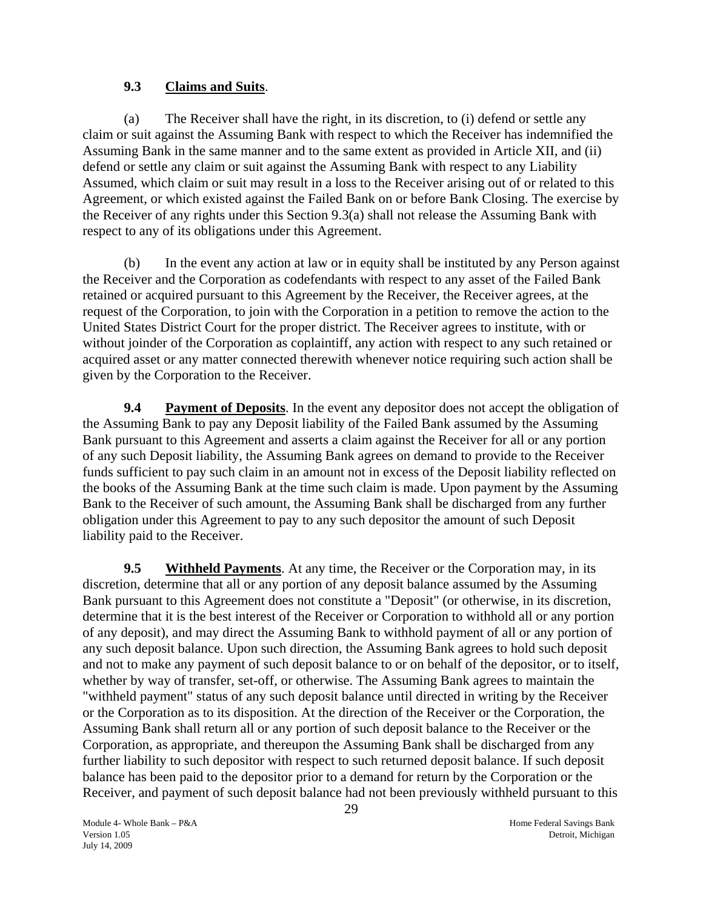### **9.3 Claims and Suits**.

 (a) The Receiver shall have the right, in its discretion, to (i) defend or settle any claim or suit against the Assuming Bank with respect to which the Receiver has indemnified the Assuming Bank in the same manner and to the same extent as provided in Article XII, and (ii) defend or settle any claim or suit against the Assuming Bank with respect to any Liability Assumed, which claim or suit may result in a loss to the Receiver arising out of or related to this Agreement, or which existed against the Failed Bank on or before Bank Closing. The exercise by the Receiver of any rights under this Section 9.3(a) shall not release the Assuming Bank with respect to any of its obligations under this Agreement.

 (b) In the event any action at law or in equity shall be instituted by any Person against the Receiver and the Corporation as codefendants with respect to any asset of the Failed Bank retained or acquired pursuant to this Agreement by the Receiver, the Receiver agrees, at the request of the Corporation, to join with the Corporation in a petition to remove the action to the United States District Court for the proper district. The Receiver agrees to institute, with or without joinder of the Corporation as coplaintiff, any action with respect to any such retained or acquired asset or any matter connected therewith whenever notice requiring such action shall be given by the Corporation to the Receiver.

<span id="page-32-1"></span>**9.4 Payment of Deposits**. In the event any depositor does not accept the obligation of the Assuming Bank to pay any Deposit liability of the Failed Bank assumed by the Assuming Bank pursuant to this Agreement and asserts a claim against the Receiver for all or any portion of any such Deposit liability, the Assuming Bank agrees on demand to provide to the Receiver funds sufficient to pay such claim in an amount not in excess of the Deposit liability reflected on the books of the Assuming Bank at the time such claim is made. Upon payment by the Assuming Bank to the Receiver of such amount, the Assuming Bank shall be discharged from any further obligation under this Agreement to pay to any such depositor the amount of such Deposit liability paid to the Receiver.

<span id="page-32-2"></span><span id="page-32-0"></span> **9.5 Withheld Payments**. At any time, the Receiver or the Corporation may, in its discretion, determine that all or any portion of any deposit balance assumed by the Assuming Bank pursuant to this Agreement does not constitute a "Deposit" (or otherwise, in its discretion, determine that it is the best interest of the Receiver or Corporation to withhold all or any portion of any deposit), and may direct the Assuming Bank to withhold payment of all or any portion of any such deposit balance. Upon such direction, the Assuming Bank agrees to hold such deposit and not to make any payment of such deposit balance to or on behalf of the depositor, or to itself, whether by way of transfer, set-off, or otherwise. The Assuming Bank agrees to maintain the "withheld payment" status of any such deposit balance until directed in writing by the Receiver or the Corporation as to its disposition. At the direction of the Receiver or the Corporation, the Assuming Bank shall return all or any portion of such deposit balance to the Receiver or the Corporation, as appropriate, and thereupon the Assuming Bank shall be discharged from any further liability to such depositor with respect to such returned deposit balance. If such deposit balance has been paid to the depositor prior to a demand for return by the Corporation or the Receiver, and payment of such deposit balance had not been previously withheld pursuant to this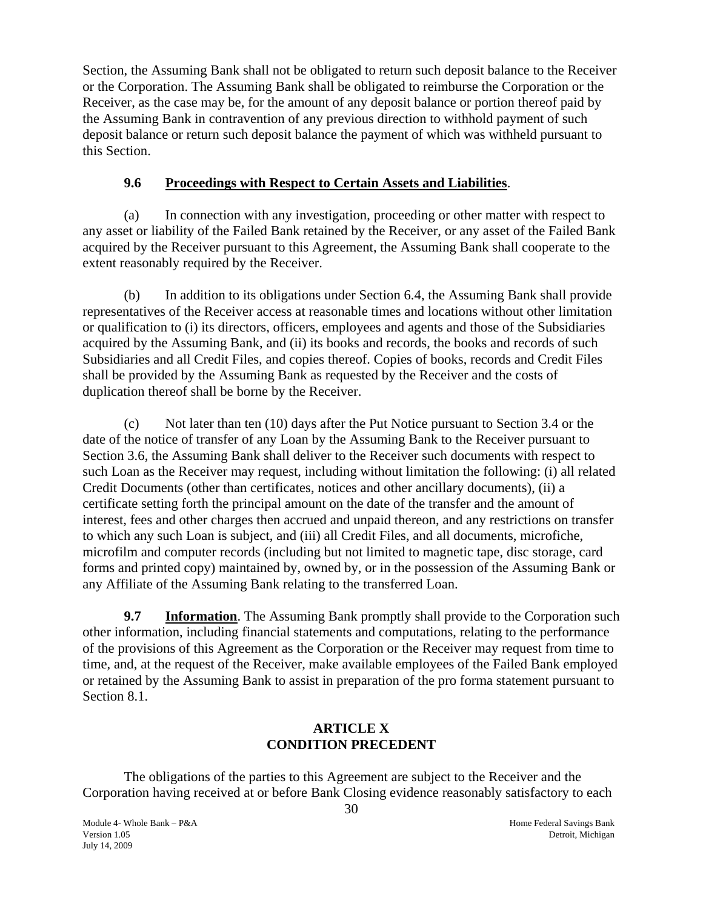Section, the Assuming Bank shall not be obligated to return such deposit balance to the Receiver or the Corporation. The Assuming Bank shall be obligated to reimburse the Corporation or the Receiver, as the case may be, for the amount of any deposit balance or portion thereof paid by the Assuming Bank in contravention of any previous direction to withhold payment of such deposit balance or return such deposit balance the payment of which was withheld pursuant to this Section.

### **9.6 Proceedings with Respect to Certain Assets and Liabilities**.

<span id="page-33-0"></span> (a) In connection with any investigation, proceeding or other matter with respect to any asset or liability of the Failed Bank retained by the Receiver, or any asset of the Failed Bank acquired by the Receiver pursuant to this Agreement, the Assuming Bank shall cooperate to the extent reasonably required by the Receiver.

 (b) In addition to its obligations under Section 6.4, the Assuming Bank shall provide representatives of the Receiver access at reasonable times and locations without other limitation or qualification to (i) its directors, officers, employees and agents and those of the Subsidiaries acquired by the Assuming Bank, and (ii) its books and records, the books and records of such Subsidiaries and all Credit Files, and copies thereof. Copies of books, records and Credit Files shall be provided by the Assuming Bank as requested by the Receiver and the costs of duplication thereof shall be borne by the Receiver.

 (c) Not later than ten (10) days after the Put Notice pursuant to Section 3.4 or the date of the notice of transfer of any Loan by the Assuming Bank to the Receiver pursuant to Section 3.6, the Assuming Bank shall deliver to the Receiver such documents with respect to such Loan as the Receiver may request, including without limitation the following: (i) all related Credit Documents (other than certificates, notices and other ancillary documents), (ii) a certificate setting forth the principal amount on the date of the transfer and the amount of interest, fees and other charges then accrued and unpaid thereon, and any restrictions on transfer to which any such Loan is subject, and (iii) all Credit Files, and all documents, microfiche, microfilm and computer records (including but not limited to magnetic tape, disc storage, card forms and printed copy) maintained by, owned by, or in the possession of the Assuming Bank or any Affiliate of the Assuming Bank relating to the transferred Loan.

<span id="page-33-1"></span>**9.7** Information. The Assuming Bank promptly shall provide to the Corporation such other information, including financial statements and computations, relating to the performance of the provisions of this Agreement as the Corporation or the Receiver may request from time to time, and, at the request of the Receiver, make available employees of the Failed Bank employed or retained by the Assuming Bank to assist in preparation of the pro forma statement pursuant to Section 8.1.

### **ARTICLE X CONDITION PRECEDENT**

<span id="page-33-2"></span> The obligations of the parties to this Agreement are subject to the Receiver and the Corporation having received at or before Bank Closing evidence reasonably satisfactory to each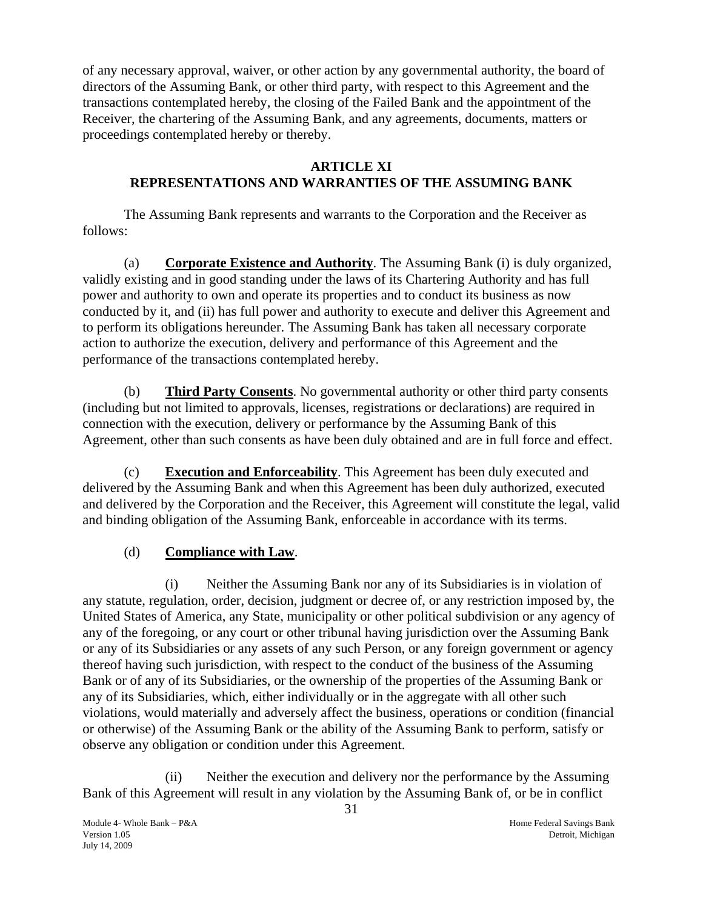of any necessary approval, waiver, or other action by any governmental authority, the board of directors of the Assuming Bank, or other third party, with respect to this Agreement and the transactions contemplated hereby, the closing of the Failed Bank and the appointment of the Receiver, the chartering of the Assuming Bank, and any agreements, documents, matters or proceedings contemplated hereby or thereby.

### **ARTICLE XI REPRESENTATIONS AND WARRANTIES OF THE ASSUMING BANK**

<span id="page-34-0"></span> The Assuming Bank represents and warrants to the Corporation and the Receiver as follows:

 (a) **Corporate Existence and Authority**. The Assuming Bank (i) is duly organized, validly existing and in good standing under the laws of its Chartering Authority and has full power and authority to own and operate its properties and to conduct its business as now conducted by it, and (ii) has full power and authority to execute and deliver this Agreement and to perform its obligations hereunder. The Assuming Bank has taken all necessary corporate action to authorize the execution, delivery and performance of this Agreement and the performance of the transactions contemplated hereby.

 (b) **Third Party Consents**. No governmental authority or other third party consents (including but not limited to approvals, licenses, registrations or declarations) are required in connection with the execution, delivery or performance by the Assuming Bank of this Agreement, other than such consents as have been duly obtained and are in full force and effect.

 (c) **Execution and Enforceability**. This Agreement has been duly executed and delivered by the Assuming Bank and when this Agreement has been duly authorized, executed and delivered by the Corporation and the Receiver, this Agreement will constitute the legal, valid and binding obligation of the Assuming Bank, enforceable in accordance with its terms.

## (d) **Compliance with Law**.

 (i) Neither the Assuming Bank nor any of its Subsidiaries is in violation of any statute, regulation, order, decision, judgment or decree of, or any restriction imposed by, the United States of America, any State, municipality or other political subdivision or any agency of any of the foregoing, or any court or other tribunal having jurisdiction over the Assuming Bank or any of its Subsidiaries or any assets of any such Person, or any foreign government or agency thereof having such jurisdiction, with respect to the conduct of the business of the Assuming Bank or of any of its Subsidiaries, or the ownership of the properties of the Assuming Bank or any of its Subsidiaries, which, either individually or in the aggregate with all other such violations, would materially and adversely affect the business, operations or condition (financial or otherwise) of the Assuming Bank or the ability of the Assuming Bank to perform, satisfy or observe any obligation or condition under this Agreement.

 (ii) Neither the execution and delivery nor the performance by the Assuming Bank of this Agreement will result in any violation by the Assuming Bank of, or be in conflict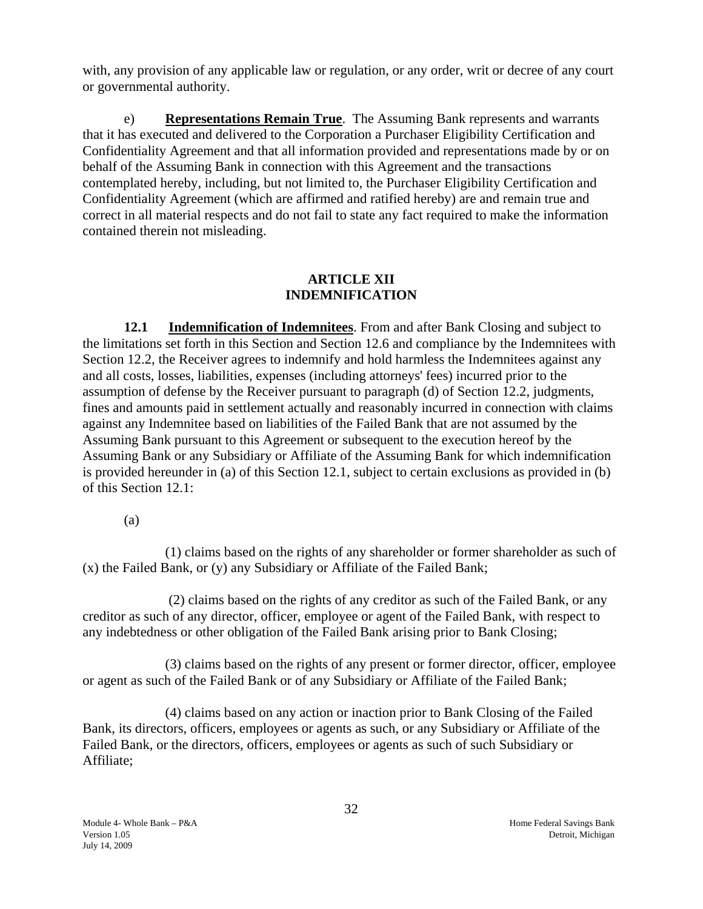with, any provision of any applicable law or regulation, or any order, writ or decree of any court or governmental authority.

 e) **Representations Remain True**. The Assuming Bank represents and warrants that it has executed and delivered to the Corporation a Purchaser Eligibility Certification and Confidentiality Agreement and that all information provided and representations made by or on behalf of the Assuming Bank in connection with this Agreement and the transactions contemplated hereby, including, but not limited to, the Purchaser Eligibility Certification and Confidentiality Agreement (which are affirmed and ratified hereby) are and remain true and correct in all material respects and do not fail to state any fact required to make the information contained therein not misleading.

#### **ARTICLE XII INDEMNIFICATION**

<span id="page-35-0"></span>**12.1** Indemnification of Indemnitees. From and after Bank Closing and subject to the limitations set forth in this Section and Section 12.6 and compliance by the Indemnitees with Section 12.2, the Receiver agrees to indemnify and hold harmless the Indemnitees against any and all costs, losses, liabilities, expenses (including attorneys' fees) incurred prior to the assumption of defense by the Receiver pursuant to paragraph (d) of Section 12.2, judgments, fines and amounts paid in settlement actually and reasonably incurred in connection with claims against any Indemnitee based on liabilities of the Failed Bank that are not assumed by the Assuming Bank pursuant to this Agreement or subsequent to the execution hereof by the Assuming Bank or any Subsidiary or Affiliate of the Assuming Bank for which indemnification is provided hereunder in (a) of this Section 12.1, subject to certain exclusions as provided in (b) of this Section 12.1:

### (a)

 (1) claims based on the rights of any shareholder or former shareholder as such of (x) the Failed Bank, or (y) any Subsidiary or Affiliate of the Failed Bank;

 (2) claims based on the rights of any creditor as such of the Failed Bank, or any creditor as such of any director, officer, employee or agent of the Failed Bank, with respect to any indebtedness or other obligation of the Failed Bank arising prior to Bank Closing;

(3) claims based on the rights of any present or former director, officer, employee or agent as such of the Failed Bank or of any Subsidiary or Affiliate of the Failed Bank;

(4) claims based on any action or inaction prior to Bank Closing of the Failed Bank, its directors, officers, employees or agents as such, or any Subsidiary or Affiliate of the Failed Bank, or the directors, officers, employees or agents as such of such Subsidiary or Affiliate;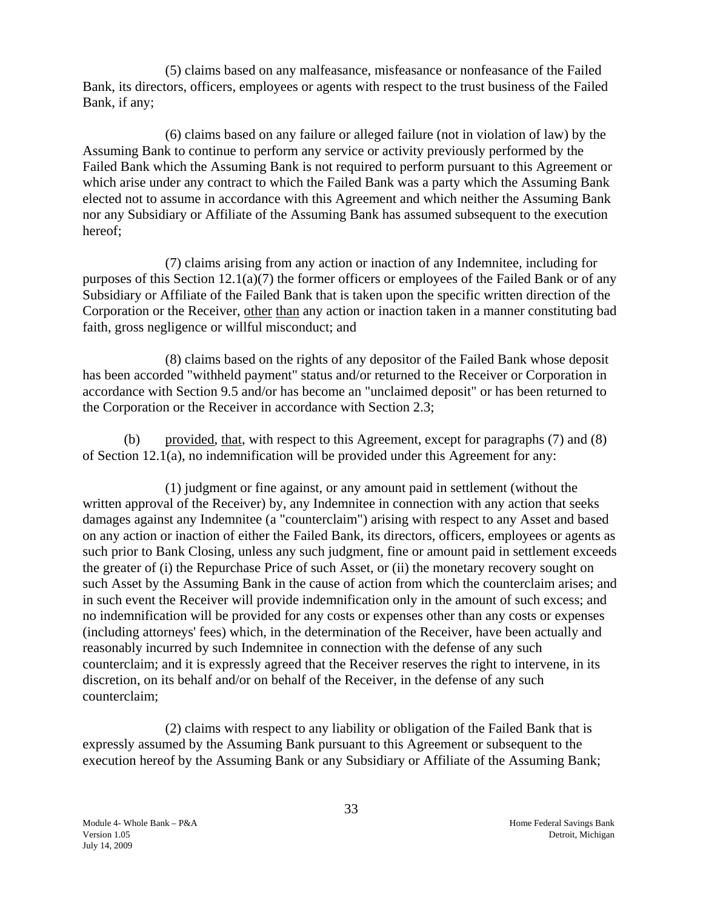(5) claims based on any malfeasance, misfeasance or nonfeasance of the Failed Bank, its directors, officers, employees or agents with respect to the trust business of the Failed Bank, if any;

(6) claims based on any failure or alleged failure (not in violation of law) by the Assuming Bank to continue to perform any service or activity previously performed by the Failed Bank which the Assuming Bank is not required to perform pursuant to this Agreement or which arise under any contract to which the Failed Bank was a party which the Assuming Bank elected not to assume in accordance with this Agreement and which neither the Assuming Bank nor any Subsidiary or Affiliate of the Assuming Bank has assumed subsequent to the execution hereof;

 (7) claims arising from any action or inaction of any Indemnitee, including for purposes of this Section 12.1(a)(7) the former officers or employees of the Failed Bank or of any Subsidiary or Affiliate of the Failed Bank that is taken upon the specific written direction of the Corporation or the Receiver, other than any action or inaction taken in a manner constituting bad faith, gross negligence or willful misconduct; and

(8) claims based on the rights of any depositor of the Failed Bank whose deposit has been accorded "withheld payment" status and/or returned to the Receiver or Corporation in accordance with Section 9.5 and/or has become an "unclaimed deposit" or has been returned to the Corporation or the Receiver in accordance with Section 2.3;

 (b) provided, that, with respect to this Agreement, except for paragraphs (7) and (8) of Section 12.1(a), no indemnification will be provided under this Agreement for any:

(1) judgment or fine against, or any amount paid in settlement (without the written approval of the Receiver) by, any Indemnitee in connection with any action that seeks damages against any Indemnitee (a "counterclaim") arising with respect to any Asset and based on any action or inaction of either the Failed Bank, its directors, officers, employees or agents as such prior to Bank Closing, unless any such judgment, fine or amount paid in settlement exceeds the greater of (i) the Repurchase Price of such Asset, or (ii) the monetary recovery sought on such Asset by the Assuming Bank in the cause of action from which the counterclaim arises; and in such event the Receiver will provide indemnification only in the amount of such excess; and no indemnification will be provided for any costs or expenses other than any costs or expenses (including attorneys' fees) which, in the determination of the Receiver, have been actually and reasonably incurred by such Indemnitee in connection with the defense of any such counterclaim; and it is expressly agreed that the Receiver reserves the right to intervene, in its discretion, on its behalf and/or on behalf of the Receiver, in the defense of any such counterclaim;

(2) claims with respect to any liability or obligation of the Failed Bank that is expressly assumed by the Assuming Bank pursuant to this Agreement or subsequent to the execution hereof by the Assuming Bank or any Subsidiary or Affiliate of the Assuming Bank;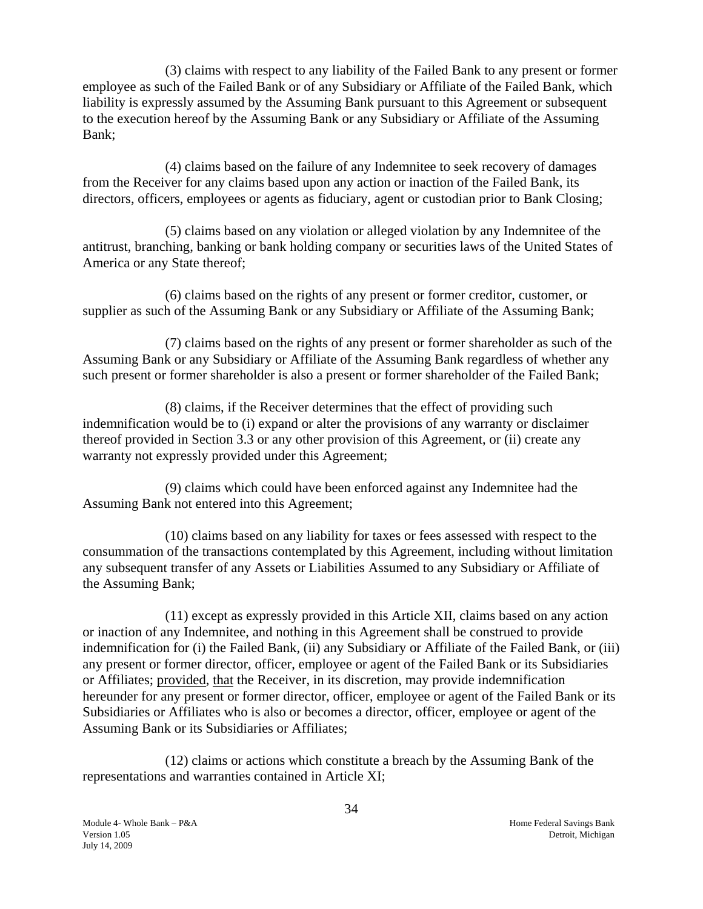(3) claims with respect to any liability of the Failed Bank to any present or former employee as such of the Failed Bank or of any Subsidiary or Affiliate of the Failed Bank, which liability is expressly assumed by the Assuming Bank pursuant to this Agreement or subsequent to the execution hereof by the Assuming Bank or any Subsidiary or Affiliate of the Assuming Bank;

(4) claims based on the failure of any Indemnitee to seek recovery of damages from the Receiver for any claims based upon any action or inaction of the Failed Bank, its directors, officers, employees or agents as fiduciary, agent or custodian prior to Bank Closing;

(5) claims based on any violation or alleged violation by any Indemnitee of the antitrust, branching, banking or bank holding company or securities laws of the United States of America or any State thereof;

(6) claims based on the rights of any present or former creditor, customer, or supplier as such of the Assuming Bank or any Subsidiary or Affiliate of the Assuming Bank;

(7) claims based on the rights of any present or former shareholder as such of the Assuming Bank or any Subsidiary or Affiliate of the Assuming Bank regardless of whether any such present or former shareholder is also a present or former shareholder of the Failed Bank;

(8) claims, if the Receiver determines that the effect of providing such indemnification would be to (i) expand or alter the provisions of any warranty or disclaimer thereof provided in Section 3.3 or any other provision of this Agreement, or (ii) create any warranty not expressly provided under this Agreement;

(9) claims which could have been enforced against any Indemnitee had the Assuming Bank not entered into this Agreement;

(10) claims based on any liability for taxes or fees assessed with respect to the consummation of the transactions contemplated by this Agreement, including without limitation any subsequent transfer of any Assets or Liabilities Assumed to any Subsidiary or Affiliate of the Assuming Bank;

(11) except as expressly provided in this Article XII, claims based on any action or inaction of any Indemnitee, and nothing in this Agreement shall be construed to provide indemnification for (i) the Failed Bank, (ii) any Subsidiary or Affiliate of the Failed Bank, or (iii) any present or former director, officer, employee or agent of the Failed Bank or its Subsidiaries or Affiliates; provided, that the Receiver, in its discretion, may provide indemnification hereunder for any present or former director, officer, employee or agent of the Failed Bank or its Subsidiaries or Affiliates who is also or becomes a director, officer, employee or agent of the Assuming Bank or its Subsidiaries or Affiliates;

(12) claims or actions which constitute a breach by the Assuming Bank of the representations and warranties contained in Article XI;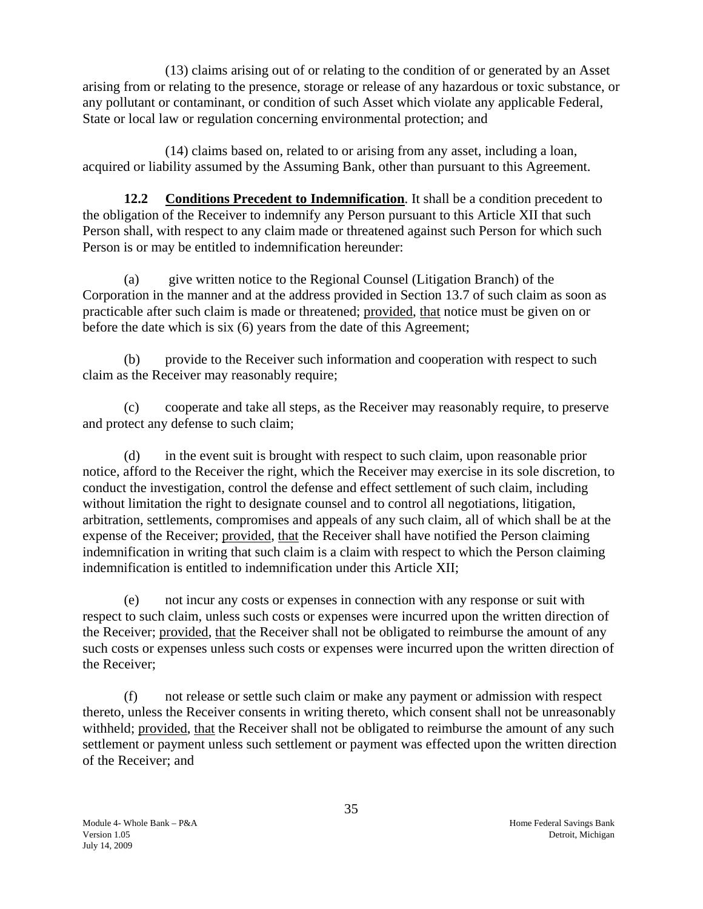(13) claims arising out of or relating to the condition of or generated by an Asset arising from or relating to the presence, storage or release of any hazardous or toxic substance, or any pollutant or contaminant, or condition of such Asset which violate any applicable Federal, State or local law or regulation concerning environmental protection; and

(14) claims based on, related to or arising from any asset, including a loan, acquired or liability assumed by the Assuming Bank, other than pursuant to this Agreement.

<span id="page-38-0"></span> **12.2 Conditions Precedent to Indemnification**. It shall be a condition precedent to the obligation of the Receiver to indemnify any Person pursuant to this Article XII that such Person shall, with respect to any claim made or threatened against such Person for which such Person is or may be entitled to indemnification hereunder:

 (a) give written notice to the Regional Counsel (Litigation Branch) of the Corporation in the manner and at the address provided in Section 13.7 of such claim as soon as practicable after such claim is made or threatened; provided, that notice must be given on or before the date which is six (6) years from the date of this Agreement;

 (b) provide to the Receiver such information and cooperation with respect to such claim as the Receiver may reasonably require;

 (c) cooperate and take all steps, as the Receiver may reasonably require, to preserve and protect any defense to such claim;

 (d) in the event suit is brought with respect to such claim, upon reasonable prior notice, afford to the Receiver the right, which the Receiver may exercise in its sole discretion, to conduct the investigation, control the defense and effect settlement of such claim, including without limitation the right to designate counsel and to control all negotiations, litigation, arbitration, settlements, compromises and appeals of any such claim, all of which shall be at the expense of the Receiver; provided, that the Receiver shall have notified the Person claiming indemnification in writing that such claim is a claim with respect to which the Person claiming indemnification is entitled to indemnification under this Article XII;

 (e) not incur any costs or expenses in connection with any response or suit with respect to such claim, unless such costs or expenses were incurred upon the written direction of the Receiver; provided, that the Receiver shall not be obligated to reimburse the amount of any such costs or expenses unless such costs or expenses were incurred upon the written direction of the Receiver;

 (f) not release or settle such claim or make any payment or admission with respect thereto, unless the Receiver consents in writing thereto, which consent shall not be unreasonably withheld; provided, that the Receiver shall not be obligated to reimburse the amount of any such settlement or payment unless such settlement or payment was effected upon the written direction of the Receiver; and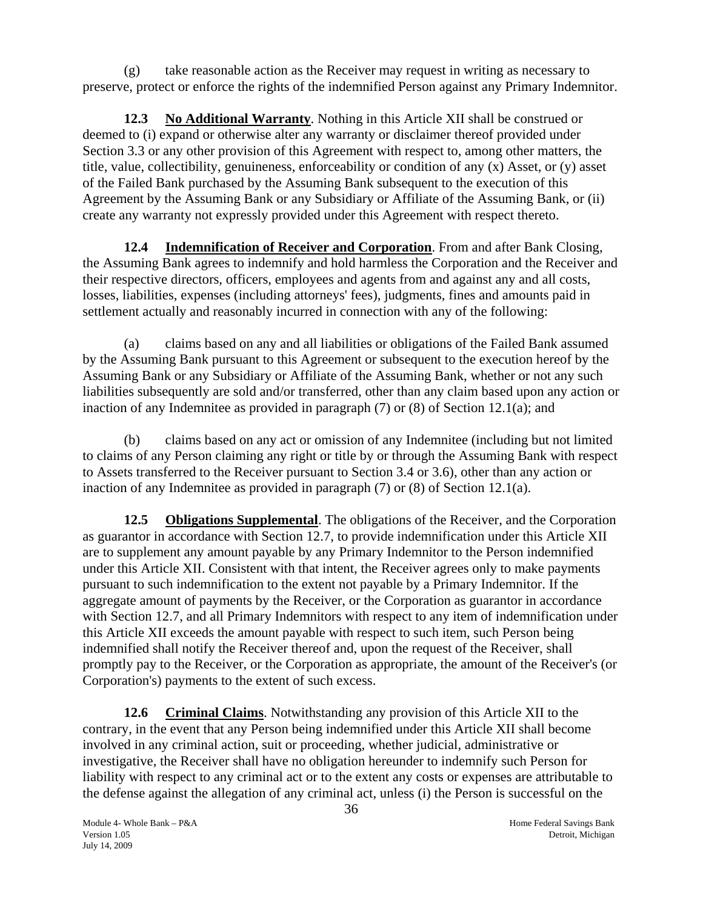(g) take reasonable action as the Receiver may request in writing as necessary to preserve, protect or enforce the rights of the indemnified Person against any Primary Indemnitor.

<span id="page-39-0"></span>**12.3 No Additional Warranty**. Nothing in this Article XII shall be construed or deemed to (i) expand or otherwise alter any warranty or disclaimer thereof provided under Section 3.3 or any other provision of this Agreement with respect to, among other matters, the title, value, collectibility, genuineness, enforceability or condition of any (x) Asset, or (y) asset of the Failed Bank purchased by the Assuming Bank subsequent to the execution of this Agreement by the Assuming Bank or any Subsidiary or Affiliate of the Assuming Bank, or (ii) create any warranty not expressly provided under this Agreement with respect thereto.

<span id="page-39-1"></span>**12.4 Indemnification of Receiver and Corporation**. From and after Bank Closing, the Assuming Bank agrees to indemnify and hold harmless the Corporation and the Receiver and their respective directors, officers, employees and agents from and against any and all costs, losses, liabilities, expenses (including attorneys' fees), judgments, fines and amounts paid in settlement actually and reasonably incurred in connection with any of the following:

(a) claims based on any and all liabilities or obligations of the Failed Bank assumed by the Assuming Bank pursuant to this Agreement or subsequent to the execution hereof by the Assuming Bank or any Subsidiary or Affiliate of the Assuming Bank, whether or not any such liabilities subsequently are sold and/or transferred, other than any claim based upon any action or inaction of any Indemnitee as provided in paragraph (7) or (8) of Section 12.1(a); and

(b) claims based on any act or omission of any Indemnitee (including but not limited to claims of any Person claiming any right or title by or through the Assuming Bank with respect to Assets transferred to the Receiver pursuant to Section 3.4 or 3.6), other than any action or inaction of any Indemnitee as provided in paragraph (7) or (8) of Section 12.1(a).

<span id="page-39-2"></span>**12.5 Obligations Supplemental**. The obligations of the Receiver, and the Corporation as guarantor in accordance with Section 12.7, to provide indemnification under this Article XII are to supplement any amount payable by any Primary Indemnitor to the Person indemnified under this Article XII. Consistent with that intent, the Receiver agrees only to make payments pursuant to such indemnification to the extent not payable by a Primary Indemnitor. If the aggregate amount of payments by the Receiver, or the Corporation as guarantor in accordance with Section 12.7, and all Primary Indemnitors with respect to any item of indemnification under this Article XII exceeds the amount payable with respect to such item, such Person being indemnified shall notify the Receiver thereof and, upon the request of the Receiver, shall promptly pay to the Receiver, or the Corporation as appropriate, the amount of the Receiver's (or Corporation's) payments to the extent of such excess.

<span id="page-39-3"></span>**12.6 Criminal Claims**. Notwithstanding any provision of this Article XII to the contrary, in the event that any Person being indemnified under this Article XII shall become involved in any criminal action, suit or proceeding, whether judicial, administrative or investigative, the Receiver shall have no obligation hereunder to indemnify such Person for liability with respect to any criminal act or to the extent any costs or expenses are attributable to the defense against the allegation of any criminal act, unless (i) the Person is successful on the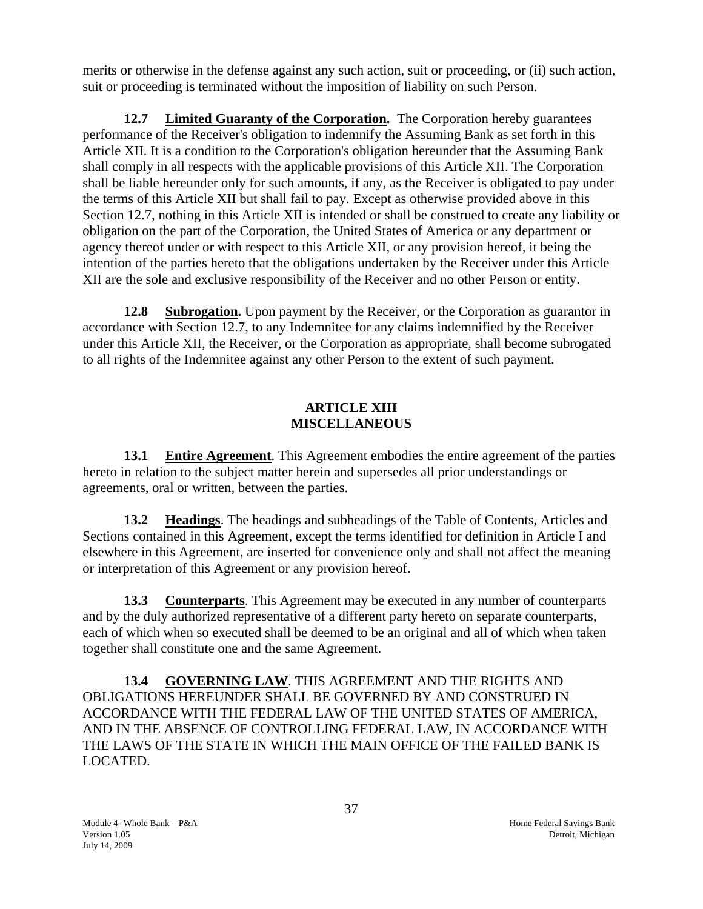merits or otherwise in the defense against any such action, suit or proceeding, or (ii) such action, suit or proceeding is terminated without the imposition of liability on such Person.

<span id="page-40-1"></span>**12.7 Limited Guaranty of the Corporation.** The Corporation hereby guarantees performance of the Receiver's obligation to indemnify the Assuming Bank as set forth in this Article XII. It is a condition to the Corporation's obligation hereunder that the Assuming Bank shall comply in all respects with the applicable provisions of this Article XII. The Corporation shall be liable hereunder only for such amounts, if any, as the Receiver is obligated to pay under the terms of this Article XII but shall fail to pay. Except as otherwise provided above in this Section 12.7, nothing in this Article XII is intended or shall be construed to create any liability or obligation on the part of the Corporation, the United States of America or any department or agency thereof under or with respect to this Article XII, or any provision hereof, it being the intention of the parties hereto that the obligations undertaken by the Receiver under this Article XII are the sole and exclusive responsibility of the Receiver and no other Person or entity.

<span id="page-40-2"></span><span id="page-40-0"></span>**12.8 Subrogation.** Upon payment by the Receiver, or the Corporation as guarantor in accordance with Section 12.7, to any Indemnitee for any claims indemnified by the Receiver under this Article XII, the Receiver, or the Corporation as appropriate, shall become subrogated to all rights of the Indemnitee against any other Person to the extent of such payment.

### **ARTICLE XIII MISCELLANEOUS**

<span id="page-40-4"></span><span id="page-40-3"></span> **13.1 Entire Agreement**. This Agreement embodies the entire agreement of the parties hereto in relation to the subject matter herein and supersedes all prior understandings or agreements, oral or written, between the parties.

<span id="page-40-5"></span> **13.2 Headings**. The headings and subheadings of the Table of Contents, Articles and Sections contained in this Agreement, except the terms identified for definition in Article I and elsewhere in this Agreement, are inserted for convenience only and shall not affect the meaning or interpretation of this Agreement or any provision hereof.

<span id="page-40-6"></span> **13.3 Counterparts**. This Agreement may be executed in any number of counterparts and by the duly authorized representative of a different party hereto on separate counterparts, each of which when so executed shall be deemed to be an original and all of which when taken together shall constitute one and the same Agreement.

<span id="page-40-7"></span> **13.4 GOVERNING LAW**. THIS AGREEMENT AND THE RIGHTS AND OBLIGATIONS HEREUNDER SHALL BE GOVERNED BY AND CONSTRUED IN ACCORDANCE WITH THE FEDERAL LAW OF THE UNITED STATES OF AMERICA, AND IN THE ABSENCE OF CONTROLLING FEDERAL LAW, IN ACCORDANCE WITH THE LAWS OF THE STATE IN WHICH THE MAIN OFFICE OF THE FAILED BANK IS LOCATED.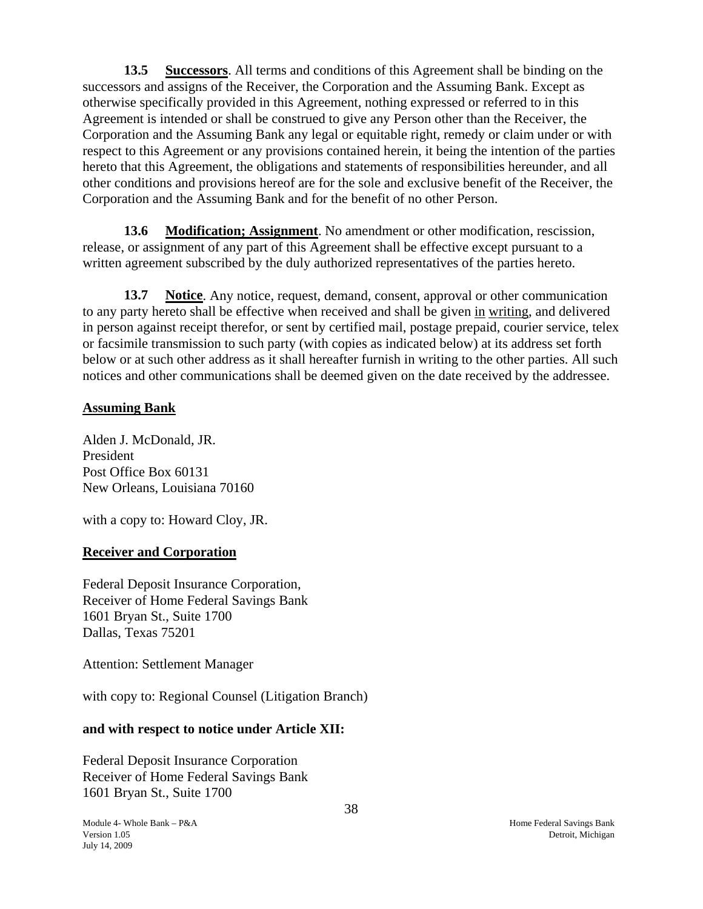<span id="page-41-0"></span> **13.5 Successors**. All terms and conditions of this Agreement shall be binding on the successors and assigns of the Receiver, the Corporation and the Assuming Bank. Except as otherwise specifically provided in this Agreement, nothing expressed or referred to in this Agreement is intended or shall be construed to give any Person other than the Receiver, the Corporation and the Assuming Bank any legal or equitable right, remedy or claim under or with respect to this Agreement or any provisions contained herein, it being the intention of the parties hereto that this Agreement, the obligations and statements of responsibilities hereunder, and all other conditions and provisions hereof are for the sole and exclusive benefit of the Receiver, the Corporation and the Assuming Bank and for the benefit of no other Person.

<span id="page-41-1"></span> **13.6 Modification; Assignment**. No amendment or other modification, rescission, release, or assignment of any part of this Agreement shall be effective except pursuant to a written agreement subscribed by the duly authorized representatives of the parties hereto.

<span id="page-41-2"></span> **13.7 Notice**. Any notice, request, demand, consent, approval or other communication to any party hereto shall be effective when received and shall be given in writing, and delivered in person against receipt therefor, or sent by certified mail, postage prepaid, courier service, telex or facsimile transmission to such party (with copies as indicated below) at its address set forth below or at such other address as it shall hereafter furnish in writing to the other parties. All such notices and other communications shall be deemed given on the date received by the addressee.

### **Assuming Bank**

Alden J. McDonald, JR. President Post Office Box 60131 New Orleans, Louisiana 70160

with a copy to: Howard Cloy, JR.

## **Receiver and Corporation**

Federal Deposit Insurance Corporation, Receiver of Home Federal Savings Bank 1601 Bryan St., Suite 1700 Dallas, Texas 75201

Attention: Settlement Manager

with copy to: Regional Counsel (Litigation Branch)

## **and with respect to notice under Article XII:**

Federal Deposit Insurance Corporation Receiver of Home Federal Savings Bank 1601 Bryan St., Suite 1700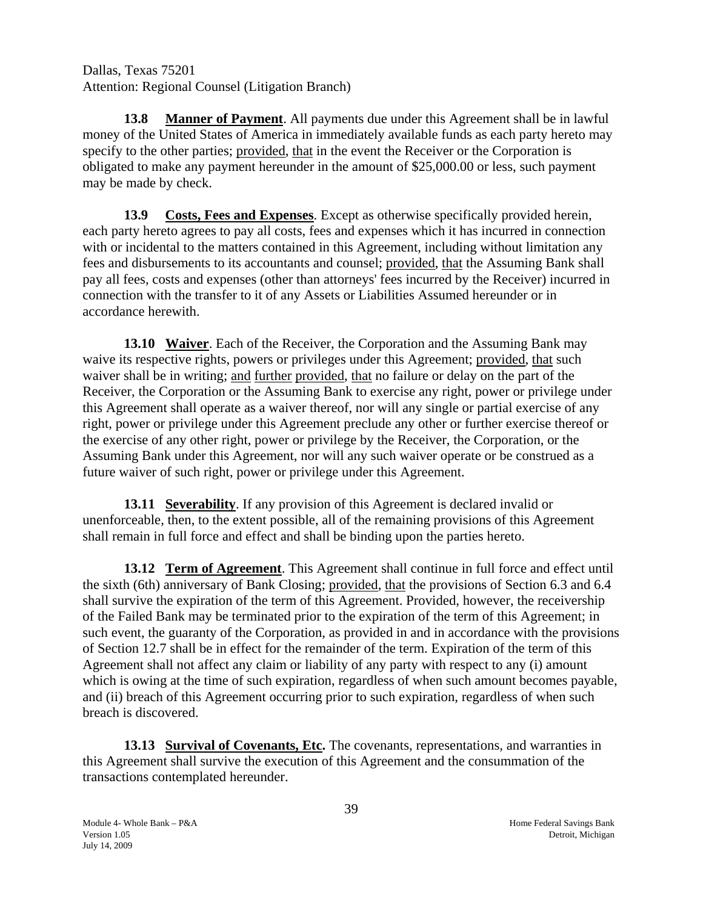Dallas, Texas 75201 Attention: Regional Counsel (Litigation Branch)

<span id="page-42-0"></span>**13.8 Manner of Payment.** All payments due under this Agreement shall be in lawful money of the United States of America in immediately available funds as each party hereto may specify to the other parties; provided, that in the event the Receiver or the Corporation is obligated to make any payment hereunder in the amount of \$25,000.00 or less, such payment may be made by check.

<span id="page-42-1"></span> **13.9 Costs, Fees and Expenses**. Except as otherwise specifically provided herein, each party hereto agrees to pay all costs, fees and expenses which it has incurred in connection with or incidental to the matters contained in this Agreement, including without limitation any fees and disbursements to its accountants and counsel; provided, that the Assuming Bank shall pay all fees, costs and expenses (other than attorneys' fees incurred by the Receiver) incurred in connection with the transfer to it of any Assets or Liabilities Assumed hereunder or in accordance herewith.

<span id="page-42-2"></span> **13.10 Waiver**. Each of the Receiver, the Corporation and the Assuming Bank may waive its respective rights, powers or privileges under this Agreement; provided, that such waiver shall be in writing; and further provided, that no failure or delay on the part of the Receiver, the Corporation or the Assuming Bank to exercise any right, power or privilege under this Agreement shall operate as a waiver thereof, nor will any single or partial exercise of any right, power or privilege under this Agreement preclude any other or further exercise thereof or the exercise of any other right, power or privilege by the Receiver, the Corporation, or the Assuming Bank under this Agreement, nor will any such waiver operate or be construed as a future waiver of such right, power or privilege under this Agreement.

<span id="page-42-3"></span> **13.11 Severability**. If any provision of this Agreement is declared invalid or unenforceable, then, to the extent possible, all of the remaining provisions of this Agreement shall remain in full force and effect and shall be binding upon the parties hereto.

<span id="page-42-4"></span> **13.12 Term of Agreement**. This Agreement shall continue in full force and effect until the sixth (6th) anniversary of Bank Closing; provided, that the provisions of Section 6.3 and 6.4 shall survive the expiration of the term of this Agreement. Provided, however, the receivership of the Failed Bank may be terminated prior to the expiration of the term of this Agreement; in such event, the guaranty of the Corporation, as provided in and in accordance with the provisions of Section 12.7 shall be in effect for the remainder of the term. Expiration of the term of this Agreement shall not affect any claim or liability of any party with respect to any (i) amount which is owing at the time of such expiration, regardless of when such amount becomes payable, and (ii) breach of this Agreement occurring prior to such expiration, regardless of when such breach is discovered.

<span id="page-42-5"></span> **13.13 Survival of Covenants, Etc.** The covenants, representations, and warranties in this Agreement shall survive the execution of this Agreement and the consummation of the transactions contemplated hereunder.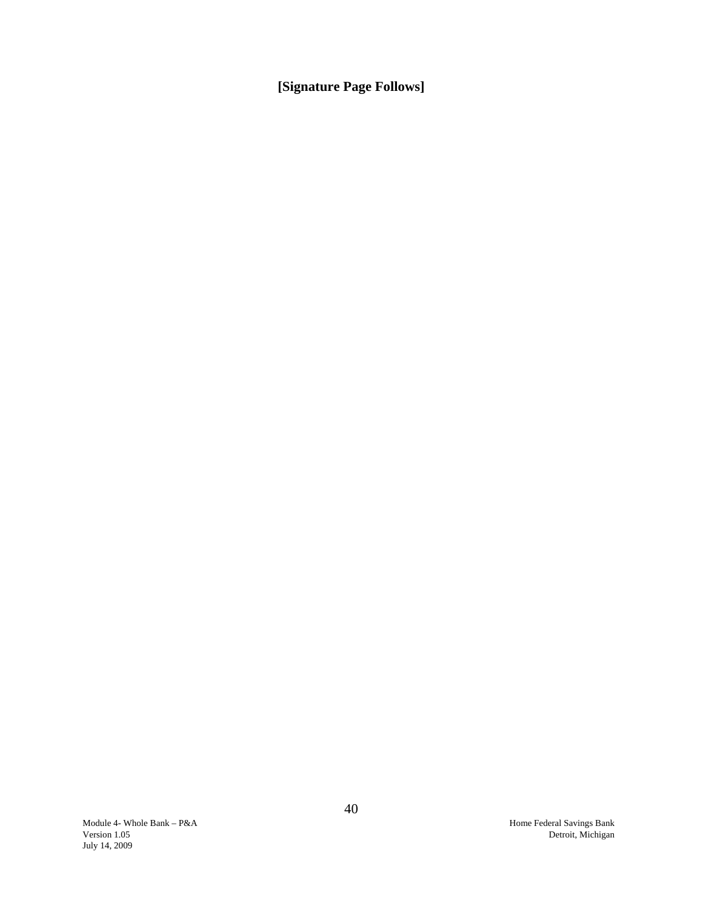**[Signature Page Follows]**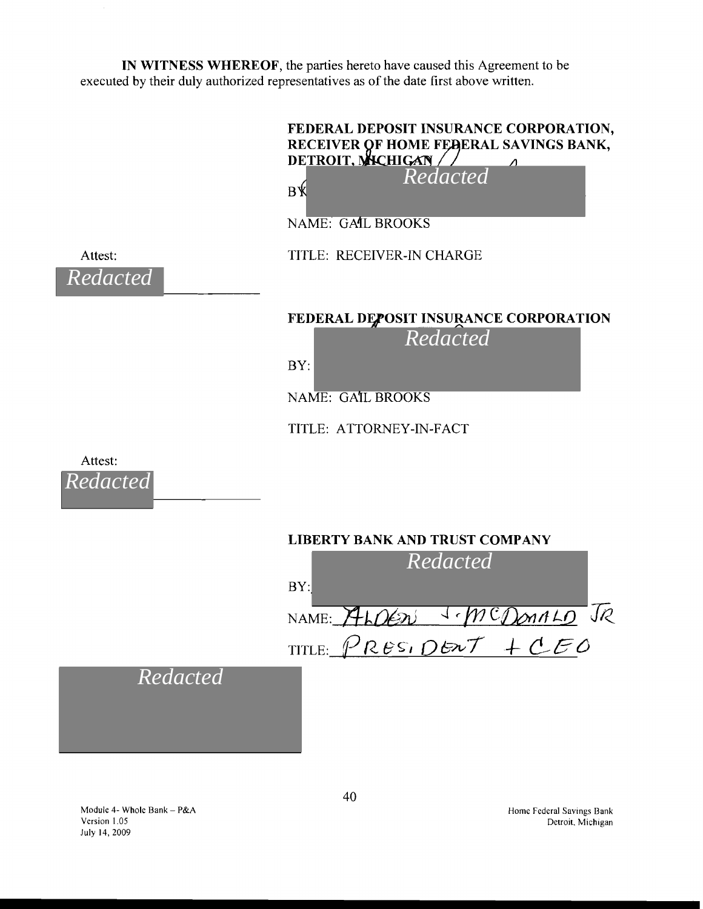**IN WITNESS WHEREOF,** the parties hereto have caused this Agreement to be executed by their duly authorized representatives as of the date first above written.

|                     | FEDERAL DEPOSIT INSURANCE CORPORATION,<br>RECEIVER OF HOME FEDERAL SAVINGS BANK,<br>DETROIT, MICHIGAN<br>Λ<br>Redacted<br>B <sup>*</sup>       |
|---------------------|------------------------------------------------------------------------------------------------------------------------------------------------|
|                     | NAME: GAIL BROOKS                                                                                                                              |
| Attest:<br>Redacted | TITLE: RECEIVER-IN CHARGE                                                                                                                      |
|                     | FEDERAL DEPOSIT INSURANCE CORPORATION<br>Redacted<br>BY:<br><b>NAME: GAIL BROOKS</b>                                                           |
|                     | TITLE: ATTORNEY-IN-FACT                                                                                                                        |
| Attest:<br>Redacted |                                                                                                                                                |
|                     | <b>LIBERTY BANK AND TRUST COMPANY</b><br>Redacted<br>BY:<br>$J$ R<br>1. MCDonALD<br>$\gamma_{\epsilon,n}$<br>NAME:<br>TITLE: $PRESIDENT + CEO$ |
| Redacted            |                                                                                                                                                |

Module 4- Whole Bank - P&A Version 1.05 July 14, 2009

Home Federal Savings Bank Detroit, Michigan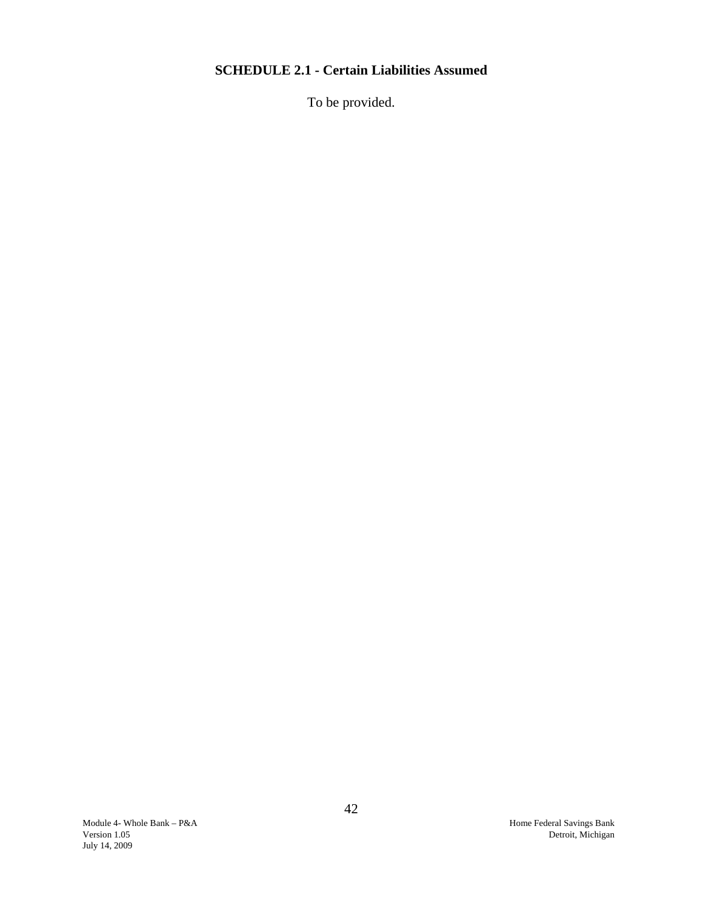### <span id="page-45-0"></span>**SCHEDULE 2.1 - Certain Liabilities Assumed**

To be provided.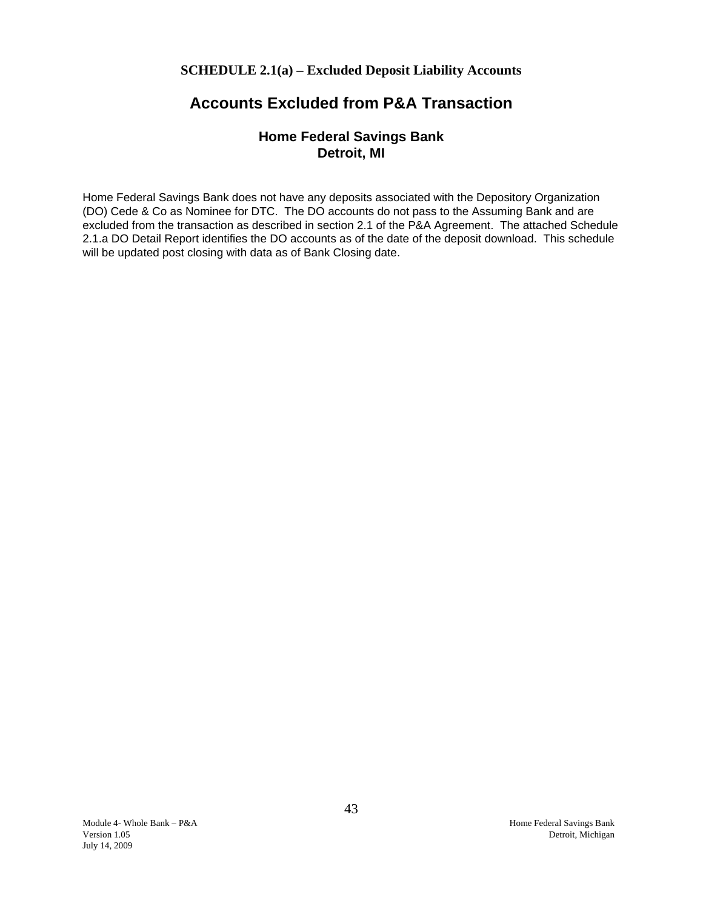#### **SCHEDULE 2.1(a) – Excluded Deposit Liability Accounts**

# **Accounts Excluded from P&A Transaction**

### **Home Federal Savings Bank Detroit, MI**

Home Federal Savings Bank does not have any deposits associated with the Depository Organization (DO) Cede & Co as Nominee for DTC. The DO accounts do not pass to the Assuming Bank and are excluded from the transaction as described in section 2.1 of the P&A Agreement. The attached Schedule 2.1.a DO Detail Report identifies the DO accounts as of the date of the deposit download. This schedule will be updated post closing with data as of Bank Closing date.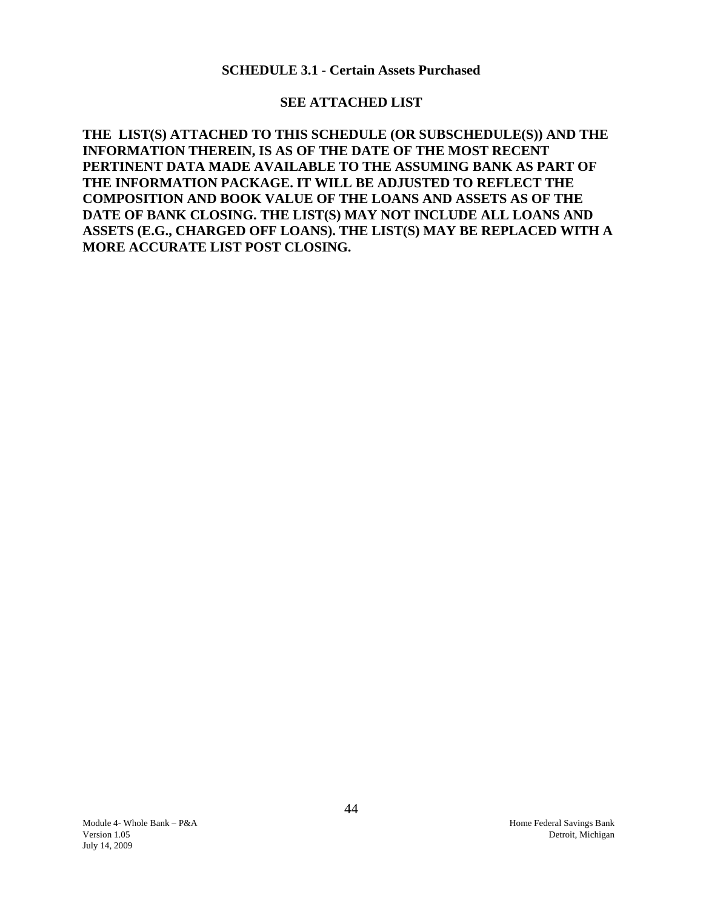#### **SCHEDULE 3.1 - Certain Assets Purchased**

#### **SEE ATTACHED LIST**

<span id="page-47-0"></span>**THE LIST(S) ATTACHED TO THIS SCHEDULE (OR SUBSCHEDULE(S)) AND THE INFORMATION THEREIN, IS AS OF THE DATE OF THE MOST RECENT PERTINENT DATA MADE AVAILABLE TO THE ASSUMING BANK AS PART OF THE INFORMATION PACKAGE. IT WILL BE ADJUSTED TO REFLECT THE COMPOSITION AND BOOK VALUE OF THE LOANS AND ASSETS AS OF THE DATE OF BANK CLOSING. THE LIST(S) MAY NOT INCLUDE ALL LOANS AND ASSETS (E.G., CHARGED OFF LOANS). THE LIST(S) MAY BE REPLACED WITH A MORE ACCURATE LIST POST CLOSING.**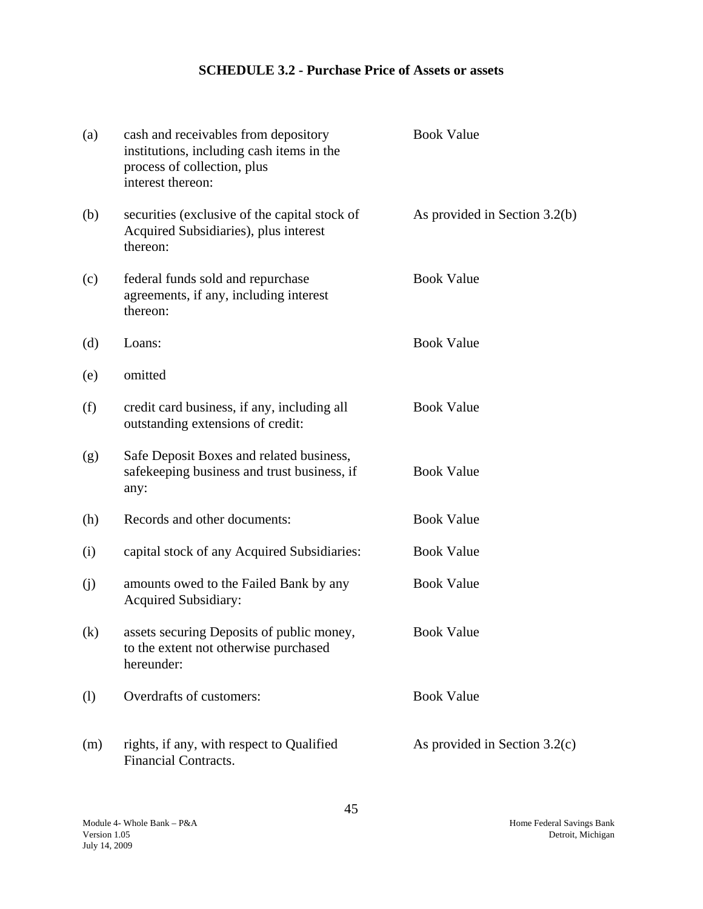## **SCHEDULE 3.2 - Purchase Price of Assets or assets**

<span id="page-48-0"></span>

| (a) | cash and receivables from depository<br>institutions, including cash items in the<br>process of collection, plus<br>interest thereon: | <b>Book Value</b>               |
|-----|---------------------------------------------------------------------------------------------------------------------------------------|---------------------------------|
| (b) | securities (exclusive of the capital stock of<br>Acquired Subsidiaries), plus interest<br>thereon:                                    | As provided in Section 3.2(b)   |
| (c) | federal funds sold and repurchase<br>agreements, if any, including interest<br>thereon:                                               | <b>Book Value</b>               |
| (d) | Loans:                                                                                                                                | <b>Book Value</b>               |
| (e) | omitted                                                                                                                               |                                 |
| (f) | credit card business, if any, including all<br>outstanding extensions of credit:                                                      | <b>Book Value</b>               |
| (g) | Safe Deposit Boxes and related business,<br>safekeeping business and trust business, if<br>any:                                       | <b>Book Value</b>               |
| (h) | Records and other documents:                                                                                                          | <b>Book Value</b>               |
| (i) | capital stock of any Acquired Subsidiaries:                                                                                           | <b>Book Value</b>               |
| (j) | amounts owed to the Failed Bank by any<br><b>Acquired Subsidiary:</b>                                                                 | <b>Book Value</b>               |
| (k) | assets securing Deposits of public money,<br>to the extent not otherwise purchased<br>hereunder:                                      | <b>Book Value</b>               |
| (1) | Overdrafts of customers:                                                                                                              | <b>Book Value</b>               |
| (m) | rights, if any, with respect to Qualified<br><b>Financial Contracts.</b>                                                              | As provided in Section $3.2(c)$ |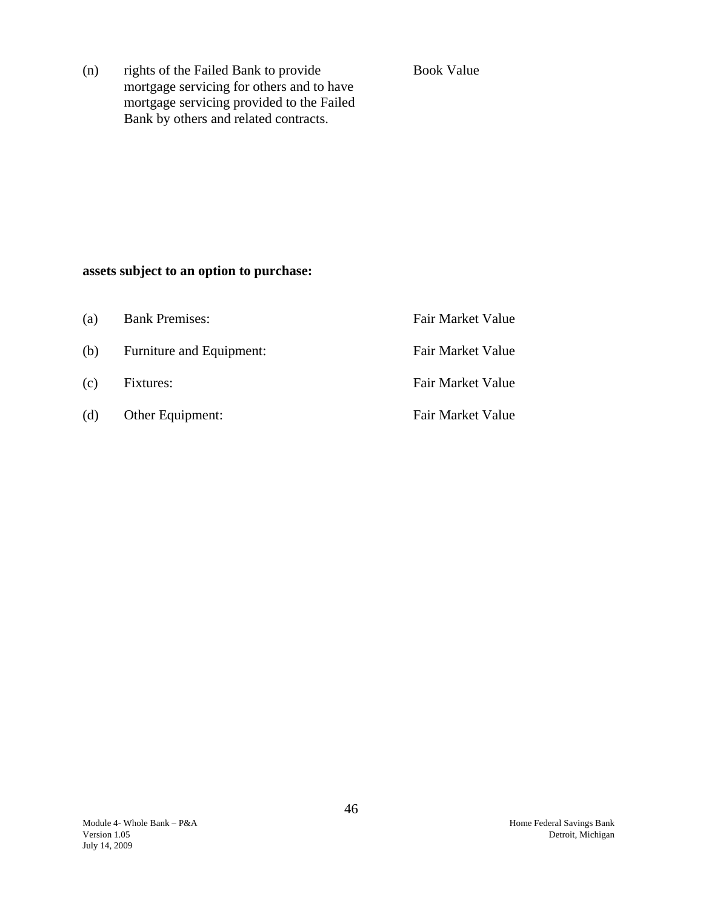Book Value

(n) rights of the Failed Bank to provide mortgage servicing for others and to have mortgage servicing provided to the Failed Bank by others and related contracts.

#### **assets subject to an option to purchase:**

| (a) | <b>Bank Premises:</b>    | Fair Market Value |
|-----|--------------------------|-------------------|
| (b) | Furniture and Equipment: | Fair Market Value |
| (c) | Fixtures:                | Fair Market Value |
| (d) | Other Equipment:         | Fair Market Value |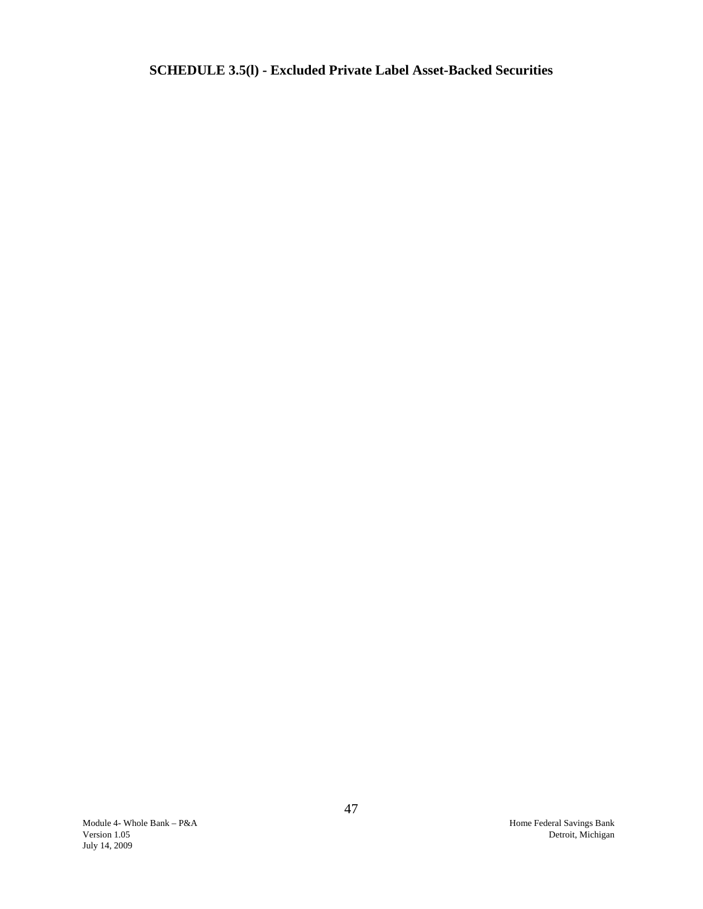**SCHEDULE 3.5(l) - Excluded Private Label Asset-Backed Securities**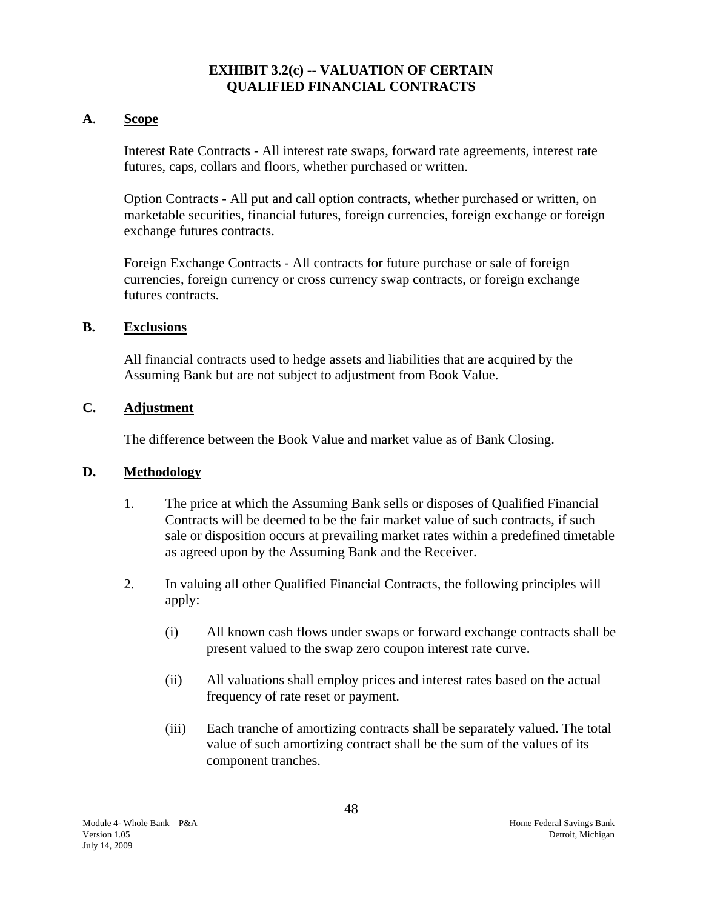### **EXHIBIT 3.2(c) -- VALUATION OF CERTAIN QUALIFIED FINANCIAL CONTRACTS**

#### <span id="page-51-0"></span>**A**. **Scope**

 Interest Rate Contracts - All interest rate swaps, forward rate agreements, interest rate futures, caps, collars and floors, whether purchased or written.

 Option Contracts - All put and call option contracts, whether purchased or written, on marketable securities, financial futures, foreign currencies, foreign exchange or foreign exchange futures contracts.

 Foreign Exchange Contracts - All contracts for future purchase or sale of foreign currencies, foreign currency or cross currency swap contracts, or foreign exchange futures contracts.

#### **B. Exclusions**

 All financial contracts used to hedge assets and liabilities that are acquired by the Assuming Bank but are not subject to adjustment from Book Value.

#### **C. Adjustment**

The difference between the Book Value and market value as of Bank Closing.

### **D. Methodology**

- 1. The price at which the Assuming Bank sells or disposes of Qualified Financial Contracts will be deemed to be the fair market value of such contracts, if such sale or disposition occurs at prevailing market rates within a predefined timetable as agreed upon by the Assuming Bank and the Receiver.
- 2. In valuing all other Qualified Financial Contracts, the following principles will apply:
	- (i) All known cash flows under swaps or forward exchange contracts shall be present valued to the swap zero coupon interest rate curve.
	- (ii) All valuations shall employ prices and interest rates based on the actual frequency of rate reset or payment.
	- (iii) Each tranche of amortizing contracts shall be separately valued. The total value of such amortizing contract shall be the sum of the values of its component tranches.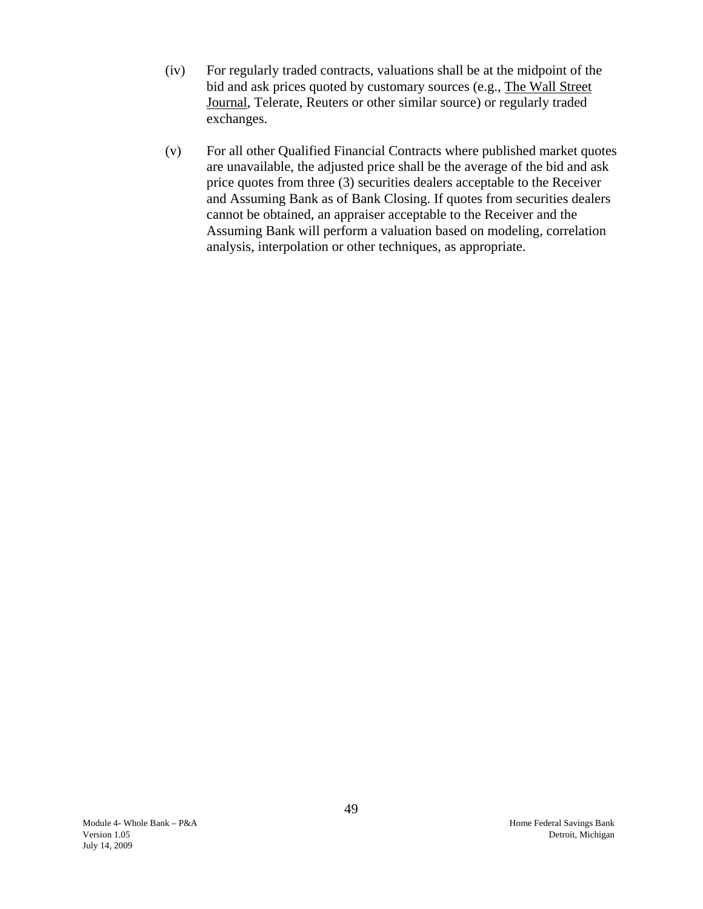- (iv) For regularly traded contracts, valuations shall be at the midpoint of the bid and ask prices quoted by customary sources (e.g., The Wall Street Journal, Telerate, Reuters or other similar source) or regularly traded exchanges.
- (v) For all other Qualified Financial Contracts where published market quotes are unavailable, the adjusted price shall be the average of the bid and ask price quotes from three (3) securities dealers acceptable to the Receiver and Assuming Bank as of Bank Closing. If quotes from securities dealers cannot be obtained, an appraiser acceptable to the Receiver and the Assuming Bank will perform a valuation based on modeling, correlation analysis, interpolation or other techniques, as appropriate.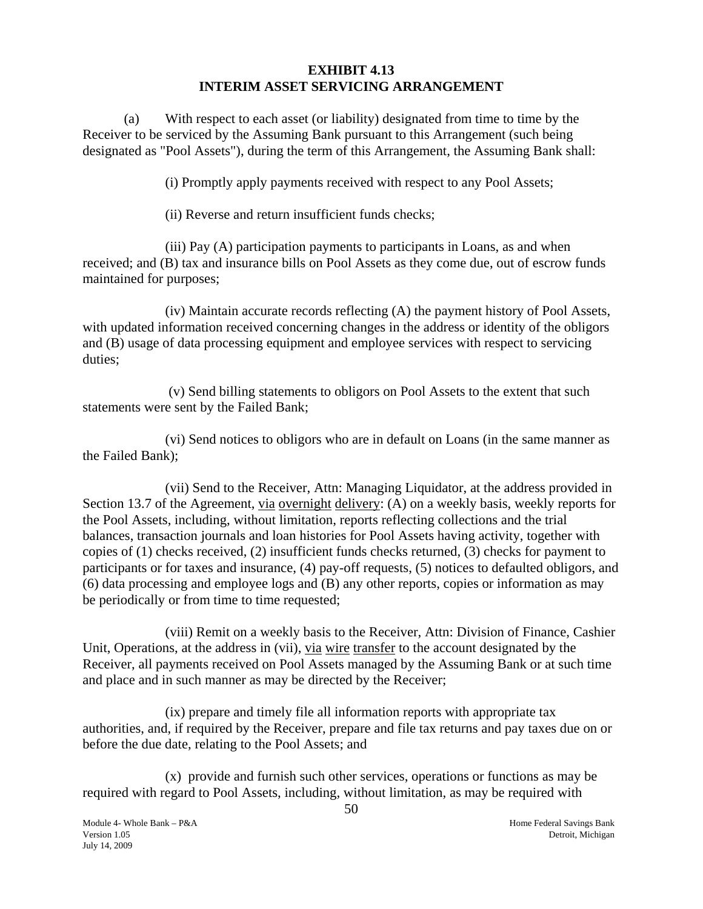### **EXHIBIT 4.13 INTERIM ASSET SERVICING ARRANGEMENT**

<span id="page-53-0"></span> (a) With respect to each asset (or liability) designated from time to time by the Receiver to be serviced by the Assuming Bank pursuant to this Arrangement (such being designated as "Pool Assets"), during the term of this Arrangement, the Assuming Bank shall:

(i) Promptly apply payments received with respect to any Pool Assets;

(ii) Reverse and return insufficient funds checks;

(iii) Pay (A) participation payments to participants in Loans, as and when received; and (B) tax and insurance bills on Pool Assets as they come due, out of escrow funds maintained for purposes;

(iv) Maintain accurate records reflecting (A) the payment history of Pool Assets, with updated information received concerning changes in the address or identity of the obligors and (B) usage of data processing equipment and employee services with respect to servicing duties;

 (v) Send billing statements to obligors on Pool Assets to the extent that such statements were sent by the Failed Bank;

(vi) Send notices to obligors who are in default on Loans (in the same manner as the Failed Bank);

 (vii) Send to the Receiver, Attn: Managing Liquidator, at the address provided in Section 13.7 of the Agreement, via overnight delivery: (A) on a weekly basis, weekly reports for the Pool Assets, including, without limitation, reports reflecting collections and the trial balances, transaction journals and loan histories for Pool Assets having activity, together with copies of (1) checks received, (2) insufficient funds checks returned, (3) checks for payment to participants or for taxes and insurance, (4) pay-off requests, (5) notices to defaulted obligors, and (6) data processing and employee logs and (B) any other reports, copies or information as may be periodically or from time to time requested;

 (viii) Remit on a weekly basis to the Receiver, Attn: Division of Finance, Cashier Unit, Operations, at the address in (vii), via wire transfer to the account designated by the Receiver, all payments received on Pool Assets managed by the Assuming Bank or at such time and place and in such manner as may be directed by the Receiver;

(ix) prepare and timely file all information reports with appropriate tax authorities, and, if required by the Receiver, prepare and file tax returns and pay taxes due on or before the due date, relating to the Pool Assets; and

(x) provide and furnish such other services, operations or functions as may be required with regard to Pool Assets, including, without limitation, as may be required with